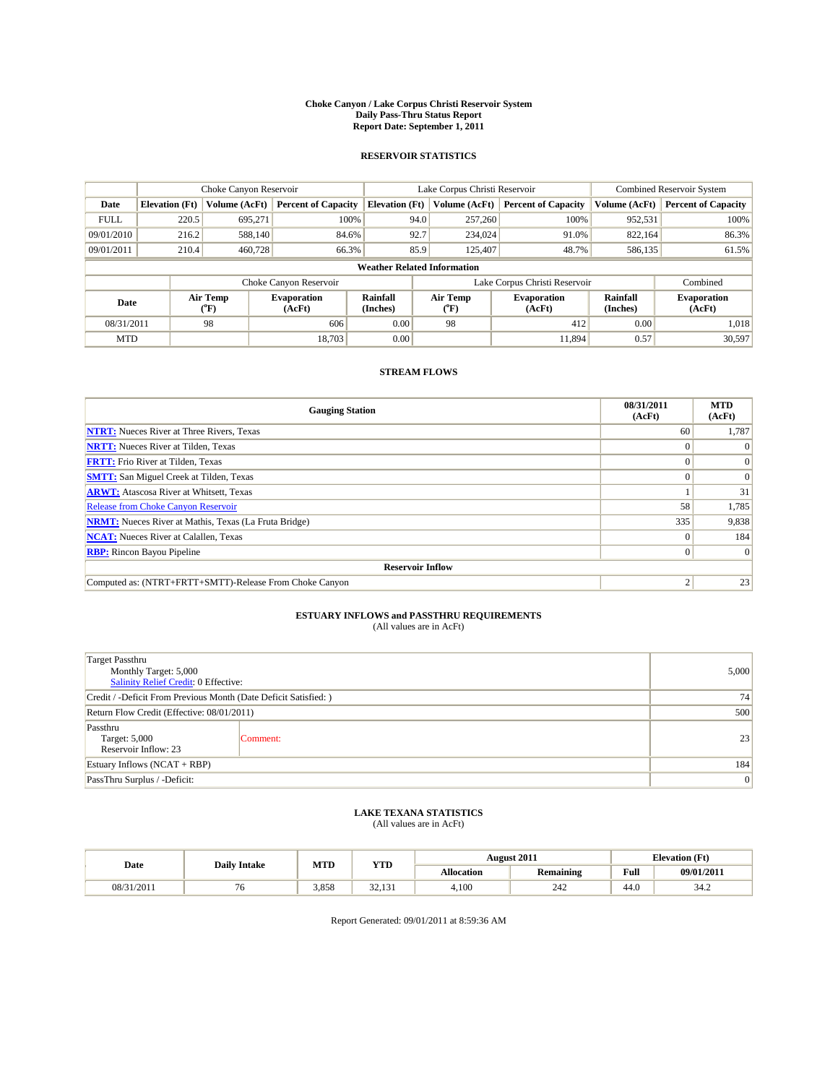#### **Choke Canyon / Lake Corpus Christi Reservoir System Daily Pass-Thru Status Report Report Date: September 1, 2011**

#### **RESERVOIR STATISTICS**

|             |                                    | Choke Canyon Reservoir      |                              |                             | Lake Corpus Christi Reservoir |                  |                               |                      | <b>Combined Reservoir System</b> |  |
|-------------|------------------------------------|-----------------------------|------------------------------|-----------------------------|-------------------------------|------------------|-------------------------------|----------------------|----------------------------------|--|
| Date        | <b>Elevation</b> (Ft)              | Volume (AcFt)               | <b>Percent of Capacity</b>   | <b>Elevation</b> (Ft)       |                               | Volume (AcFt)    | <b>Percent of Capacity</b>    | Volume (AcFt)        | <b>Percent of Capacity</b>       |  |
| <b>FULL</b> | 220.5                              | 695,271                     | 100%                         |                             | 94.0                          | 257,260          | 100%                          | 952,531              | 100%                             |  |
| 09/01/2010  | 216.2                              | 588,140                     | 84.6%                        |                             | 92.7                          | 234,024          | 91.0%                         | 822,164              | 86.3%                            |  |
| 09/01/2011  | 210.4                              | 460,728                     | 66.3%                        |                             | 85.9                          | 125,407          | 48.7%                         | 586,135              | 61.5%                            |  |
|             | <b>Weather Related Information</b> |                             |                              |                             |                               |                  |                               |                      |                                  |  |
|             |                                    |                             | Choke Canyon Reservoir       |                             |                               |                  | Lake Corpus Christi Reservoir |                      | Combined                         |  |
| Date        |                                    | Air Temp<br>${}^{\circ}$ F) | <b>Evaporation</b><br>(AcFt) | <b>Rainfall</b><br>(Inches) |                               | Air Temp<br>(°F) | <b>Evaporation</b><br>(AcFt)  | Rainfall<br>(Inches) | <b>Evaporation</b><br>(AcFt)     |  |
| 08/31/2011  |                                    | 98                          | 606                          | 0.00                        |                               | 98               | 412                           | 0.00                 | 1,018                            |  |
| <b>MTD</b>  |                                    |                             | 18.703                       | 0.00                        |                               |                  | 11,894                        | 0.57                 | 30,597                           |  |

### **STREAM FLOWS**

| <b>Gauging Station</b>                                       | 08/31/2011<br>(AcFt) | <b>MTD</b><br>(AcFt) |  |  |  |  |
|--------------------------------------------------------------|----------------------|----------------------|--|--|--|--|
| <b>NTRT:</b> Nueces River at Three Rivers, Texas             | 60                   | 1,787                |  |  |  |  |
| <b>NRTT:</b> Nueces River at Tilden, Texas                   |                      |                      |  |  |  |  |
| <b>FRTT:</b> Frio River at Tilden, Texas                     |                      |                      |  |  |  |  |
| <b>SMTT:</b> San Miguel Creek at Tilden, Texas               |                      | $\Omega$             |  |  |  |  |
| <b>ARWT:</b> Atascosa River at Whitsett, Texas               |                      | 31                   |  |  |  |  |
| Release from Choke Canyon Reservoir                          | 58                   | 1,785                |  |  |  |  |
| <b>NRMT:</b> Nueces River at Mathis, Texas (La Fruta Bridge) | 335                  | 9,838                |  |  |  |  |
| <b>NCAT:</b> Nueces River at Calallen, Texas                 | $\Omega$             | 184                  |  |  |  |  |
| <b>RBP:</b> Rincon Bayou Pipeline                            | $\Omega$             | $\Omega$             |  |  |  |  |
| <b>Reservoir Inflow</b>                                      |                      |                      |  |  |  |  |
| Computed as: (NTRT+FRTT+SMTT)-Release From Choke Canyon      |                      | 23                   |  |  |  |  |

# **ESTUARY INFLOWS and PASSTHRU REQUIREMENTS**<br>(All values are in AcFt)

| <b>Target Passthru</b><br>Monthly Target: 5,000<br>Salinity Relief Credit: 0 Effective: | 5,000    |    |
|-----------------------------------------------------------------------------------------|----------|----|
| Credit / -Deficit From Previous Month (Date Deficit Satisfied: )                        | 74       |    |
| Return Flow Credit (Effective: 08/01/2011)                                              | 500      |    |
| Passthru<br>Target: 5,000<br>Reservoir Inflow: 23                                       | Comment: | 23 |
| Estuary Inflows $(NCAT + RBP)$                                                          | 184      |    |
| PassThru Surplus / -Deficit:                                                            | 0        |    |

## **LAKE TEXANA STATISTICS** (All values are in AcFt)

| Date       | <b>Daily Intake</b> | MTD   | <b>YTD</b>            |                   | <b>August 2011</b> | <b>Elevation</b> (Ft)  |                          |
|------------|---------------------|-------|-----------------------|-------------------|--------------------|------------------------|--------------------------|
|            |                     |       |                       | <b>Allocation</b> | <b>Remaining</b>   | Full                   | 09/01/2011               |
| 08/31/2011 | , U                 | 3,858 | $\sim$<br>12<br>----- | 4,100             | 240<br>44 Z        | $\overline{A}$<br>44.U | 2.4 <sub>0</sub><br>34.Z |

Report Generated: 09/01/2011 at 8:59:36 AM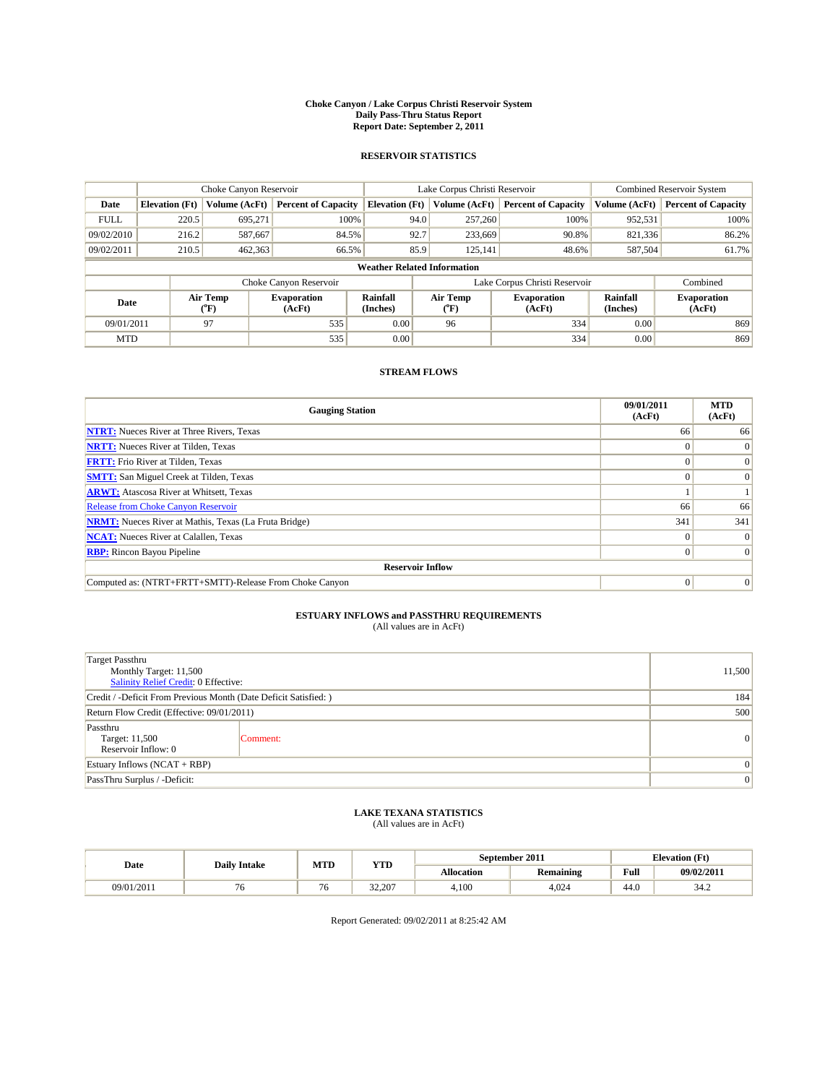#### **Choke Canyon / Lake Corpus Christi Reservoir System Daily Pass-Thru Status Report Report Date: September 2, 2011**

#### **RESERVOIR STATISTICS**

|             |                                    | Choke Canyon Reservoir |                              |                             | Lake Corpus Christi Reservoir | Combined Reservoir System     |                      |                              |  |
|-------------|------------------------------------|------------------------|------------------------------|-----------------------------|-------------------------------|-------------------------------|----------------------|------------------------------|--|
| Date        | <b>Elevation</b> (Ft)              | Volume (AcFt)          | <b>Percent of Capacity</b>   | <b>Elevation</b> (Ft)       | Volume (AcFt)                 | <b>Percent of Capacity</b>    | Volume (AcFt)        | <b>Percent of Capacity</b>   |  |
| <b>FULL</b> | 220.5                              | 695,271                | 100%                         | 94.0                        | 257,260                       | 100%                          | 952,531              | 100%                         |  |
| 09/02/2010  | 216.2                              | 587,667                | 84.5%                        | 92.7                        | 233,669                       | 90.8%                         | 821,336              | 86.2%                        |  |
| 09/02/2011  | 210.5                              | 462,363                | 66.5%                        | 85.9                        | 125,141                       | 48.6%                         | 587,504              | 61.7%                        |  |
|             | <b>Weather Related Information</b> |                        |                              |                             |                               |                               |                      |                              |  |
|             |                                    |                        | Choke Canyon Reservoir       |                             |                               | Lake Corpus Christi Reservoir |                      | Combined                     |  |
| Date        |                                    | Air Temp<br>(°F)       | <b>Evaporation</b><br>(AcFt) | <b>Rainfall</b><br>(Inches) | Air Temp<br>(°F)              | <b>Evaporation</b><br>(AcFt)  | Rainfall<br>(Inches) | <b>Evaporation</b><br>(AcFt) |  |
| 09/01/2011  |                                    | 97                     | 535                          | 0.00                        | 96                            | 334                           | 0.00                 | 869                          |  |
| <b>MTD</b>  |                                    |                        | 535                          | 0.00                        |                               | 334                           | 0.00                 | 869                          |  |

### **STREAM FLOWS**

| <b>Gauging Station</b>                                       | 09/01/2011<br>(AcFt) | <b>MTD</b><br>(AcFt) |  |  |  |  |
|--------------------------------------------------------------|----------------------|----------------------|--|--|--|--|
| <b>NTRT:</b> Nueces River at Three Rivers, Texas             | 66                   | 66                   |  |  |  |  |
| <b>NRTT:</b> Nueces River at Tilden, Texas                   |                      | $\Omega$             |  |  |  |  |
| <b>FRTT:</b> Frio River at Tilden, Texas                     |                      | $\Omega$             |  |  |  |  |
| <b>SMTT:</b> San Miguel Creek at Tilden, Texas               |                      | $\Omega$             |  |  |  |  |
| <b>ARWT:</b> Atascosa River at Whitsett, Texas               |                      |                      |  |  |  |  |
| Release from Choke Canyon Reservoir                          | 66                   | 66                   |  |  |  |  |
| <b>NRMT:</b> Nueces River at Mathis, Texas (La Fruta Bridge) | 341                  | 341                  |  |  |  |  |
| <b>NCAT:</b> Nueces River at Calallen, Texas                 | 0                    |                      |  |  |  |  |
| <b>RBP:</b> Rincon Bayou Pipeline                            | $\Omega$             | $\Omega$             |  |  |  |  |
| <b>Reservoir Inflow</b>                                      |                      |                      |  |  |  |  |
| Computed as: (NTRT+FRTT+SMTT)-Release From Choke Canyon      | $\Omega$             | $\Omega$             |  |  |  |  |

# **ESTUARY INFLOWS and PASSTHRU REQUIREMENTS**

|  | (All values are in AcFt) |
|--|--------------------------|
|--|--------------------------|

| <b>Target Passthru</b><br>Monthly Target: 11,500<br>Salinity Relief Credit: 0 Effective: | 11,500         |                |
|------------------------------------------------------------------------------------------|----------------|----------------|
| Credit / -Deficit From Previous Month (Date Deficit Satisfied: )                         | 184            |                |
| Return Flow Credit (Effective: 09/01/2011)                                               | 500            |                |
| Passthru<br>Target: 11,500<br>Reservoir Inflow: 0                                        | Comment:       | $\overline{0}$ |
| Estuary Inflows (NCAT + RBP)                                                             | $\Omega$       |                |
| PassThru Surplus / -Deficit:                                                             | $\overline{0}$ |                |

## **LAKE TEXANA STATISTICS** (All values are in AcFt)

|            | <b>Daily Intake</b> | MTD                      | YTD    |            | September 2011   | <b>Elevation</b> (Ft) |            |
|------------|---------------------|--------------------------|--------|------------|------------------|-----------------------|------------|
| Date       |                     |                          |        | Allocation | <b>Remaining</b> | Full<br>$\sim$ $\sim$ | 09/02/2011 |
| 09/01/2011 |                     | $\overline{\phantom{0}}$ | 32.207 | 4.100      | 4.024            | 44.0                  | 34.2       |

Report Generated: 09/02/2011 at 8:25:42 AM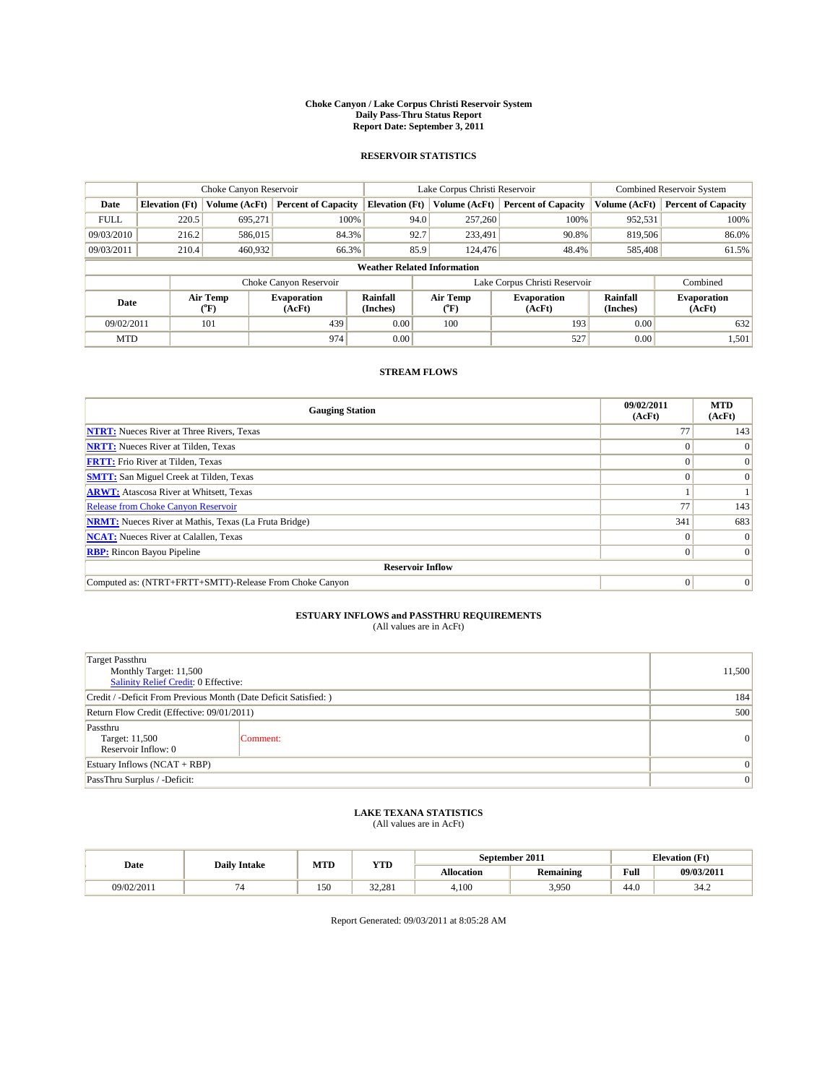#### **Choke Canyon / Lake Corpus Christi Reservoir System Daily Pass-Thru Status Report Report Date: September 3, 2011**

#### **RESERVOIR STATISTICS**

|             |                                    | Choke Canyon Reservoir |                              |                             | Lake Corpus Christi Reservoir |                               |                      | <b>Combined Reservoir System</b> |  |
|-------------|------------------------------------|------------------------|------------------------------|-----------------------------|-------------------------------|-------------------------------|----------------------|----------------------------------|--|
| Date        | <b>Elevation</b> (Ft)              | Volume (AcFt)          | <b>Percent of Capacity</b>   | <b>Elevation</b> (Ft)       | Volume (AcFt)                 | <b>Percent of Capacity</b>    | Volume (AcFt)        | <b>Percent of Capacity</b>       |  |
| <b>FULL</b> | 220.5                              | 695,271                | 100%                         | 94.0                        | 257,260                       | 100%                          | 952,531              | 100%                             |  |
| 09/03/2010  | 216.2                              | 586,015                | 84.3%                        | 92.7                        | 233,491                       | 90.8%                         | 819,506              | 86.0%                            |  |
| 09/03/2011  | 210.4                              | 460,932                | 66.3%                        | 85.9                        | 124,476                       | 48.4%                         | 585,408              | 61.5%                            |  |
|             | <b>Weather Related Information</b> |                        |                              |                             |                               |                               |                      |                                  |  |
|             |                                    |                        | Choke Canyon Reservoir       |                             |                               | Lake Corpus Christi Reservoir |                      | Combined                         |  |
| Date        |                                    | Air Temp<br>(°F)       | <b>Evaporation</b><br>(AcFt) | <b>Rainfall</b><br>(Inches) | Air Temp<br>(°F)              | <b>Evaporation</b><br>(AcFt)  | Rainfall<br>(Inches) | <b>Evaporation</b><br>(AcFt)     |  |
| 09/02/2011  |                                    | 101                    | 439                          | 0.00                        | 100                           | 193                           | 0.00                 | 632                              |  |
| <b>MTD</b>  |                                    |                        | 974                          | 0.00                        |                               | 527                           | 0.00                 | 1,501                            |  |

### **STREAM FLOWS**

| <b>Gauging Station</b>                                       | 09/02/2011<br>(AcFt) | <b>MTD</b><br>(AcFt) |  |  |  |  |
|--------------------------------------------------------------|----------------------|----------------------|--|--|--|--|
| <b>NTRT:</b> Nueces River at Three Rivers, Texas             | 77                   | 143                  |  |  |  |  |
| <b>NRTT:</b> Nueces River at Tilden, Texas                   |                      |                      |  |  |  |  |
| <b>FRTT:</b> Frio River at Tilden, Texas                     |                      |                      |  |  |  |  |
| <b>SMTT:</b> San Miguel Creek at Tilden, Texas               |                      |                      |  |  |  |  |
| <b>ARWT:</b> Atascosa River at Whitsett, Texas               |                      |                      |  |  |  |  |
| Release from Choke Canyon Reservoir                          | 77                   | 143                  |  |  |  |  |
| <b>NRMT:</b> Nueces River at Mathis, Texas (La Fruta Bridge) | 341                  | 683                  |  |  |  |  |
| <b>NCAT:</b> Nueces River at Calallen, Texas                 | $\Omega$             |                      |  |  |  |  |
| <b>RBP:</b> Rincon Bayou Pipeline                            | $\Omega$             | $\Omega$             |  |  |  |  |
| <b>Reservoir Inflow</b>                                      |                      |                      |  |  |  |  |
| Computed as: (NTRT+FRTT+SMTT)-Release From Choke Canyon      | $\Omega$             | $\Omega$             |  |  |  |  |

# **ESTUARY INFLOWS and PASSTHRU REQUIREMENTS**

|  | (All values are in AcFt) |
|--|--------------------------|
|--|--------------------------|

| <b>Target Passthru</b><br>Monthly Target: 11,500<br>Salinity Relief Credit: 0 Effective: |                |                |  |  |
|------------------------------------------------------------------------------------------|----------------|----------------|--|--|
| Credit / -Deficit From Previous Month (Date Deficit Satisfied: )                         |                |                |  |  |
| Return Flow Credit (Effective: 09/01/2011)                                               |                |                |  |  |
| Passthru<br>Target: 11,500<br>Reservoir Inflow: 0                                        | Comment:       | $\overline{0}$ |  |  |
| Estuary Inflows (NCAT + RBP)                                                             |                |                |  |  |
| PassThru Surplus / -Deficit:                                                             | $\overline{0}$ |                |  |  |

## **LAKE TEXANA STATISTICS** (All values are in AcFt)

| Date       | <b>Daily Intake</b> |     | MTD<br><b>YTD</b> | September 2011 |           | <b>Elevation</b> (Ft)                       |            |
|------------|---------------------|-----|-------------------|----------------|-----------|---------------------------------------------|------------|
|            |                     |     |                   | Allocation     | Remaining | Full<br>the contract of the contract of the | 09/03/2011 |
| 09/02/2011 |                     | 150 | 32.281            | 4.100          | 3.950     | 44.0                                        | 34.2       |

Report Generated: 09/03/2011 at 8:05:28 AM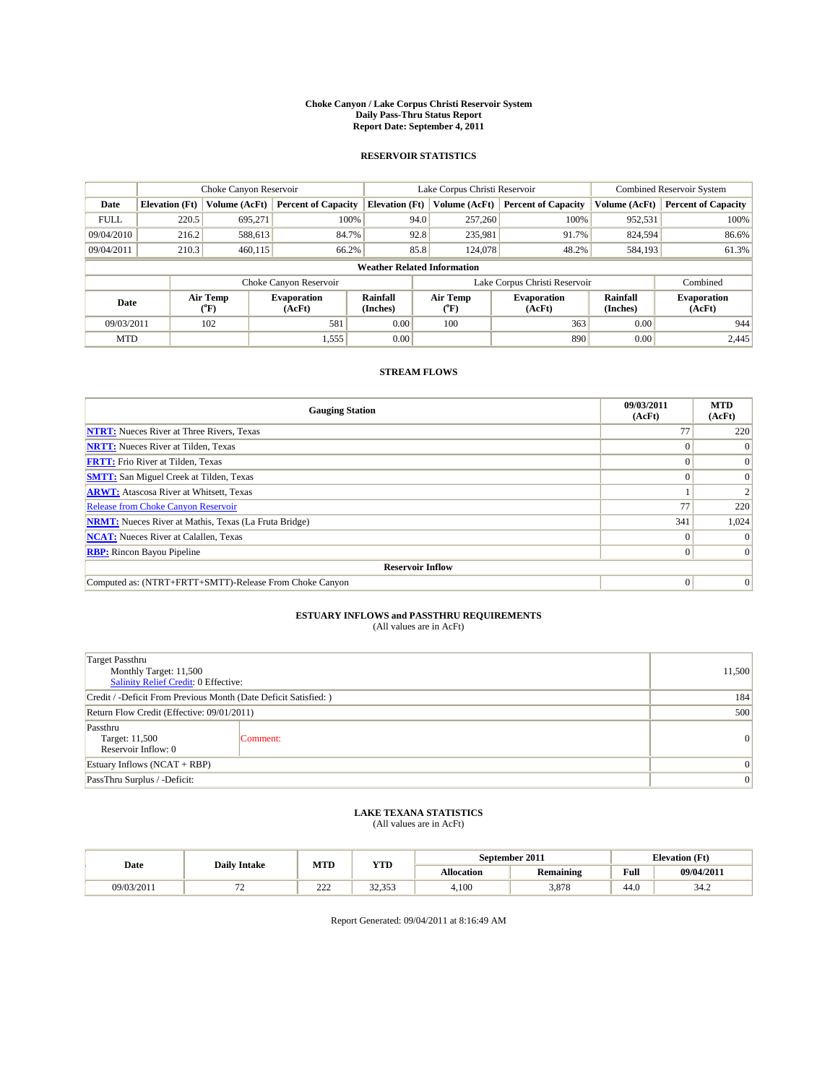#### **Choke Canyon / Lake Corpus Christi Reservoir System Daily Pass-Thru Status Report Report Date: September 4, 2011**

#### **RESERVOIR STATISTICS**

|             |                       | Choke Canyon Reservoir      |                              |                                    | Lake Corpus Christi Reservoir | Combined Reservoir System    |                      |                              |
|-------------|-----------------------|-----------------------------|------------------------------|------------------------------------|-------------------------------|------------------------------|----------------------|------------------------------|
| Date        | <b>Elevation</b> (Ft) | Volume (AcFt)               | <b>Percent of Capacity</b>   | <b>Elevation</b> (Ft)              | Volume (AcFt)                 | <b>Percent of Capacity</b>   | Volume (AcFt)        | <b>Percent of Capacity</b>   |
| <b>FULL</b> | 220.5                 | 695,271                     | 100%                         | 94.0                               | 257,260                       | 100%                         | 952,531              | 100%                         |
| 09/04/2010  | 216.2                 | 588,613                     | 84.7%                        | 92.8                               | 235,981                       | 91.7%                        | 824,594              | 86.6%                        |
| 09/04/2011  | 210.3                 | 460,115                     | 66.2%                        | 85.8                               | 124,078                       | 48.2%                        | 584,193              | 61.3%                        |
|             |                       |                             |                              | <b>Weather Related Information</b> |                               |                              |                      |                              |
|             |                       |                             | Choke Canyon Reservoir       |                                    | Lake Corpus Christi Reservoir |                              |                      | Combined                     |
| Date        |                       | Air Temp<br>${}^{\circ}$ F) | <b>Evaporation</b><br>(AcFt) | <b>Rainfall</b><br>(Inches)        | Air Temp<br>(°F)              | <b>Evaporation</b><br>(AcFt) | Rainfall<br>(Inches) | <b>Evaporation</b><br>(AcFt) |
| 09/03/2011  |                       | 102                         | 581                          | 0.00                               | 100                           | 363                          | 0.00                 | 944                          |
| <b>MTD</b>  |                       |                             | 1,555                        | 0.00                               |                               | 890                          | 0.00                 | 2,445                        |

### **STREAM FLOWS**

| <b>Gauging Station</b>                                       | 09/03/2011<br>(AcFt) | <b>MTD</b><br>(AcFt) |  |  |  |  |  |
|--------------------------------------------------------------|----------------------|----------------------|--|--|--|--|--|
| <b>NTRT:</b> Nueces River at Three Rivers, Texas             | 77                   | 220                  |  |  |  |  |  |
| <b>NRTT:</b> Nueces River at Tilden, Texas                   |                      |                      |  |  |  |  |  |
| <b>FRTT:</b> Frio River at Tilden, Texas                     |                      |                      |  |  |  |  |  |
| <b>SMTT:</b> San Miguel Creek at Tilden, Texas               |                      |                      |  |  |  |  |  |
| <b>ARWT:</b> Atascosa River at Whitsett, Texas               |                      |                      |  |  |  |  |  |
| Release from Choke Canyon Reservoir                          | 77                   | 220                  |  |  |  |  |  |
| <b>NRMT:</b> Nueces River at Mathis, Texas (La Fruta Bridge) | 341                  | 1,024                |  |  |  |  |  |
| <b>NCAT:</b> Nueces River at Calallen, Texas                 |                      |                      |  |  |  |  |  |
| <b>RBP:</b> Rincon Bayou Pipeline                            | $\Omega$             | $\Omega$             |  |  |  |  |  |
| <b>Reservoir Inflow</b>                                      |                      |                      |  |  |  |  |  |
| Computed as: (NTRT+FRTT+SMTT)-Release From Choke Canyon      | $\Omega$             | $\Omega$             |  |  |  |  |  |

# **ESTUARY INFLOWS and PASSTHRU REQUIREMENTS**<br>(All values are in AcFt)

| <b>Target Passthru</b><br>Monthly Target: 11,500<br>Salinity Relief Credit: 0 Effective: |          |                 |  |  |
|------------------------------------------------------------------------------------------|----------|-----------------|--|--|
| Credit / -Deficit From Previous Month (Date Deficit Satisfied: )                         |          |                 |  |  |
| Return Flow Credit (Effective: 09/01/2011)                                               |          |                 |  |  |
| Passthru<br>Target: 11,500<br>Reservoir Inflow: 0                                        | Comment: | $\vert 0 \vert$ |  |  |
| Estuary Inflows $(NCAT + RBP)$                                                           |          |                 |  |  |
| PassThru Surplus / -Deficit:                                                             |          | $\overline{0}$  |  |  |

## **LAKE TEXANA STATISTICS** (All values are in AcFt)

|            | <b>Daily Intake</b> |                      | MTD<br><b>YTD</b>        |                   | September 2011   | <b>Elevation</b> (Ft)                 |                          |
|------------|---------------------|----------------------|--------------------------|-------------------|------------------|---------------------------------------|--------------------------|
| Date       |                     |                      |                          | <b>Allocation</b> | <b>Remaining</b> | Full                                  | 09/04/2011               |
| 09/03/2011 | --<br>. .           | $\mathcal{L}$<br>ے ک | $\sim$<br>250<br><i></i> | 4.100             | 3.878            | $\overline{A}$ $\overline{C}$<br>44.U | 2.4 <sub>0</sub><br>34.Z |

Report Generated: 09/04/2011 at 8:16:49 AM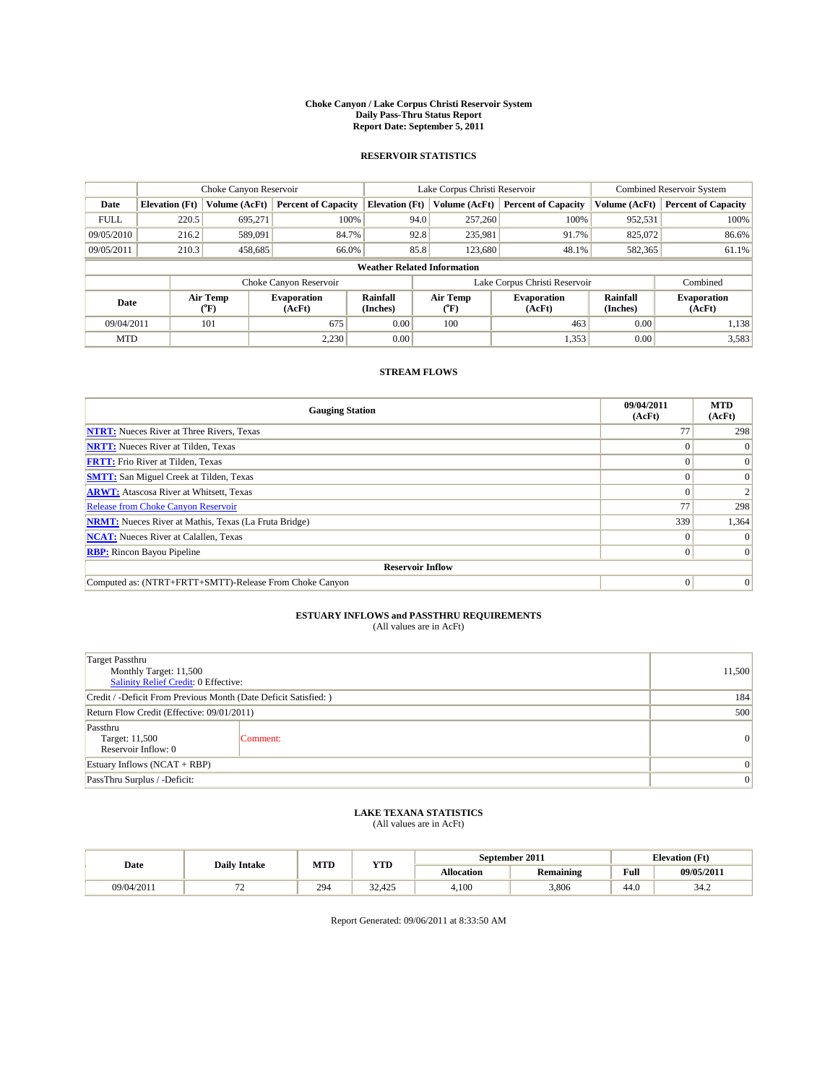#### **Choke Canyon / Lake Corpus Christi Reservoir System Daily Pass-Thru Status Report Report Date: September 5, 2011**

#### **RESERVOIR STATISTICS**

|             |                       | Choke Canyon Reservoir                    |                              |                                    | Lake Corpus Christi Reservoir | <b>Combined Reservoir System</b> |                      |                              |
|-------------|-----------------------|-------------------------------------------|------------------------------|------------------------------------|-------------------------------|----------------------------------|----------------------|------------------------------|
| Date        | <b>Elevation</b> (Ft) | Volume (AcFt)                             | <b>Percent of Capacity</b>   | <b>Elevation</b> (Ft)              | Volume (AcFt)                 | <b>Percent of Capacity</b>       | Volume (AcFt)        | <b>Percent of Capacity</b>   |
| <b>FULL</b> | 220.5                 | 695,271                                   | 100%                         | 94.0                               | 257,260                       | 100%                             | 952,531              | 100%                         |
| 09/05/2010  | 216.2                 | 589,091                                   | 84.7%                        | 92.8                               | 235,981                       | 91.7%                            | 825,072              | 86.6%                        |
| 09/05/2011  | 210.3                 | 458,685                                   | 66.0%                        | 85.8                               | 123,680                       | 48.1%                            | 582,365              | 61.1%                        |
|             |                       |                                           |                              | <b>Weather Related Information</b> |                               |                                  |                      |                              |
|             |                       |                                           | Choke Canyon Reservoir       |                                    | Lake Corpus Christi Reservoir |                                  |                      | Combined                     |
| Date        |                       | Air Temp<br>$({}^{\mathrm{o}}\mathrm{F})$ | <b>Evaporation</b><br>(AcFt) | <b>Rainfall</b><br>(Inches)        | Air Temp<br>(°F)              | <b>Evaporation</b><br>(AcFt)     | Rainfall<br>(Inches) | <b>Evaporation</b><br>(AcFt) |
| 09/04/2011  |                       | 101                                       | 675                          | 0.00                               | 100                           | 463                              | 0.00                 | 1,138                        |
| <b>MTD</b>  |                       |                                           | 2,230                        | 0.00                               |                               | 1,353                            | 0.00                 | 3,583                        |

### **STREAM FLOWS**

| <b>Gauging Station</b>                                       | 09/04/2011<br>(AcFt) | <b>MTD</b><br>(AcFt) |
|--------------------------------------------------------------|----------------------|----------------------|
| <b>NTRT:</b> Nueces River at Three Rivers, Texas             | 77                   | 298                  |
| <b>NRTT:</b> Nueces River at Tilden, Texas                   |                      |                      |
| <b>FRTT:</b> Frio River at Tilden, Texas                     |                      | $\Omega$             |
| <b>SMTT:</b> San Miguel Creek at Tilden, Texas               |                      | $\Omega$             |
| <b>ARWT:</b> Atascosa River at Whitsett, Texas               |                      |                      |
| <b>Release from Choke Canyon Reservoir</b>                   | 77                   | 298                  |
| <b>NRMT:</b> Nueces River at Mathis, Texas (La Fruta Bridge) | 339                  | 1,364                |
| <b>NCAT:</b> Nueces River at Calallen, Texas                 | $\Omega$             |                      |
| <b>RBP:</b> Rincon Bayou Pipeline                            | $\Omega$             | $\Omega$             |
| <b>Reservoir Inflow</b>                                      |                      |                      |
| Computed as: (NTRT+FRTT+SMTT)-Release From Choke Canyon      | $\Omega$             | $\Omega$             |

# **ESTUARY INFLOWS and PASSTHRU REQUIREMENTS**<br>(All values are in AcFt)

| <b>Target Passthru</b><br>Monthly Target: 11,500<br><b>Salinity Relief Credit: 0 Effective:</b> |          |   |  |  |  |
|-------------------------------------------------------------------------------------------------|----------|---|--|--|--|
| Credit / -Deficit From Previous Month (Date Deficit Satisfied: )                                |          |   |  |  |  |
| Return Flow Credit (Effective: 09/01/2011)                                                      | 500      |   |  |  |  |
| Passthru<br>Target: 11,500<br>Reservoir Inflow: 0                                               | Comment: | 0 |  |  |  |
| Estuary Inflows (NCAT + RBP)                                                                    |          |   |  |  |  |
| PassThru Surplus / -Deficit:                                                                    |          |   |  |  |  |

# **LAKE TEXANA STATISTICS** (All values are in AcFt)

| Date       | <b>Daily Intake</b> | MTD | YTD          |                   | September 2011   | <b>Elevation</b> (Ft) |            |
|------------|---------------------|-----|--------------|-------------------|------------------|-----------------------|------------|
|            |                     |     |              | <b>Allocation</b> | <b>Remaining</b> | Full                  | 09/05/2011 |
| 09/04/2011 | --<br>. .           | 294 | 22<br>32.425 | 4.100             | 3.806            | 44.0                  | 34.2       |

Report Generated: 09/06/2011 at 8:33:50 AM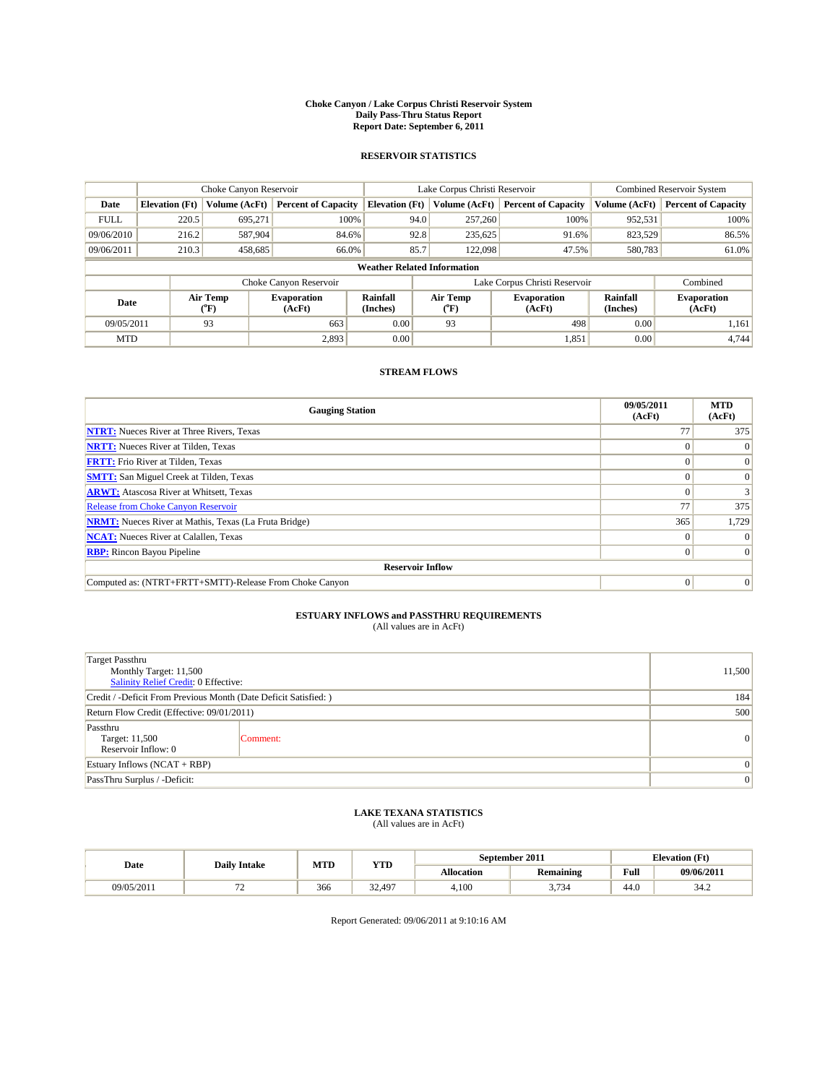#### **Choke Canyon / Lake Corpus Christi Reservoir System Daily Pass-Thru Status Report Report Date: September 6, 2011**

#### **RESERVOIR STATISTICS**

|             |                       | Choke Canyon Reservoir                    |                              |                                    | Lake Corpus Christi Reservoir | <b>Combined Reservoir System</b> |                      |                              |
|-------------|-----------------------|-------------------------------------------|------------------------------|------------------------------------|-------------------------------|----------------------------------|----------------------|------------------------------|
| Date        | <b>Elevation</b> (Ft) | Volume (AcFt)                             | <b>Percent of Capacity</b>   | <b>Elevation</b> (Ft)              | Volume (AcFt)                 | <b>Percent of Capacity</b>       | Volume (AcFt)        | <b>Percent of Capacity</b>   |
| <b>FULL</b> | 220.5                 | 695,271                                   | 100%                         | 94.0                               | 257,260                       | 100%                             | 952,531              | 100%                         |
| 09/06/2010  | 216.2                 | 587,904                                   | 84.6%                        | 92.8                               | 235,625                       | 91.6%                            | 823,529              | 86.5%                        |
| 09/06/2011  | 210.3                 | 458,685                                   | 66.0%                        | 85.7                               | 122,098                       | 47.5%                            | 580,783              | 61.0%                        |
|             |                       |                                           |                              | <b>Weather Related Information</b> |                               |                                  |                      |                              |
|             |                       |                                           | Choke Canyon Reservoir       |                                    | Lake Corpus Christi Reservoir |                                  |                      | Combined                     |
| Date        |                       | Air Temp<br>$({}^{\mathrm{o}}\mathrm{F})$ | <b>Evaporation</b><br>(AcFt) | <b>Rainfall</b><br>(Inches)        | Air Temp<br>("F)              | <b>Evaporation</b><br>(AcFt)     | Rainfall<br>(Inches) | <b>Evaporation</b><br>(AcFt) |
| 09/05/2011  |                       | 93                                        | 663                          | 0.00                               | 93                            | 498                              | 0.00                 | 1,161                        |
| <b>MTD</b>  |                       |                                           | 2,893                        | 0.00                               |                               | 1,851                            | 0.00                 | 4.744                        |

### **STREAM FLOWS**

| <b>Gauging Station</b>                                       | 09/05/2011<br>(AcFt) | <b>MTD</b><br>(AcFt) |
|--------------------------------------------------------------|----------------------|----------------------|
| <b>NTRT:</b> Nueces River at Three Rivers, Texas             | 77                   | 375                  |
| <b>NRTT:</b> Nueces River at Tilden, Texas                   |                      |                      |
| <b>FRTT:</b> Frio River at Tilden, Texas                     |                      |                      |
| <b>SMTT:</b> San Miguel Creek at Tilden, Texas               |                      |                      |
| <b>ARWT:</b> Atascosa River at Whitsett, Texas               |                      |                      |
| Release from Choke Canyon Reservoir                          | 77                   | 375                  |
| <b>NRMT:</b> Nueces River at Mathis, Texas (La Fruta Bridge) | 365                  | 1,729                |
| <b>NCAT:</b> Nueces River at Calallen, Texas                 |                      |                      |
| <b>RBP:</b> Rincon Bayou Pipeline                            | $\Omega$             | $\Omega$             |
| <b>Reservoir Inflow</b>                                      |                      |                      |
| Computed as: (NTRT+FRTT+SMTT)-Release From Choke Canyon      | $\Omega$             | $\Omega$             |

# **ESTUARY INFLOWS and PASSTHRU REQUIREMENTS**<br>(All values are in AcFt)

| <b>Target Passthru</b><br>Monthly Target: 11,500<br>Salinity Relief Credit: 0 Effective: |          |                 |  |  |  |
|------------------------------------------------------------------------------------------|----------|-----------------|--|--|--|
| Credit / -Deficit From Previous Month (Date Deficit Satisfied: )                         |          |                 |  |  |  |
| Return Flow Credit (Effective: 09/01/2011)                                               | 500      |                 |  |  |  |
| Passthru<br>Target: 11,500<br>Reservoir Inflow: 0                                        | Comment: | $\vert 0 \vert$ |  |  |  |
| Estuary Inflows $(NCAT + RBP)$                                                           |          |                 |  |  |  |
| PassThru Surplus / -Deficit:                                                             |          | $\vert 0 \vert$ |  |  |  |

## **LAKE TEXANA STATISTICS** (All values are in AcFt)

|            | <b>Daily Intake</b> | MTD<br><b>YTD</b> |       |                   | September 2011     | <b>Elevation</b> (Ft) |                          |
|------------|---------------------|-------------------|-------|-------------------|--------------------|-----------------------|--------------------------|
| Date       |                     |                   |       | <b>Allocation</b> | <b>Remaining</b>   | Full                  | 09/06/2011               |
| 09/05/2011 | --<br>. .           | 366               | 2.497 | 4,100             | $\sim$<br><u>.</u> | $\sim$<br>44.0        | 2.4 <sub>0</sub><br>34.Z |

Report Generated: 09/06/2011 at 9:10:16 AM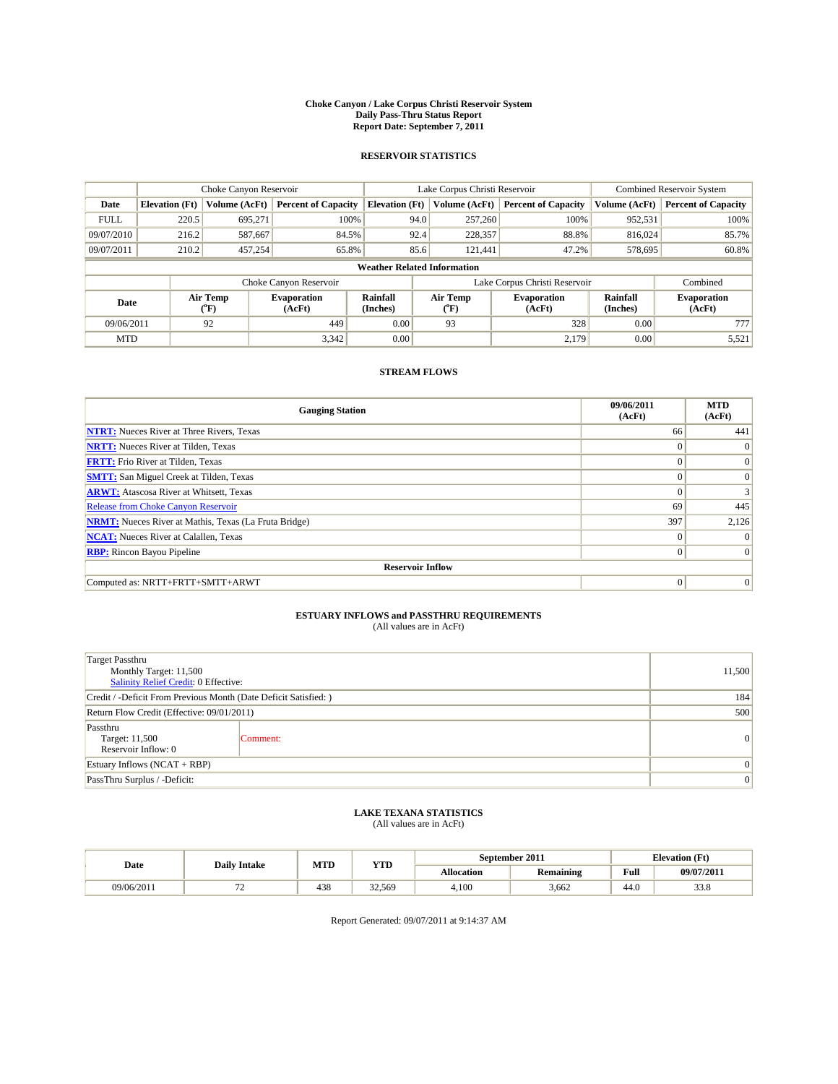#### **Choke Canyon / Lake Corpus Christi Reservoir System Daily Pass-Thru Status Report Report Date: September 7, 2011**

#### **RESERVOIR STATISTICS**

|             | Choke Canyon Reservoir                                                                                      |               |                              |                                    | Lake Corpus Christi Reservoir |               |                               | <b>Combined Reservoir System</b> |                            |
|-------------|-------------------------------------------------------------------------------------------------------------|---------------|------------------------------|------------------------------------|-------------------------------|---------------|-------------------------------|----------------------------------|----------------------------|
| Date        | <b>Elevation</b> (Ft)                                                                                       | Volume (AcFt) | <b>Percent of Capacity</b>   | <b>Elevation</b> (Ft)              |                               | Volume (AcFt) | <b>Percent of Capacity</b>    | Volume (AcFt)                    | <b>Percent of Capacity</b> |
| <b>FULL</b> | 220.5                                                                                                       | 695,271       | 100%                         |                                    | 94.0                          | 257,260       | 100%                          | 952,531                          | 100%                       |
| 09/07/2010  | 216.2                                                                                                       | 587,667       | 84.5%                        |                                    | 92.4                          | 228,357       | 88.8%                         | 816,024                          | 85.7%                      |
| 09/07/2011  | 210.2                                                                                                       | 457,254       | 65.8%                        |                                    | 85.6                          | 121,441       | 47.2%                         | 578,695                          | 60.8%                      |
|             |                                                                                                             |               |                              | <b>Weather Related Information</b> |                               |               |                               |                                  |                            |
|             |                                                                                                             |               | Choke Canyon Reservoir       |                                    |                               |               | Lake Corpus Christi Reservoir |                                  | Combined                   |
|             | Air Temp<br>Air Temp<br><b>Rainfall</b><br><b>Evaporation</b><br>Date<br>(Inches)<br>(AcFt)<br>(°F)<br>(°F) |               | <b>Evaporation</b><br>(AcFt) | Rainfall<br>(Inches)               | <b>Evaporation</b><br>(AcFt)  |               |                               |                                  |                            |
| 09/06/2011  |                                                                                                             | 92            | 449                          | 0.00                               |                               | 93            | 328                           | 0.00                             | 777                        |
| <b>MTD</b>  |                                                                                                             |               | 3,342                        | 0.00                               |                               |               | 2.179                         | 0.00                             | 5,521                      |

### **STREAM FLOWS**

| <b>Gauging Station</b>                                       | 09/06/2011<br>(AcFt) | <b>MTD</b><br>(AcFt) |
|--------------------------------------------------------------|----------------------|----------------------|
| <b>NTRT:</b> Nueces River at Three Rivers, Texas             | 66                   | 441                  |
| <b>NRTT:</b> Nueces River at Tilden, Texas                   | $\Omega$             | $\theta$             |
| <b>FRTT:</b> Frio River at Tilden, Texas                     | $\Omega$             | $\vert 0 \vert$      |
| <b>SMTT:</b> San Miguel Creek at Tilden, Texas               | $\Omega$             | $\Omega$             |
| <b>ARWT:</b> Atascosa River at Whitsett, Texas               | $\Omega$             | 3                    |
| Release from Choke Canyon Reservoir                          | 69                   | 445                  |
| <b>NRMT:</b> Nueces River at Mathis, Texas (La Fruta Bridge) | 397                  | 2,126                |
| <b>NCAT:</b> Nueces River at Calallen, Texas                 | $\Omega$             | $\theta$             |
| <b>RBP:</b> Rincon Bayou Pipeline                            | $\vert 0 \vert$      | $\Omega$             |
| <b>Reservoir Inflow</b>                                      |                      |                      |
| Computed as: NRTT+FRTT+SMTT+ARWT                             | $\mathbf{0}$         | $\vert 0 \vert$      |

# **ESTUARY INFLOWS and PASSTHRU REQUIREMENTS**

|  | (All values are in AcFt) |  |  |
|--|--------------------------|--|--|
|--|--------------------------|--|--|

| Target Passthru<br>Monthly Target: 11,500<br><b>Salinity Relief Credit: 0 Effective:</b> |          |                 |  |  |  |
|------------------------------------------------------------------------------------------|----------|-----------------|--|--|--|
| Credit / -Deficit From Previous Month (Date Deficit Satisfied: )                         |          |                 |  |  |  |
| Return Flow Credit (Effective: 09/01/2011)                                               |          |                 |  |  |  |
| Passthru<br>Target: 11,500<br>Reservoir Inflow: 0                                        | Comment: | $\vert 0 \vert$ |  |  |  |
| Estuary Inflows $(NCAT + RBP)$                                                           |          |                 |  |  |  |
| PassThru Surplus / -Deficit:                                                             |          | $\vert 0 \vert$ |  |  |  |

## **LAKE TEXANA STATISTICS** (All values are in AcFt)

|            | <b>Daily Intake</b> | MTD | YTD    |            | September 2011   |                                             | <b>Elevation</b> (Ft) |
|------------|---------------------|-----|--------|------------|------------------|---------------------------------------------|-----------------------|
| Date       |                     |     |        | Allocation | <b>Remaining</b> | Full<br>the contract of the contract of the | 09/07/2011            |
| 09/06/2011 | . .                 | 438 | 32.569 | 4.100      | 3.662            | 44.0                                        | $\sim$ $\sim$<br>33.8 |

Report Generated: 09/07/2011 at 9:14:37 AM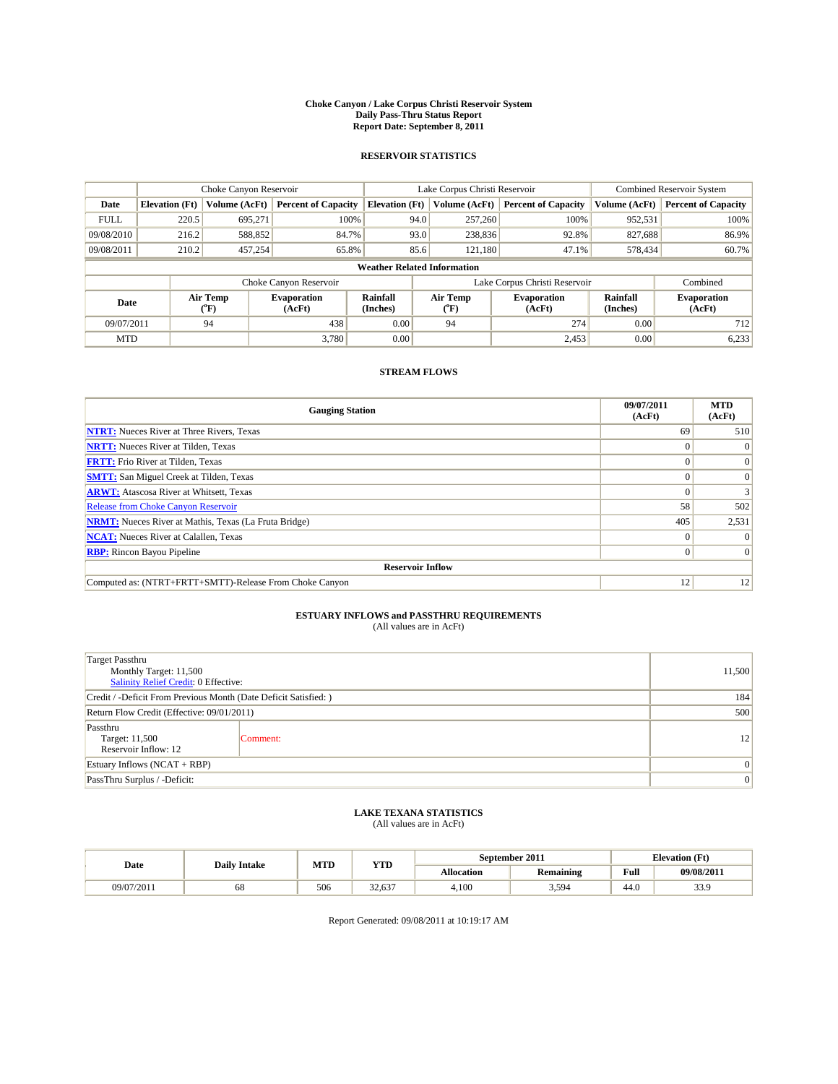#### **Choke Canyon / Lake Corpus Christi Reservoir System Daily Pass-Thru Status Report Report Date: September 8, 2011**

#### **RESERVOIR STATISTICS**

|             | Choke Canyon Reservoir                                                                                                                      |               |                            |                                    | Lake Corpus Christi Reservoir |                               |               | <b>Combined Reservoir System</b> |  |
|-------------|---------------------------------------------------------------------------------------------------------------------------------------------|---------------|----------------------------|------------------------------------|-------------------------------|-------------------------------|---------------|----------------------------------|--|
| Date        | <b>Elevation</b> (Ft)                                                                                                                       | Volume (AcFt) | <b>Percent of Capacity</b> | <b>Elevation</b> (Ft)              | Volume (AcFt)                 | <b>Percent of Capacity</b>    | Volume (AcFt) | <b>Percent of Capacity</b>       |  |
| <b>FULL</b> | 220.5                                                                                                                                       | 695,271       | 100%                       | 94.0                               | 257,260                       | 100%                          | 952,531       | 100%                             |  |
| 09/08/2010  | 216.2                                                                                                                                       | 588,852       | 84.7%                      | 93.0                               | 238,836                       | 92.8%                         | 827,688       | 86.9%                            |  |
| 09/08/2011  | 210.2                                                                                                                                       | 457,254       | 65.8%                      | 85.6                               | 121.180                       | 47.1%                         | 578,434       | 60.7%                            |  |
|             |                                                                                                                                             |               |                            | <b>Weather Related Information</b> |                               |                               |               |                                  |  |
|             |                                                                                                                                             |               | Choke Canyon Reservoir     |                                    |                               | Lake Corpus Christi Reservoir |               | Combined                         |  |
|             | Air Temp<br><b>Rainfall</b><br>Air Temp<br><b>Evaporation</b><br><b>Evaporation</b><br>Date<br>(Inches)<br>(AcFt)<br>(°F)<br>(AcFt)<br>(°F) |               |                            | Rainfall<br>(Inches)               | <b>Evaporation</b><br>(AcFt)  |                               |               |                                  |  |
| 09/07/2011  |                                                                                                                                             | 94            | 438                        | 0.00                               | 94                            | 274                           | 0.00          | 712                              |  |
| <b>MTD</b>  |                                                                                                                                             |               | 3.780                      | 0.00                               |                               | 2,453                         | 0.00          | 6,233                            |  |

### **STREAM FLOWS**

| <b>Gauging Station</b>                                       | 09/07/2011<br>(AcFt) | <b>MTD</b><br>(AcFt) |
|--------------------------------------------------------------|----------------------|----------------------|
| <b>NTRT:</b> Nueces River at Three Rivers, Texas             | 69                   | 510                  |
| <b>NRTT:</b> Nueces River at Tilden, Texas                   |                      | $\Omega$             |
| <b>FRTT:</b> Frio River at Tilden, Texas                     |                      | $\Omega$             |
| <b>SMTT:</b> San Miguel Creek at Tilden, Texas               |                      | $\Omega$             |
| <b>ARWT:</b> Atascosa River at Whitsett, Texas               |                      |                      |
| <b>Release from Choke Canyon Reservoir</b>                   | 58                   | 502                  |
| <b>NRMT:</b> Nueces River at Mathis, Texas (La Fruta Bridge) | 405                  | 2,531                |
| <b>NCAT:</b> Nueces River at Calallen, Texas                 | $\Omega$             |                      |
| <b>RBP:</b> Rincon Bayou Pipeline                            | $\overline{0}$       | $\Omega$             |
| <b>Reservoir Inflow</b>                                      |                      |                      |
| Computed as: (NTRT+FRTT+SMTT)-Release From Choke Canyon      | 12                   | 12                   |

# **ESTUARY INFLOWS and PASSTHRU REQUIREMENTS**<br>(All values are in AcFt)

| Target Passthru<br>Monthly Target: 11,500<br>Salinity Relief Credit: 0 Effective: |                 |                 |  |  |  |
|-----------------------------------------------------------------------------------|-----------------|-----------------|--|--|--|
| Credit / -Deficit From Previous Month (Date Deficit Satisfied: )                  |                 |                 |  |  |  |
| Return Flow Credit (Effective: 09/01/2011)                                        | 500             |                 |  |  |  |
| Passthru<br>Target: 11,500<br>Reservoir Inflow: 12                                | Comment:        | 12              |  |  |  |
| Estuary Inflows $(NCAT + RBP)$                                                    | $\vert 0 \vert$ |                 |  |  |  |
| PassThru Surplus / -Deficit:                                                      |                 | $\vert 0 \vert$ |  |  |  |

## **LAKE TEXANA STATISTICS** (All values are in AcFt)

|            | <b>Daily Intake</b> | MTD | YTD    |                   | September 2011   |                                             | <b>Elevation</b> (Ft) |
|------------|---------------------|-----|--------|-------------------|------------------|---------------------------------------------|-----------------------|
| Date       |                     |     |        | <b>Allocation</b> | <b>Remaining</b> | Full<br>the contract of the contract of the | 09/08/2011            |
| 09/07/2011 | 68                  | 506 | 32.637 | 4.100             | 5,594            | 44.0                                        | 33.9                  |

Report Generated: 09/08/2011 at 10:19:17 AM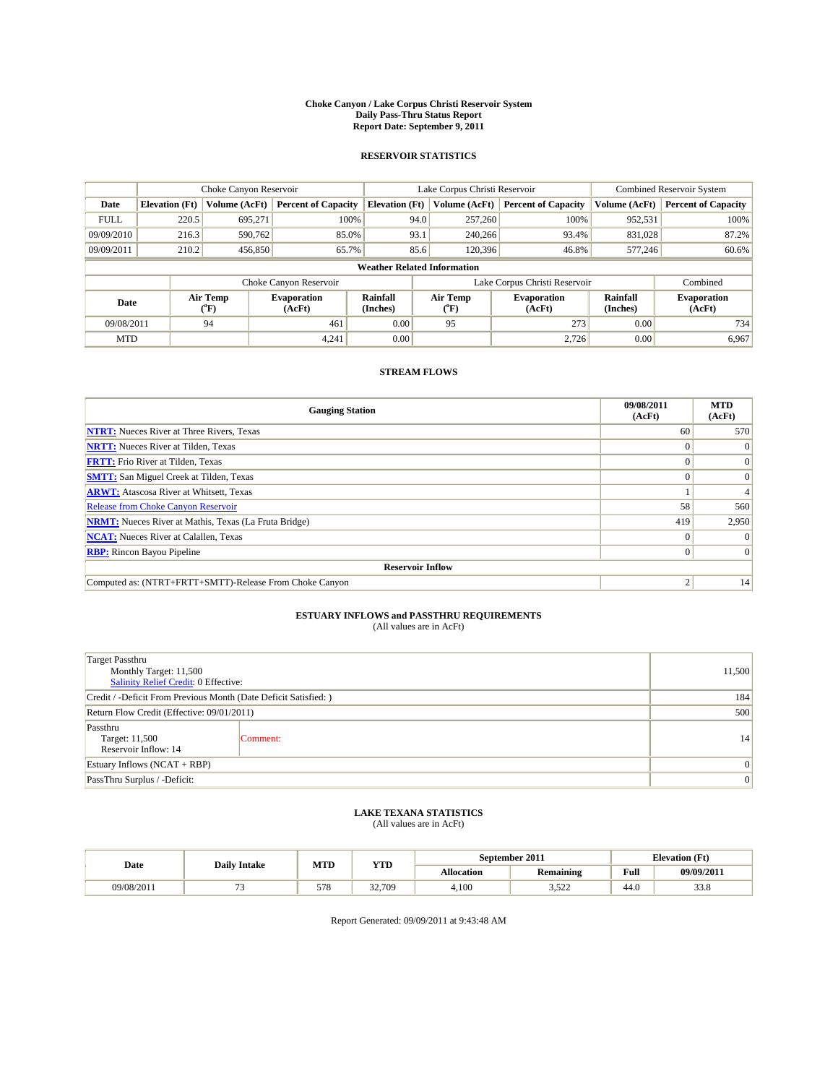#### **Choke Canyon / Lake Corpus Christi Reservoir System Daily Pass-Thru Status Report Report Date: September 9, 2011**

#### **RESERVOIR STATISTICS**

|             | Choke Canyon Reservoir                                                                                                                      |               |                            |                                    | Lake Corpus Christi Reservoir |                               |               | <b>Combined Reservoir System</b> |  |
|-------------|---------------------------------------------------------------------------------------------------------------------------------------------|---------------|----------------------------|------------------------------------|-------------------------------|-------------------------------|---------------|----------------------------------|--|
| Date        | <b>Elevation</b> (Ft)                                                                                                                       | Volume (AcFt) | <b>Percent of Capacity</b> | <b>Elevation</b> (Ft)              | Volume (AcFt)                 | <b>Percent of Capacity</b>    | Volume (AcFt) | <b>Percent of Capacity</b>       |  |
| <b>FULL</b> | 220.5                                                                                                                                       | 695,271       | 100%                       | 94.0                               | 257,260                       | 100%                          | 952,531       | 100%                             |  |
| 09/09/2010  | 216.3                                                                                                                                       | 590,762       | 85.0%                      | 93.1                               | 240,266                       | 93.4%                         | 831,028       | 87.2%                            |  |
| 09/09/2011  | 210.2                                                                                                                                       | 456,850       | 65.7%                      | 85.6                               | 120,396                       | 46.8%                         | 577,246       | 60.6%                            |  |
|             |                                                                                                                                             |               |                            | <b>Weather Related Information</b> |                               |                               |               |                                  |  |
|             |                                                                                                                                             |               | Choke Canyon Reservoir     |                                    |                               | Lake Corpus Christi Reservoir |               | Combined                         |  |
|             | Air Temp<br><b>Rainfall</b><br>Air Temp<br><b>Evaporation</b><br><b>Evaporation</b><br>Date<br>(Inches)<br>(AcFt)<br>(°F)<br>(AcFt)<br>(°F) |               |                            | Rainfall<br>(Inches)               | <b>Evaporation</b><br>(AcFt)  |                               |               |                                  |  |
| 09/08/2011  |                                                                                                                                             | 94            | 461                        | 0.00                               | 95                            | 273                           | 0.00          | 734                              |  |
| <b>MTD</b>  |                                                                                                                                             |               | 4,241                      | 0.00                               |                               | 2.726                         | 0.00          | 6,967                            |  |

### **STREAM FLOWS**

| <b>Gauging Station</b>                                       | 09/08/2011<br>(AcFt) | <b>MTD</b><br>(AcFt) |
|--------------------------------------------------------------|----------------------|----------------------|
| <b>NTRT:</b> Nueces River at Three Rivers, Texas             | 60 <sup>1</sup>      | 570                  |
| <b>NRTT:</b> Nueces River at Tilden, Texas                   |                      | $\Omega$             |
| <b>FRTT:</b> Frio River at Tilden, Texas                     |                      | $\Omega$             |
| <b>SMTT:</b> San Miguel Creek at Tilden, Texas               |                      | $\Omega$             |
| <b>ARWT:</b> Atascosa River at Whitsett, Texas               |                      |                      |
| <b>Release from Choke Canyon Reservoir</b>                   | 58                   | 560                  |
| <b>NRMT:</b> Nueces River at Mathis, Texas (La Fruta Bridge) | 419                  | 2,950                |
| <b>NCAT:</b> Nueces River at Calallen, Texas                 | $\Omega$             |                      |
| <b>RBP:</b> Rincon Bayou Pipeline                            | $\overline{0}$       | $\Omega$             |
| <b>Reservoir Inflow</b>                                      |                      |                      |
| Computed as: (NTRT+FRTT+SMTT)-Release From Choke Canyon      | ◠                    | 14                   |

# **ESTUARY INFLOWS and PASSTHRU REQUIREMENTS**<br>(All values are in AcFt)

| <b>Target Passthru</b><br>Monthly Target: 11,500<br>Salinity Relief Credit: 0 Effective: |                                                                  |    |  |  |  |  |
|------------------------------------------------------------------------------------------|------------------------------------------------------------------|----|--|--|--|--|
|                                                                                          | Credit / -Deficit From Previous Month (Date Deficit Satisfied: ) |    |  |  |  |  |
| Return Flow Credit (Effective: 09/01/2011)                                               |                                                                  |    |  |  |  |  |
| Passthru<br>Target: 11,500<br>Reservoir Inflow: 14                                       | Comment:                                                         | 14 |  |  |  |  |
| Estuary Inflows $(NCAT + RBP)$                                                           | $\Omega$                                                         |    |  |  |  |  |
| PassThru Surplus / -Deficit:                                                             |                                                                  | 0  |  |  |  |  |

## **LAKE TEXANA STATISTICS** (All values are in AcFt)

|            | <b>Daily Intake</b> | MTD | <b>YTD</b> | September 2011 |                  |                | <b>Elevation</b> (Ft) |
|------------|---------------------|-----|------------|----------------|------------------|----------------|-----------------------|
| Date       |                     |     |            | Allocation     | <b>Remaining</b> | Full           | 09/09/2011            |
| 09/08/2011 |                     | 578 | 32,709     | 4.100          | 522<br>----      | $\sim$<br>44.0 | ഹ റ<br>55.8           |

Report Generated: 09/09/2011 at 9:43:48 AM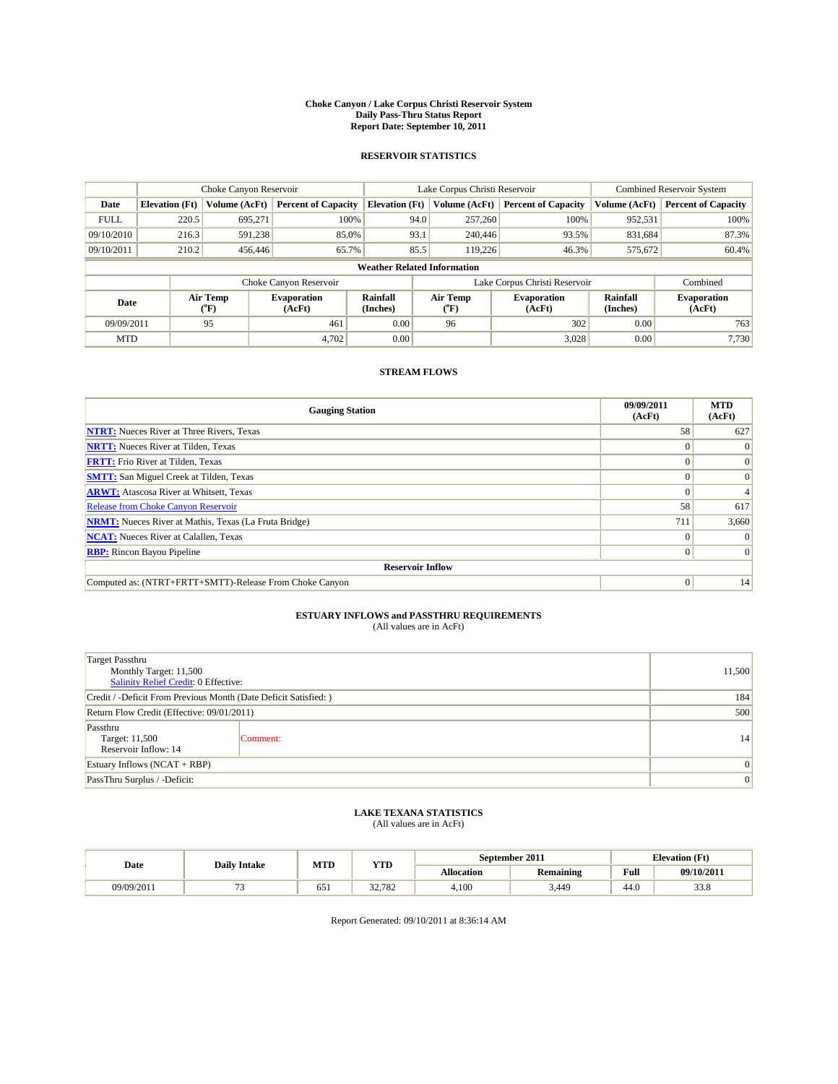#### **Choke Canyon / Lake Corpus Christi Reservoir System Daily Pass-Thru Status Report Report Date: September 10, 2011**

#### **RESERVOIR STATISTICS**

|             | Choke Canyon Reservoir |                  |                              |                                    | Lake Corpus Christi Reservoir |                              |                      | Combined Reservoir System    |  |
|-------------|------------------------|------------------|------------------------------|------------------------------------|-------------------------------|------------------------------|----------------------|------------------------------|--|
| Date        | <b>Elevation</b> (Ft)  | Volume (AcFt)    | <b>Percent of Capacity</b>   | <b>Elevation</b> (Ft)              | Volume (AcFt)                 | <b>Percent of Capacity</b>   | Volume (AcFt)        | <b>Percent of Capacity</b>   |  |
| <b>FULL</b> | 220.5                  | 695,271          | 100%                         | 94.0                               | 257,260                       | 100%                         | 952,531              | 100%                         |  |
| 09/10/2010  | 216.3                  | 591,238          | 85.0%                        | 93.1                               | 240,446                       | 93.5%                        | 831,684              | 87.3%                        |  |
| 09/10/2011  | 210.2                  | 456,446          | 65.7%                        | 85.5                               | 119,226                       | 46.3%                        | 575,672              | 60.4%                        |  |
|             |                        |                  |                              | <b>Weather Related Information</b> |                               |                              |                      |                              |  |
|             |                        |                  | Choke Canyon Reservoir       |                                    | Lake Corpus Christi Reservoir |                              |                      | Combined                     |  |
| Date        |                        | Air Temp<br>(°F) | <b>Evaporation</b><br>(AcFt) | <b>Rainfall</b><br>(Inches)        | Air Temp<br>("F)              | <b>Evaporation</b><br>(AcFt) | Rainfall<br>(Inches) | <b>Evaporation</b><br>(AcFt) |  |
| 09/09/2011  |                        | 95               | 461                          | 0.00                               | 96                            | 302                          | 0.00                 | 763                          |  |
| <b>MTD</b>  |                        |                  | 4,702                        | 0.00                               |                               | 3,028                        | 0.00                 | 7.730                        |  |

### **STREAM FLOWS**

| <b>Gauging Station</b>                                       | 09/09/2011<br>(AcFt) | <b>MTD</b><br>(AcFt) |
|--------------------------------------------------------------|----------------------|----------------------|
| <b>NTRT:</b> Nueces River at Three Rivers, Texas             | 58                   | 627                  |
| <b>NRTT:</b> Nueces River at Tilden, Texas                   |                      |                      |
| <b>FRTT:</b> Frio River at Tilden, Texas                     |                      | $\Omega$             |
| <b>SMTT:</b> San Miguel Creek at Tilden, Texas               |                      | $\Omega$             |
| <b>ARWT:</b> Atascosa River at Whitsett, Texas               | $\theta$             |                      |
| <b>Release from Choke Canyon Reservoir</b>                   | 58                   | 617                  |
| <b>NRMT:</b> Nueces River at Mathis, Texas (La Fruta Bridge) | 711                  | 3,660                |
| <b>NCAT:</b> Nueces River at Calallen, Texas                 | $\Omega$             |                      |
| <b>RBP:</b> Rincon Bayou Pipeline                            | $\overline{0}$       | $\Omega$             |
| <b>Reservoir Inflow</b>                                      |                      |                      |
| Computed as: (NTRT+FRTT+SMTT)-Release From Choke Canyon      | $\Omega$             | 14                   |

# **ESTUARY INFLOWS and PASSTHRU REQUIREMENTS**<br>(All values are in AcFt)

| <b>Target Passthru</b><br>Monthly Target: 11,500<br>Salinity Relief Credit: 0 Effective: |                                                                  |    |  |  |  |  |
|------------------------------------------------------------------------------------------|------------------------------------------------------------------|----|--|--|--|--|
|                                                                                          | Credit / -Deficit From Previous Month (Date Deficit Satisfied: ) |    |  |  |  |  |
| Return Flow Credit (Effective: 09/01/2011)                                               |                                                                  |    |  |  |  |  |
| Passthru<br>Target: 11,500<br>Reservoir Inflow: 14                                       | Comment:                                                         | 14 |  |  |  |  |
| Estuary Inflows $(NCAT + RBP)$                                                           | $\Omega$                                                         |    |  |  |  |  |
| PassThru Surplus / -Deficit:                                                             |                                                                  | 0  |  |  |  |  |

## **LAKE TEXANA STATISTICS** (All values are in AcFt)

|            | <b>Daily Intake</b> | MTD | YTD    | September 2011 |                  |                                             | <b>Elevation</b> (Ft) |
|------------|---------------------|-----|--------|----------------|------------------|---------------------------------------------|-----------------------|
| Date       |                     |     |        | Allocation     | <b>Remaining</b> | Full<br>the contract of the contract of the | 09/10/2011            |
| 09/09/2011 |                     | 651 | 32.782 | 4.100          | 3.449            | 44.0                                        | റററ<br>33.8           |

Report Generated: 09/10/2011 at 8:36:14 AM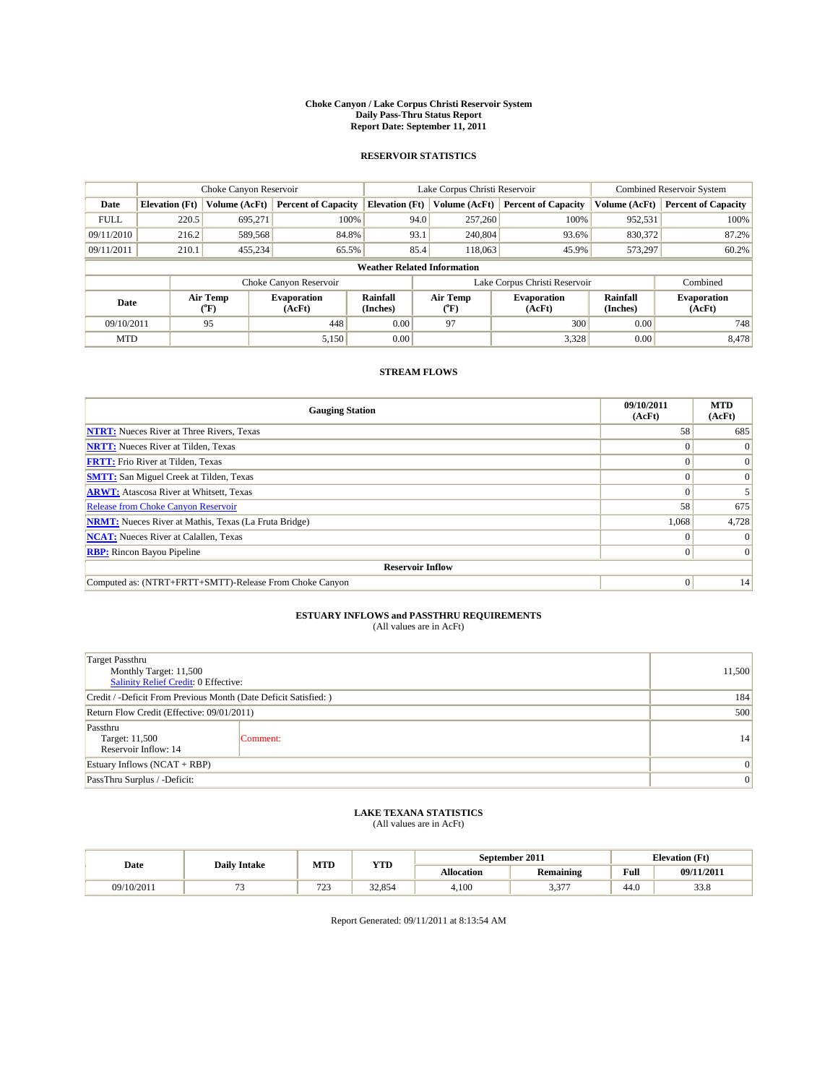#### **Choke Canyon / Lake Corpus Christi Reservoir System Daily Pass-Thru Status Report Report Date: September 11, 2011**

#### **RESERVOIR STATISTICS**

|             | Choke Canyon Reservoir |                  |                              |                                    | Lake Corpus Christi Reservoir |                              |                      | <b>Combined Reservoir System</b> |  |
|-------------|------------------------|------------------|------------------------------|------------------------------------|-------------------------------|------------------------------|----------------------|----------------------------------|--|
| Date        | <b>Elevation</b> (Ft)  | Volume (AcFt)    | <b>Percent of Capacity</b>   | <b>Elevation</b> (Ft)              | Volume (AcFt)                 | <b>Percent of Capacity</b>   | Volume (AcFt)        | <b>Percent of Capacity</b>       |  |
| <b>FULL</b> | 220.5                  | 695,271          | 100%                         | 94.0                               | 257,260                       | 100%                         | 952,531              | 100%                             |  |
| 09/11/2010  | 216.2                  | 589,568          | 84.8%                        | 93.1                               | 240,804                       | 93.6%                        | 830,372              | 87.2%                            |  |
| 09/11/2011  | 210.1                  | 455,234          | 65.5%                        | 85.4                               | 118,063                       | 45.9%                        | 573,297              | 60.2%                            |  |
|             |                        |                  |                              | <b>Weather Related Information</b> |                               |                              |                      |                                  |  |
|             |                        |                  | Choke Canyon Reservoir       |                                    | Lake Corpus Christi Reservoir |                              |                      | Combined                         |  |
| Date        |                        | Air Temp<br>(°F) | <b>Evaporation</b><br>(AcFt) | <b>Rainfall</b><br>(Inches)        | Air Temp<br>(°F)              | <b>Evaporation</b><br>(AcFt) | Rainfall<br>(Inches) | <b>Evaporation</b><br>(AcFt)     |  |
| 09/10/2011  |                        | 95               | 448                          | 0.00                               | 97                            | 300                          | 0.00                 | 748                              |  |
| <b>MTD</b>  |                        |                  | 5,150                        | 0.00                               |                               | 3,328                        | 0.00                 | 8.478                            |  |

### **STREAM FLOWS**

| <b>Gauging Station</b>                                       | 09/10/2011<br>(AcFt) | <b>MTD</b><br>(AcFt) |
|--------------------------------------------------------------|----------------------|----------------------|
| <b>NTRT:</b> Nueces River at Three Rivers, Texas             | 58                   | 685                  |
| <b>NRTT:</b> Nueces River at Tilden, Texas                   |                      |                      |
| <b>FRTT:</b> Frio River at Tilden, Texas                     |                      |                      |
| <b>SMTT:</b> San Miguel Creek at Tilden, Texas               |                      |                      |
| <b>ARWT:</b> Atascosa River at Whitsett, Texas               |                      |                      |
| Release from Choke Canyon Reservoir                          | 58                   | 675                  |
| <b>NRMT:</b> Nueces River at Mathis, Texas (La Fruta Bridge) | 1,068                | 4,728                |
| <b>NCAT:</b> Nueces River at Calallen, Texas                 | $\Omega$             |                      |
| <b>RBP:</b> Rincon Bayou Pipeline                            | $\Omega$             | $\Omega$             |
| <b>Reservoir Inflow</b>                                      |                      |                      |
| Computed as: (NTRT+FRTT+SMTT)-Release From Choke Canyon      | $\Omega$             | 14                   |

# **ESTUARY INFLOWS and PASSTHRU REQUIREMENTS**<br>(All values are in AcFt)

| <b>Target Passthru</b><br>Monthly Target: 11,500<br>Salinity Relief Credit: 0 Effective: |                                                                  |    |  |  |  |  |
|------------------------------------------------------------------------------------------|------------------------------------------------------------------|----|--|--|--|--|
|                                                                                          | Credit / -Deficit From Previous Month (Date Deficit Satisfied: ) |    |  |  |  |  |
| Return Flow Credit (Effective: 09/01/2011)                                               |                                                                  |    |  |  |  |  |
| Passthru<br>Target: 11,500<br>Reservoir Inflow: 14                                       | Comment:                                                         | 14 |  |  |  |  |
| Estuary Inflows $(NCAT + RBP)$                                                           | $\Omega$                                                         |    |  |  |  |  |
| PassThru Surplus / -Deficit:                                                             |                                                                  | 0  |  |  |  |  |

## **LAKE TEXANA STATISTICS** (All values are in AcFt)

|            | <b>Daily Intake</b> | MTD                  | <b>YTD</b> | September 2011    |                  |      | <b>Elevation</b> (Ft) |
|------------|---------------------|----------------------|------------|-------------------|------------------|------|-----------------------|
| Date       |                     |                      |            | <b>Allocation</b> | <b>Remaining</b> | Full | 09/11/2011            |
| 09/10/2011 |                     | $70^{\circ}$<br>رے ا | 32,854     | 4,100             | $\sim$<br>، ن. ب | 44.0 | <u>ഹ റ</u><br>33.8    |

Report Generated: 09/11/2011 at 8:13:54 AM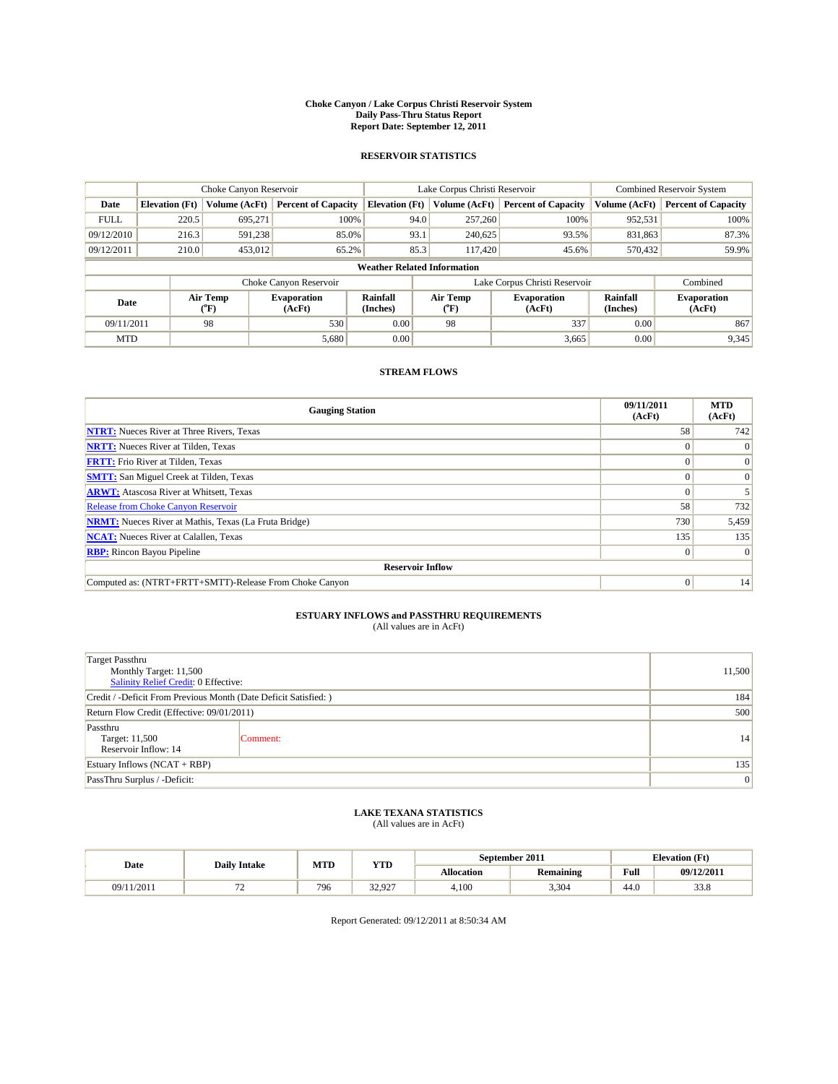#### **Choke Canyon / Lake Corpus Christi Reservoir System Daily Pass-Thru Status Report Report Date: September 12, 2011**

#### **RESERVOIR STATISTICS**

|             | Choke Canyon Reservoir |                  |                              |                                    | Lake Corpus Christi Reservoir |                              |                      | <b>Combined Reservoir System</b> |  |
|-------------|------------------------|------------------|------------------------------|------------------------------------|-------------------------------|------------------------------|----------------------|----------------------------------|--|
| Date        | <b>Elevation</b> (Ft)  | Volume (AcFt)    | <b>Percent of Capacity</b>   | <b>Elevation</b> (Ft)              | Volume (AcFt)                 | <b>Percent of Capacity</b>   | Volume (AcFt)        | <b>Percent of Capacity</b>       |  |
| <b>FULL</b> | 220.5                  | 695,271          | 100%                         | 94.0                               | 257,260                       | 100%                         | 952,531              | 100%                             |  |
| 09/12/2010  | 216.3                  | 591,238          | 85.0%                        | 93.1                               | 240,625                       | 93.5%                        | 831,863              | 87.3%                            |  |
| 09/12/2011  | 210.0                  | 453,012          | 65.2%                        | 85.3                               | 117.420                       | 45.6%                        | 570,432              | 59.9%                            |  |
|             |                        |                  |                              | <b>Weather Related Information</b> |                               |                              |                      |                                  |  |
|             |                        |                  | Choke Canyon Reservoir       |                                    | Lake Corpus Christi Reservoir |                              |                      | Combined                         |  |
| Date        |                        | Air Temp<br>(°F) | <b>Evaporation</b><br>(AcFt) | <b>Rainfall</b><br>(Inches)        | Air Temp<br>(°F)              | <b>Evaporation</b><br>(AcFt) | Rainfall<br>(Inches) | <b>Evaporation</b><br>(AcFt)     |  |
| 09/11/2011  |                        | 98               | 530                          | 0.00                               | 98                            | 337                          | 0.00                 | 867                              |  |
| <b>MTD</b>  |                        |                  | 5,680                        | 0.00                               |                               | 3,665                        | 0.00                 | 9,345                            |  |

### **STREAM FLOWS**

| <b>Gauging Station</b>                                       | 09/11/2011<br>(AcFt) | <b>MTD</b><br>(AcFt) |  |  |  |  |
|--------------------------------------------------------------|----------------------|----------------------|--|--|--|--|
| <b>NTRT:</b> Nueces River at Three Rivers, Texas             | 58                   | 742                  |  |  |  |  |
| <b>NRTT:</b> Nueces River at Tilden, Texas                   | $\Omega$             |                      |  |  |  |  |
| <b>FRTT:</b> Frio River at Tilden, Texas                     |                      | $\Omega$             |  |  |  |  |
| <b>SMTT:</b> San Miguel Creek at Tilden, Texas               |                      | $\Omega$             |  |  |  |  |
| <b>ARWT:</b> Atascosa River at Whitsett, Texas               | $\theta$             |                      |  |  |  |  |
| <b>Release from Choke Canyon Reservoir</b>                   | 58                   | 732                  |  |  |  |  |
| <b>NRMT:</b> Nueces River at Mathis, Texas (La Fruta Bridge) | 730                  | 5,459                |  |  |  |  |
| <b>NCAT:</b> Nueces River at Calallen, Texas                 | 135                  | 135                  |  |  |  |  |
| <b>RBP:</b> Rincon Bayou Pipeline                            | $\Omega$             | $\Omega$             |  |  |  |  |
| <b>Reservoir Inflow</b>                                      |                      |                      |  |  |  |  |
| Computed as: (NTRT+FRTT+SMTT)-Release From Choke Canyon      | $\Omega$             | 14                   |  |  |  |  |

# **ESTUARY INFLOWS and PASSTHRU REQUIREMENTS**

|  | (All values are in AcFt) |
|--|--------------------------|
|--|--------------------------|

| Target Passthru<br>Monthly Target: 11,500<br><b>Salinity Relief Credit: 0 Effective:</b> | 11,500          |    |
|------------------------------------------------------------------------------------------|-----------------|----|
| Credit / -Deficit From Previous Month (Date Deficit Satisfied: )                         | 184             |    |
| Return Flow Credit (Effective: 09/01/2011)                                               | 500             |    |
| Passthru<br>Target: 11,500<br>Reservoir Inflow: 14                                       | Comment:        | 14 |
| Estuary Inflows $(NCAT + RBP)$                                                           | 135             |    |
| PassThru Surplus / -Deficit:                                                             | $\vert 0 \vert$ |    |

## **LAKE TEXANA STATISTICS** (All values are in AcFt)

|            | <b>Daily Intake</b> | MTD | <b>YTD</b>             |                   | September 2011   |      | <b>Elevation</b> (Ft) |
|------------|---------------------|-----|------------------------|-------------------|------------------|------|-----------------------|
| Date       |                     |     |                        | <b>Allocation</b> | <b>Remaining</b> | Full | 09/12/2011            |
| 09/11/2011 | --<br>. .           | 796 | 22.027<br><i>34.74</i> | 4,100             | 3,304            | 44.0 | 33.8                  |

Report Generated: 09/12/2011 at 8:50:34 AM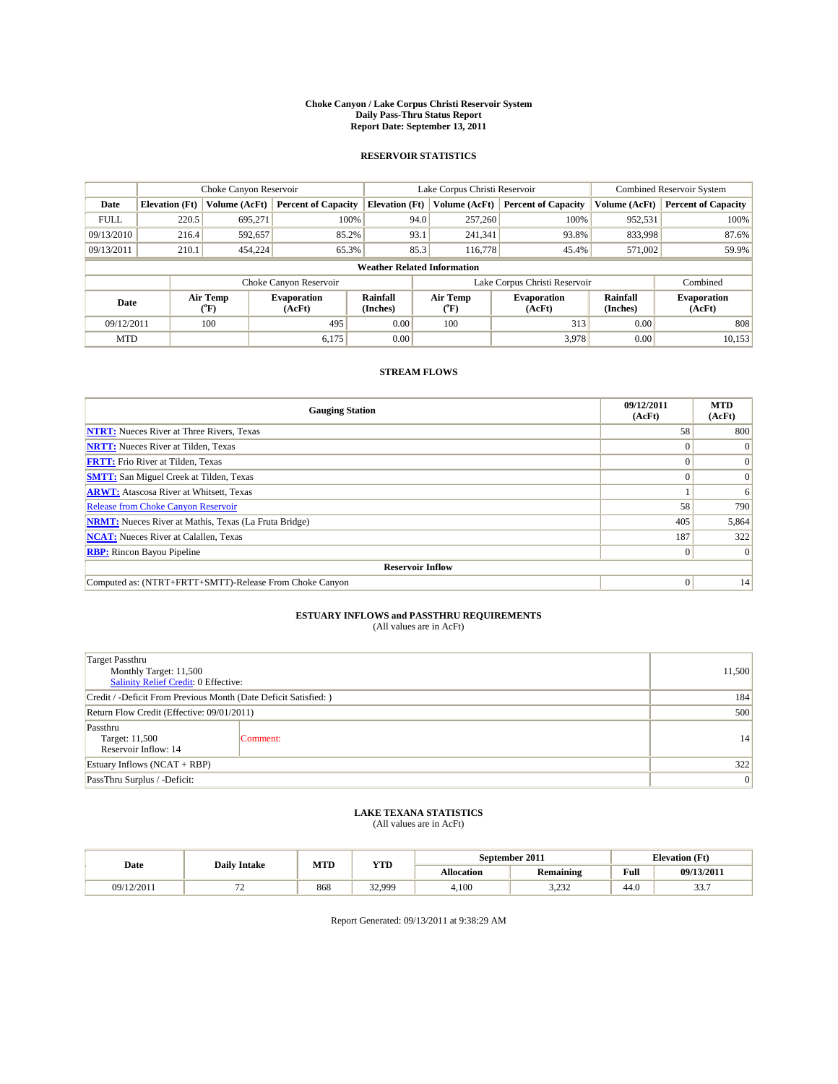#### **Choke Canyon / Lake Corpus Christi Reservoir System Daily Pass-Thru Status Report Report Date: September 13, 2011**

#### **RESERVOIR STATISTICS**

|             | Choke Canyon Reservoir             |                                           |                              |                             | Lake Corpus Christi Reservoir | Combined Reservoir System     |                      |                              |  |
|-------------|------------------------------------|-------------------------------------------|------------------------------|-----------------------------|-------------------------------|-------------------------------|----------------------|------------------------------|--|
| Date        | <b>Elevation</b> (Ft)              | Volume (AcFt)                             | <b>Percent of Capacity</b>   | <b>Elevation</b> (Ft)       | Volume (AcFt)                 | <b>Percent of Capacity</b>    | Volume (AcFt)        | <b>Percent of Capacity</b>   |  |
| <b>FULL</b> | 220.5                              | 695,271                                   | 100%                         | 94.0                        | 257,260                       | 100%                          | 952,531              | 100%                         |  |
| 09/13/2010  | 216.4                              | 592,657                                   | 85.2%                        | 93.1                        | 241,341                       | 93.8%                         | 833,998              | 87.6%                        |  |
| 09/13/2011  | 210.1                              | 454,224                                   | 65.3%                        | 85.3                        | 116,778                       | 45.4%                         | 571,002              | 59.9%                        |  |
|             | <b>Weather Related Information</b> |                                           |                              |                             |                               |                               |                      |                              |  |
|             |                                    |                                           | Choke Canyon Reservoir       |                             |                               | Lake Corpus Christi Reservoir |                      | Combined                     |  |
| Date        |                                    | Air Temp<br>$({}^{\mathrm{o}}\mathrm{F})$ | <b>Evaporation</b><br>(AcFt) | <b>Rainfall</b><br>(Inches) | Air Temp<br>("F)              | <b>Evaporation</b><br>(AcFt)  | Rainfall<br>(Inches) | <b>Evaporation</b><br>(AcFt) |  |
| 09/12/2011  |                                    | 100                                       | 495                          | 0.00                        | 100                           | 313                           | 0.00                 | 808                          |  |
| <b>MTD</b>  |                                    |                                           | 6,175                        | 0.00                        |                               | 3,978                         | 0.00                 | 10,153                       |  |

### **STREAM FLOWS**

| <b>Gauging Station</b>                                       | 09/12/2011<br>(AcFt) | <b>MTD</b><br>(AcFt) |  |  |  |  |
|--------------------------------------------------------------|----------------------|----------------------|--|--|--|--|
| <b>NTRT:</b> Nueces River at Three Rivers, Texas             | 58                   | 800                  |  |  |  |  |
| <b>NRTT:</b> Nueces River at Tilden, Texas                   |                      | $\theta$             |  |  |  |  |
| <b>FRTT:</b> Frio River at Tilden, Texas                     |                      | $\Omega$             |  |  |  |  |
| <b>SMTT:</b> San Miguel Creek at Tilden, Texas               |                      | $\Omega$             |  |  |  |  |
| <b>ARWT:</b> Atascosa River at Whitsett, Texas               |                      | 6                    |  |  |  |  |
| Release from Choke Canyon Reservoir                          | 58                   | 790                  |  |  |  |  |
| <b>NRMT:</b> Nueces River at Mathis, Texas (La Fruta Bridge) | 405                  | 5,864                |  |  |  |  |
| <b>NCAT:</b> Nueces River at Calallen, Texas                 | 187                  | 322                  |  |  |  |  |
| <b>RBP:</b> Rincon Bayou Pipeline                            | $\Omega$             | $\Omega$             |  |  |  |  |
| <b>Reservoir Inflow</b>                                      |                      |                      |  |  |  |  |
| Computed as: (NTRT+FRTT+SMTT)-Release From Choke Canyon      | $\vert 0 \vert$      | 14                   |  |  |  |  |

# **ESTUARY INFLOWS and PASSTHRU REQUIREMENTS**<br>(All values are in AcFt)

| <b>Target Passthru</b><br>Monthly Target: 11,500<br>Salinity Relief Credit: 0 Effective: | 11,500   |    |
|------------------------------------------------------------------------------------------|----------|----|
| Credit / -Deficit From Previous Month (Date Deficit Satisfied: )                         | 184      |    |
| Return Flow Credit (Effective: 09/01/2011)                                               | 500      |    |
| Passthru<br>Target: 11,500<br>Reservoir Inflow: 14                                       | Comment: | 14 |
| Estuary Inflows $(NCAT + RBP)$                                                           | 322      |    |
| PassThru Surplus / -Deficit:                                                             | 0        |    |

## **LAKE TEXANA STATISTICS** (All values are in AcFt)

|            | <b>Daily Intake</b> | MTD | <b>YTD</b>  |            | September 2011 |      | <b>Elevation</b> (Ft) |
|------------|---------------------|-----|-------------|------------|----------------|------|-----------------------|
| Date       |                     |     |             | Allocation | Remaining      | Full | 09/13/2011            |
| 09/12/2011 |                     | 868 | 32.000<br>. | 4,100      | 2.22<br>ے بے ب | 44.0 | $\sim$<br>JJ.I        |

Report Generated: 09/13/2011 at 9:38:29 AM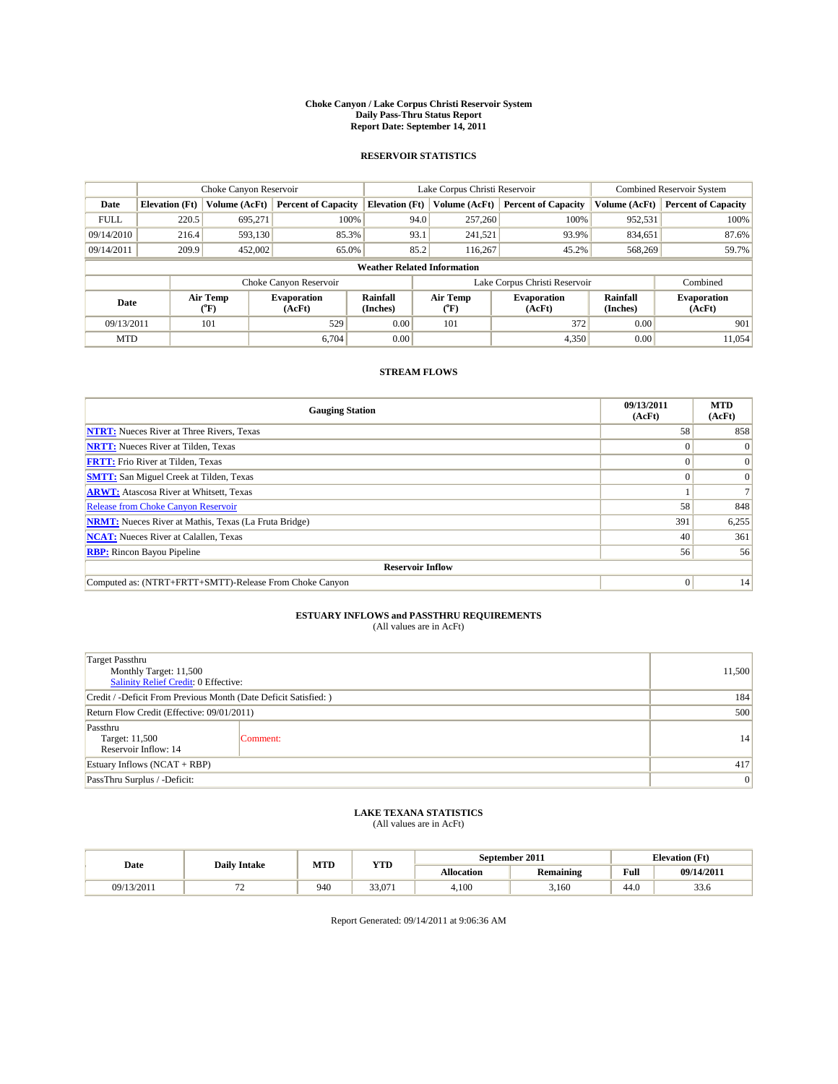#### **Choke Canyon / Lake Corpus Christi Reservoir System Daily Pass-Thru Status Report Report Date: September 14, 2011**

#### **RESERVOIR STATISTICS**

|             | Choke Canyon Reservoir             |                                           |                              |                             | Lake Corpus Christi Reservoir           | Combined Reservoir System     |                      |                              |  |  |
|-------------|------------------------------------|-------------------------------------------|------------------------------|-----------------------------|-----------------------------------------|-------------------------------|----------------------|------------------------------|--|--|
| Date        | <b>Elevation</b> (Ft)              | Volume (AcFt)                             | <b>Percent of Capacity</b>   | <b>Elevation</b> (Ft)       | Volume (AcFt)                           | <b>Percent of Capacity</b>    | Volume (AcFt)        | <b>Percent of Capacity</b>   |  |  |
| <b>FULL</b> | 220.5                              | 695,271                                   | 100%                         | 94.0                        | 257,260                                 | 100%                          | 952,531              | 100%                         |  |  |
| 09/14/2010  | 216.4                              | 593,130                                   | 85.3%                        | 93.1                        | 241,521                                 | 93.9%                         | 834,651              | 87.6%                        |  |  |
| 09/14/2011  | 209.9                              | 452,002                                   | 65.0%                        | 85.2                        | 116,267                                 | 45.2%                         | 568,269              | 59.7%                        |  |  |
|             | <b>Weather Related Information</b> |                                           |                              |                             |                                         |                               |                      |                              |  |  |
|             |                                    |                                           | Choke Canyon Reservoir       |                             |                                         | Lake Corpus Christi Reservoir |                      | Combined                     |  |  |
| Date        |                                    | Air Temp<br>$({}^{\mathrm{o}}\mathrm{F})$ | <b>Evaporation</b><br>(AcFt) | <b>Rainfall</b><br>(Inches) | Air Temp<br>$(^{\mathrm{o}}\mathrm{F})$ | <b>Evaporation</b><br>(AcFt)  | Rainfall<br>(Inches) | <b>Evaporation</b><br>(AcFt) |  |  |
| 09/13/2011  |                                    | 101                                       | 529                          | 0.00                        | 101                                     | 372                           | 0.00                 | 901                          |  |  |
| <b>MTD</b>  |                                    |                                           | 6.704                        | 0.00                        |                                         | 4,350                         | 0.00                 | 11.054                       |  |  |

### **STREAM FLOWS**

| <b>Gauging Station</b>                                       | 09/13/2011<br>(AcFt) | <b>MTD</b><br>(AcFt) |  |  |  |  |
|--------------------------------------------------------------|----------------------|----------------------|--|--|--|--|
| <b>NTRT:</b> Nueces River at Three Rivers, Texas             | 58                   | 858                  |  |  |  |  |
| <b>NRTT:</b> Nueces River at Tilden, Texas                   |                      | $\Omega$             |  |  |  |  |
| <b>FRTT:</b> Frio River at Tilden, Texas                     |                      | $\Omega$             |  |  |  |  |
| <b>SMTT:</b> San Miguel Creek at Tilden, Texas               |                      | $\Omega$             |  |  |  |  |
| <b>ARWT:</b> Atascosa River at Whitsett, Texas               |                      |                      |  |  |  |  |
| Release from Choke Canyon Reservoir                          | 58                   | 848                  |  |  |  |  |
| <b>NRMT:</b> Nueces River at Mathis, Texas (La Fruta Bridge) | 391                  | 6,255                |  |  |  |  |
| <b>NCAT:</b> Nueces River at Calallen, Texas                 | 40                   | 361                  |  |  |  |  |
| <b>RBP:</b> Rincon Bayou Pipeline                            | 56                   | 56                   |  |  |  |  |
| <b>Reservoir Inflow</b>                                      |                      |                      |  |  |  |  |
| Computed as: (NTRT+FRTT+SMTT)-Release From Choke Canyon      | $\Omega$             | 14                   |  |  |  |  |

# **ESTUARY INFLOWS and PASSTHRU REQUIREMENTS**<br>(All values are in AcFt)

| <b>Target Passthru</b><br>Monthly Target: 11,500<br>Salinity Relief Credit: 0 Effective: | 11,500                                                           |    |  |  |
|------------------------------------------------------------------------------------------|------------------------------------------------------------------|----|--|--|
|                                                                                          | Credit / -Deficit From Previous Month (Date Deficit Satisfied: ) |    |  |  |
| Return Flow Credit (Effective: 09/01/2011)                                               | 500                                                              |    |  |  |
| Passthru<br>Target: 11,500<br>Reservoir Inflow: 14                                       | Comment:                                                         | 14 |  |  |
| Estuary Inflows $(NCAT + RBP)$                                                           | 417                                                              |    |  |  |
| PassThru Surplus / -Deficit:                                                             | 0                                                                |    |  |  |

## **LAKE TEXANA STATISTICS** (All values are in AcFt)

|            | <b>Daily Intake</b> | MTD | YTD    |            | September 2011   |      | <b>Elevation</b> (Ft) |
|------------|---------------------|-----|--------|------------|------------------|------|-----------------------|
| Date       |                     |     |        | Allocation | <b>Remaining</b> | Full | 09/14/2011            |
| 09/13/2011 | --<br>. .           | 940 | 33,071 | 4.100      | 3.160            | 44.0 | 33.6                  |

Report Generated: 09/14/2011 at 9:06:36 AM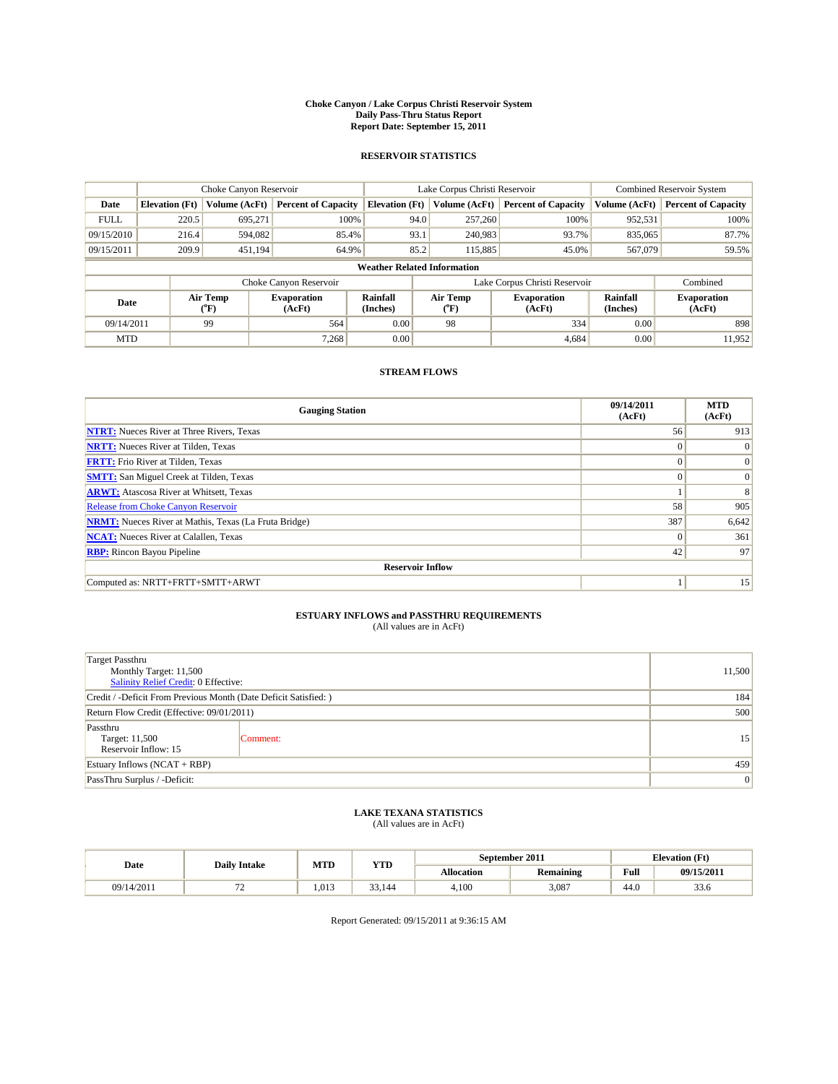#### **Choke Canyon / Lake Corpus Christi Reservoir System Daily Pass-Thru Status Report Report Date: September 15, 2011**

#### **RESERVOIR STATISTICS**

|             | Choke Canyon Reservoir             |                  |                              |                             | Lake Corpus Christi Reservoir |                               |                      | <b>Combined Reservoir System</b> |  |  |
|-------------|------------------------------------|------------------|------------------------------|-----------------------------|-------------------------------|-------------------------------|----------------------|----------------------------------|--|--|
| Date        | <b>Elevation</b> (Ft)              | Volume (AcFt)    | <b>Percent of Capacity</b>   | <b>Elevation</b> (Ft)       | Volume (AcFt)                 | <b>Percent of Capacity</b>    | Volume (AcFt)        | <b>Percent of Capacity</b>       |  |  |
| <b>FULL</b> | 220.5                              | 695,271          | 100%                         |                             | 257,260<br>94.0               | 100%                          | 952,531              | 100%                             |  |  |
| 09/15/2010  | 216.4                              | 594,082          | 85.4%                        |                             | 93.1<br>240,983               | 93.7%                         | 835,065              | 87.7%                            |  |  |
| 09/15/2011  | 209.9                              | 451,194          | 64.9%                        |                             | 85.2<br>115,885               | 45.0%                         | 567,079              | 59.5%                            |  |  |
|             | <b>Weather Related Information</b> |                  |                              |                             |                               |                               |                      |                                  |  |  |
|             |                                    |                  | Choke Canyon Reservoir       |                             |                               | Lake Corpus Christi Reservoir |                      | Combined                         |  |  |
| Date        |                                    | Air Temp<br>(°F) | <b>Evaporation</b><br>(AcFt) | <b>Rainfall</b><br>(Inches) | Air Temp<br>(°F)              | <b>Evaporation</b><br>(AcFt)  | Rainfall<br>(Inches) | <b>Evaporation</b><br>(AcFt)     |  |  |
| 09/14/2011  |                                    | 99               | 564                          | 0.00                        | 98                            | 334                           | 0.00                 | 898                              |  |  |
| <b>MTD</b>  |                                    |                  | 7.268                        | 0.00                        |                               | 4,684                         | 0.00                 | 11.952                           |  |  |

### **STREAM FLOWS**

| <b>Gauging Station</b>                                       | 09/14/2011<br>(AcFt) | <b>MTD</b><br>(AcFt) |  |  |  |  |  |
|--------------------------------------------------------------|----------------------|----------------------|--|--|--|--|--|
| <b>NTRT:</b> Nueces River at Three Rivers, Texas             | 56                   | 913                  |  |  |  |  |  |
| <b>NRTT:</b> Nueces River at Tilden, Texas                   | $\Omega$             | $\Omega$             |  |  |  |  |  |
| <b>FRTT:</b> Frio River at Tilden, Texas                     | $\Omega$             | $\Omega$             |  |  |  |  |  |
| <b>SMTT:</b> San Miguel Creek at Tilden, Texas               | $\Omega$             | $\vert 0 \vert$      |  |  |  |  |  |
| <b>ARWT:</b> Atascosa River at Whitsett, Texas               |                      | 8                    |  |  |  |  |  |
| Release from Choke Canyon Reservoir                          | 58                   | 905                  |  |  |  |  |  |
| <b>NRMT:</b> Nueces River at Mathis, Texas (La Fruta Bridge) | 387                  | 6,642                |  |  |  |  |  |
| <b>NCAT:</b> Nueces River at Calallen, Texas                 | $\Omega$             | 361                  |  |  |  |  |  |
| <b>RBP:</b> Rincon Bayou Pipeline                            | 42                   | 97                   |  |  |  |  |  |
| <b>Reservoir Inflow</b>                                      |                      |                      |  |  |  |  |  |
| Computed as: NRTT+FRTT+SMTT+ARWT                             |                      | 15                   |  |  |  |  |  |

# **ESTUARY INFLOWS and PASSTHRU REQUIREMENTS**<br>(All values are in AcFt)

| Target Passthru<br>Monthly Target: 11,500<br>Salinity Relief Credit: 0 Effective: | 11,500          |    |
|-----------------------------------------------------------------------------------|-----------------|----|
| Credit / -Deficit From Previous Month (Date Deficit Satisfied: )                  | 184             |    |
| Return Flow Credit (Effective: 09/01/2011)                                        | 500             |    |
| Passthru<br>Target: 11,500<br>Reservoir Inflow: 15                                | Comment:        | 15 |
| Estuary Inflows $(NCAT + RBP)$                                                    | 459             |    |
| PassThru Surplus / -Deficit:                                                      | $\vert 0 \vert$ |    |

## **LAKE TEXANA STATISTICS** (All values are in AcFt)

|            | <b>Daily Intake</b> | MTD   | <b>YTD</b> | September 2011 |                  | <b>Elevation</b> (Ft)                       |            |
|------------|---------------------|-------|------------|----------------|------------------|---------------------------------------------|------------|
| Date       |                     |       |            | Allocation     | <b>Remaining</b> | Full<br>the contract of the contract of the | 09/15/2011 |
| 09/14/2011 | --<br>. .           | 1.013 | 33,144     | 4.100          | 3,087            | 44.0                                        | 33.6       |

Report Generated: 09/15/2011 at 9:36:15 AM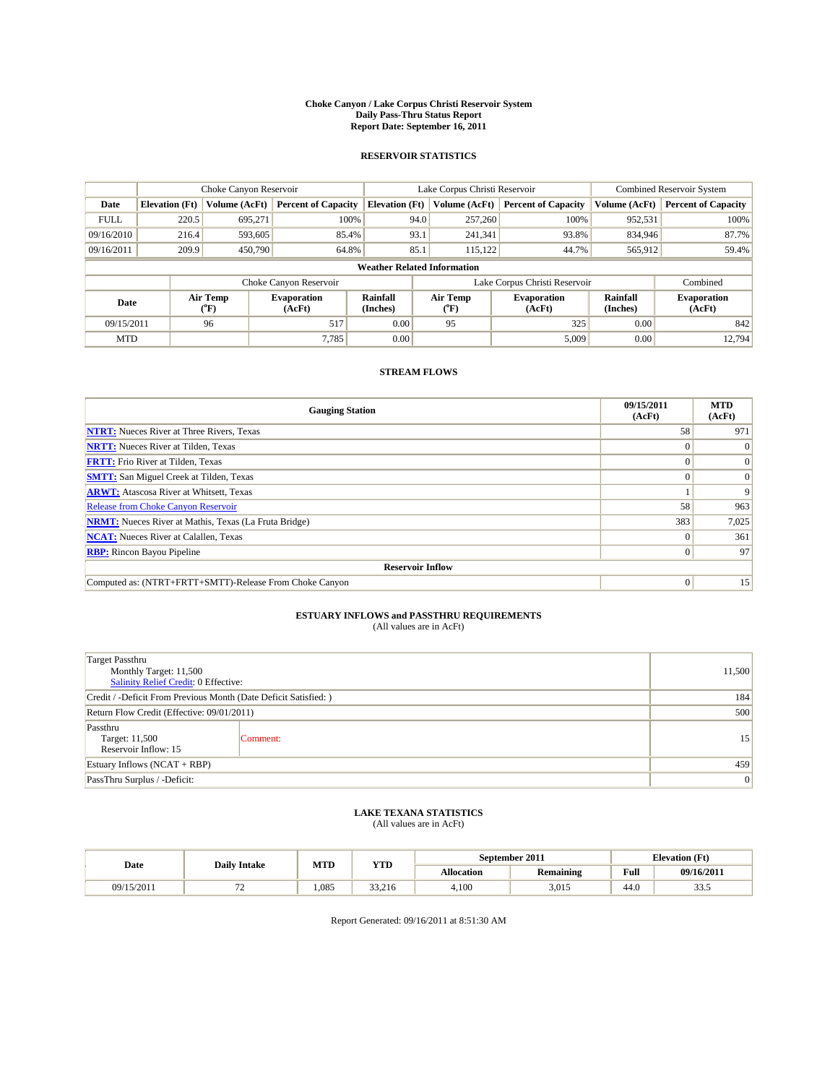#### **Choke Canyon / Lake Corpus Christi Reservoir System Daily Pass-Thru Status Report Report Date: September 16, 2011**

#### **RESERVOIR STATISTICS**

|             | Choke Canyon Reservoir             |                  |                              |                             | Lake Corpus Christi Reservoir |                               |                      | Combined Reservoir System    |  |  |
|-------------|------------------------------------|------------------|------------------------------|-----------------------------|-------------------------------|-------------------------------|----------------------|------------------------------|--|--|
| Date        | <b>Elevation</b> (Ft)              | Volume (AcFt)    | <b>Percent of Capacity</b>   | <b>Elevation</b> (Ft)       | Volume (AcFt)                 | <b>Percent of Capacity</b>    | Volume (AcFt)        | <b>Percent of Capacity</b>   |  |  |
| <b>FULL</b> | 220.5                              | 695,271          | 100%                         | 94.0                        | 257,260                       | 100%                          | 952,531              | 100%                         |  |  |
| 09/16/2010  | 216.4                              | 593,605          | 85.4%                        | 93.1                        | 241,341                       | 93.8%                         | 834,946              | 87.7%                        |  |  |
| 09/16/2011  | 209.9                              | 450,790          | 64.8%                        | 85.1                        | 115,122                       | 44.7%                         | 565,912              | 59.4%                        |  |  |
|             | <b>Weather Related Information</b> |                  |                              |                             |                               |                               |                      |                              |  |  |
|             |                                    |                  | Choke Canyon Reservoir       |                             |                               | Lake Corpus Christi Reservoir |                      | Combined                     |  |  |
| Date        |                                    | Air Temp<br>(°F) | <b>Evaporation</b><br>(AcFt) | <b>Rainfall</b><br>(Inches) | Air Temp<br>("F)              | <b>Evaporation</b><br>(AcFt)  | Rainfall<br>(Inches) | <b>Evaporation</b><br>(AcFt) |  |  |
| 09/15/2011  |                                    | 96               | 517                          | 0.00                        | 95                            | 325                           | 0.00                 | 842                          |  |  |
| <b>MTD</b>  |                                    |                  | 7.785                        | 0.00                        |                               | 5,009                         | 0.00                 | 12.794                       |  |  |

### **STREAM FLOWS**

| <b>Gauging Station</b>                                       | 09/15/2011<br>(AcFt) | <b>MTD</b><br>(AcFt) |  |  |  |  |  |
|--------------------------------------------------------------|----------------------|----------------------|--|--|--|--|--|
| <b>NTRT:</b> Nueces River at Three Rivers, Texas             | 58                   | 971                  |  |  |  |  |  |
| <b>NRTT:</b> Nueces River at Tilden, Texas                   |                      |                      |  |  |  |  |  |
| <b>FRTT:</b> Frio River at Tilden, Texas                     |                      | $\Omega$             |  |  |  |  |  |
| <b>SMTT:</b> San Miguel Creek at Tilden, Texas               |                      | $\Omega$             |  |  |  |  |  |
| <b>ARWT:</b> Atascosa River at Whitsett, Texas               |                      | 9                    |  |  |  |  |  |
| <b>Release from Choke Canyon Reservoir</b>                   | 58                   | 963                  |  |  |  |  |  |
| <b>NRMT:</b> Nueces River at Mathis, Texas (La Fruta Bridge) | 383                  | 7,025                |  |  |  |  |  |
| <b>NCAT:</b> Nueces River at Calallen, Texas                 | $\Omega$             | 361                  |  |  |  |  |  |
| <b>RBP:</b> Rincon Bayou Pipeline                            | $\overline{0}$       | 97                   |  |  |  |  |  |
| <b>Reservoir Inflow</b>                                      |                      |                      |  |  |  |  |  |
| Computed as: (NTRT+FRTT+SMTT)-Release From Choke Canyon      | $\Omega$             | 15                   |  |  |  |  |  |

# **ESTUARY INFLOWS and PASSTHRU REQUIREMENTS**<br>(All values are in AcFt)

| <b>Target Passthru</b><br>Monthly Target: 11,500<br>Salinity Relief Credit: 0 Effective: | 11,500   |    |
|------------------------------------------------------------------------------------------|----------|----|
| Credit / -Deficit From Previous Month (Date Deficit Satisfied: )                         | 184      |    |
| Return Flow Credit (Effective: 09/01/2011)                                               | 500      |    |
| Passthru<br>Target: 11,500<br>Reservoir Inflow: 15                                       | Comment: | 15 |
| Estuary Inflows $(NCAT + RBP)$                                                           | 459      |    |
| PassThru Surplus / -Deficit:                                                             | 0        |    |

## **LAKE TEXANA STATISTICS** (All values are in AcFt)

|            | <b>Daily Intake</b>            | MTD   | YTD    | September 2011 |                  | <b>Elevation</b> (Ft) |                |
|------------|--------------------------------|-------|--------|----------------|------------------|-----------------------|----------------|
| Date       |                                |       |        | Allocation     | <b>Remaining</b> | Full                  | 09/16/2011     |
| 09/15/2011 | --<br>$\overline{\phantom{0}}$ | 1.085 | 33.216 | 4.100          | 3,015            | 44.0                  | $\sim$<br>33.5 |

Report Generated: 09/16/2011 at 8:51:30 AM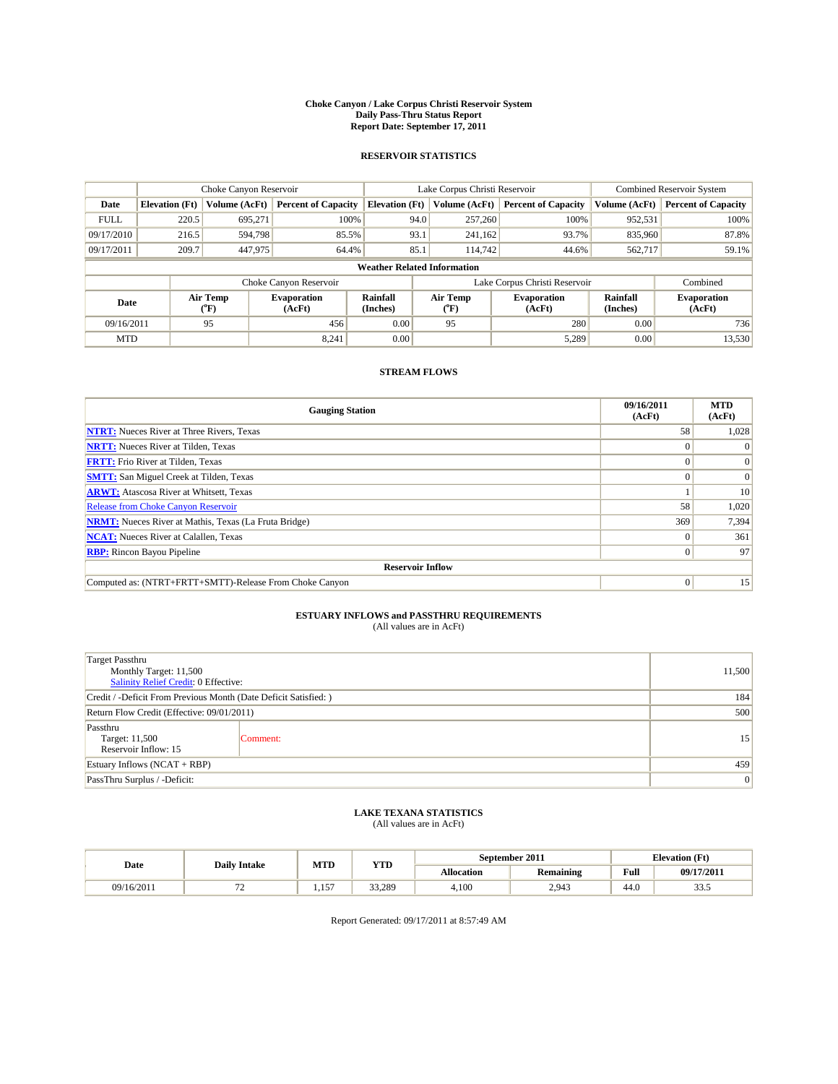#### **Choke Canyon / Lake Corpus Christi Reservoir System Daily Pass-Thru Status Report Report Date: September 17, 2011**

#### **RESERVOIR STATISTICS**

|             | Choke Canyon Reservoir             |                  |                              |                             | Lake Corpus Christi Reservoir |                               |                      | Combined Reservoir System    |  |  |
|-------------|------------------------------------|------------------|------------------------------|-----------------------------|-------------------------------|-------------------------------|----------------------|------------------------------|--|--|
| Date        | <b>Elevation</b> (Ft)              | Volume (AcFt)    | <b>Percent of Capacity</b>   | <b>Elevation</b> (Ft)       | Volume (AcFt)                 | <b>Percent of Capacity</b>    | Volume (AcFt)        | <b>Percent of Capacity</b>   |  |  |
| <b>FULL</b> | 220.5                              | 695,271          | 100%                         | 94.0                        | 257,260                       | 100%                          | 952,531              | 100%                         |  |  |
| 09/17/2010  | 216.5                              | 594.798          | 85.5%                        | 93.1                        | 241,162                       | 93.7%                         | 835,960              | 87.8%                        |  |  |
| 09/17/2011  | 209.7                              | 447,975          | 64.4%                        | 85.1                        | 114,742                       | 44.6%                         | 562,717              | 59.1%                        |  |  |
|             | <b>Weather Related Information</b> |                  |                              |                             |                               |                               |                      |                              |  |  |
|             |                                    |                  | Choke Canyon Reservoir       |                             |                               | Lake Corpus Christi Reservoir |                      | Combined                     |  |  |
| Date        |                                    | Air Temp<br>(°F) | <b>Evaporation</b><br>(AcFt) | <b>Rainfall</b><br>(Inches) | Air Temp<br>(°F)              | <b>Evaporation</b><br>(AcFt)  | Rainfall<br>(Inches) | <b>Evaporation</b><br>(AcFt) |  |  |
| 09/16/2011  |                                    | 95               | 456                          | 0.00                        | 95                            | 280                           | 0.00                 | 736                          |  |  |
| <b>MTD</b>  |                                    |                  | 8,241                        | 0.00                        |                               | 5,289                         | 0.00                 | 13,530                       |  |  |

### **STREAM FLOWS**

| <b>Gauging Station</b>                                       | 09/16/2011<br>(AcFt) | <b>MTD</b><br>(AcFt) |  |  |  |  |  |
|--------------------------------------------------------------|----------------------|----------------------|--|--|--|--|--|
| <b>NTRT:</b> Nueces River at Three Rivers, Texas             | 58                   | 1,028                |  |  |  |  |  |
| <b>NRTT:</b> Nueces River at Tilden, Texas                   |                      |                      |  |  |  |  |  |
| <b>FRTT:</b> Frio River at Tilden, Texas                     |                      | $\Omega$             |  |  |  |  |  |
| <b>SMTT:</b> San Miguel Creek at Tilden, Texas               |                      | $\Omega$             |  |  |  |  |  |
| <b>ARWT:</b> Atascosa River at Whitsett, Texas               |                      | 10                   |  |  |  |  |  |
| <b>Release from Choke Canyon Reservoir</b>                   | 58                   | 1,020                |  |  |  |  |  |
| <b>NRMT:</b> Nueces River at Mathis, Texas (La Fruta Bridge) | 369                  | 7,394                |  |  |  |  |  |
| <b>NCAT:</b> Nueces River at Calallen, Texas                 |                      | 361                  |  |  |  |  |  |
| <b>RBP:</b> Rincon Bayou Pipeline                            | $\Omega$             | 97                   |  |  |  |  |  |
| <b>Reservoir Inflow</b>                                      |                      |                      |  |  |  |  |  |
| Computed as: (NTRT+FRTT+SMTT)-Release From Choke Canyon      | $\Omega$             | 15                   |  |  |  |  |  |

# **ESTUARY INFLOWS and PASSTHRU REQUIREMENTS**<br>(All values are in AcFt)

| <b>Target Passthru</b><br>Monthly Target: 11,500<br>Salinity Relief Credit: 0 Effective: | 11,500   |                 |
|------------------------------------------------------------------------------------------|----------|-----------------|
| Credit / -Deficit From Previous Month (Date Deficit Satisfied: )                         | 184      |                 |
| Return Flow Credit (Effective: 09/01/2011)                                               | 500      |                 |
| Passthru<br>Target: 11,500<br>Reservoir Inflow: 15                                       | Comment: | 15 <sup>1</sup> |
| Estuary Inflows $(NCAT + RBP)$                                                           | 459      |                 |
| PassThru Surplus / -Deficit:                                                             | 0        |                 |

## **LAKE TEXANA STATISTICS** (All values are in AcFt)

|            | <b>Daily Intake</b> | MTD      | YTD    |                   | September 2011   |      | <b>Elevation</b> (Ft) |
|------------|---------------------|----------|--------|-------------------|------------------|------|-----------------------|
| Date       |                     |          |        | <b>Allocation</b> | <b>Remaining</b> | Full | 09/17/201*            |
| 09/16/2011 |                     | 157<br>. | 33,289 | 4.100             | 2,943            | 44.0 | ن. ر.                 |

Report Generated: 09/17/2011 at 8:57:49 AM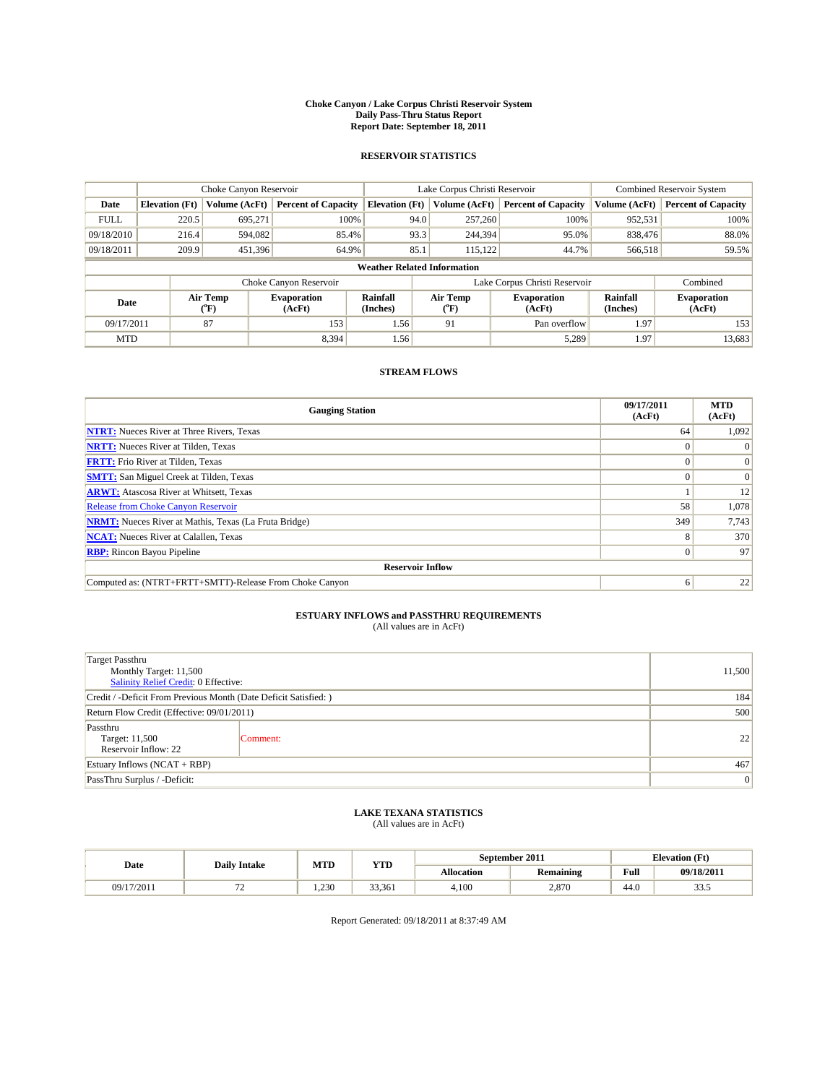#### **Choke Canyon / Lake Corpus Christi Reservoir System Daily Pass-Thru Status Report Report Date: September 18, 2011**

#### **RESERVOIR STATISTICS**

|                                    |                       | Choke Canyon Reservoir      |                              |                       | Lake Corpus Christi Reservoir |               |                               |                      | Combined Reservoir System    |  |
|------------------------------------|-----------------------|-----------------------------|------------------------------|-----------------------|-------------------------------|---------------|-------------------------------|----------------------|------------------------------|--|
| Date                               | <b>Elevation</b> (Ft) | Volume (AcFt)               | <b>Percent of Capacity</b>   | <b>Elevation</b> (Ft) |                               | Volume (AcFt) | <b>Percent of Capacity</b>    | Volume (AcFt)        | <b>Percent of Capacity</b>   |  |
| <b>FULL</b>                        | 220.5                 | 695,271                     | 100%                         |                       | 94.0                          | 257,260       | 100%                          | 952,531              | 100%                         |  |
| 09/18/2010                         | 216.4                 | 594,082                     | 85.4%                        |                       | 93.3                          | 244,394       | 95.0%                         | 838,476              | 88.0%                        |  |
| 09/18/2011                         | 209.9                 | 451,396                     | 64.9%                        |                       | 85.1                          | 115.122       | 44.7%                         | 566,518              | 59.5%                        |  |
| <b>Weather Related Information</b> |                       |                             |                              |                       |                               |               |                               |                      |                              |  |
|                                    |                       |                             | Choke Canyon Reservoir       |                       |                               |               | Lake Corpus Christi Reservoir |                      | Combined                     |  |
| Date                               |                       | Air Temp<br>${}^{\circ}$ F) | <b>Evaporation</b><br>(AcFt) | Rainfall<br>(Inches)  | Air Temp<br>$\rm ^{(^o}\!F)$  |               | <b>Evaporation</b><br>(AcFt)  | Rainfall<br>(Inches) | <b>Evaporation</b><br>(AcFt) |  |
| 09/17/2011                         |                       | 87                          | 153                          | 1.56                  | 91                            |               | Pan overflow                  | 1.97                 | 153                          |  |
| <b>MTD</b>                         |                       |                             | 8,394                        | 1.56                  |                               |               | 5,289                         | 1.97                 | 13,683                       |  |

### **STREAM FLOWS**

| <b>Gauging Station</b>                                       | 09/17/2011<br>(AcFt) | <b>MTD</b><br>(AcFt) |  |  |  |  |
|--------------------------------------------------------------|----------------------|----------------------|--|--|--|--|
| <b>NTRT:</b> Nueces River at Three Rivers, Texas             | 64                   | 1,092                |  |  |  |  |
| <b>NRTT:</b> Nueces River at Tilden, Texas                   |                      |                      |  |  |  |  |
| <b>FRTT:</b> Frio River at Tilden, Texas                     |                      | $\Omega$             |  |  |  |  |
| <b>SMTT:</b> San Miguel Creek at Tilden, Texas               |                      | $\Omega$             |  |  |  |  |
| <b>ARWT:</b> Atascosa River at Whitsett, Texas               |                      | 12                   |  |  |  |  |
| <b>Release from Choke Canyon Reservoir</b>                   | 58                   | 1,078                |  |  |  |  |
| <b>NRMT:</b> Nueces River at Mathis, Texas (La Fruta Bridge) | 349                  | 7,743                |  |  |  |  |
| <b>NCAT:</b> Nueces River at Calallen, Texas                 | 8                    | 370                  |  |  |  |  |
| <b>RBP:</b> Rincon Bayou Pipeline                            | $\Omega$             | 97                   |  |  |  |  |
| <b>Reservoir Inflow</b>                                      |                      |                      |  |  |  |  |
| Computed as: (NTRT+FRTT+SMTT)-Release From Choke Canyon      | 6                    | 22                   |  |  |  |  |

# **ESTUARY INFLOWS and PASSTHRU REQUIREMENTS**

|  | (All values are in AcFt) |
|--|--------------------------|
|--|--------------------------|

| <b>Target Passthru</b><br>Monthly Target: 11,500<br><b>Salinity Relief Credit: 0 Effective:</b> | 11,500   |    |
|-------------------------------------------------------------------------------------------------|----------|----|
| Credit / -Deficit From Previous Month (Date Deficit Satisfied: )                                | 184      |    |
| Return Flow Credit (Effective: 09/01/2011)                                                      | 500      |    |
| Passthru<br>Target: 11,500<br>Reservoir Inflow: 22                                              | Comment: | 22 |
| Estuary Inflows (NCAT + RBP)                                                                    | 467      |    |
| PassThru Surplus / -Deficit:                                                                    | 0        |    |

## **LAKE TEXANA STATISTICS** (All values are in AcFt)

| Date       | <b>Daily Intake</b> | MTD  | <b>YTD</b> | September 2011    |                  |      | <b>Elevation</b> (Ft) |
|------------|---------------------|------|------------|-------------------|------------------|------|-----------------------|
|            |                     |      |            | <b>Allocation</b> | <b>Remaining</b> | Full | 09/18/2011            |
| 09/17/2011 | --<br>. .           | .230 | 33,361     | 4,100             | 2.870            | 44.0 | $\sim$<br>د.دد        |

Report Generated: 09/18/2011 at 8:37:49 AM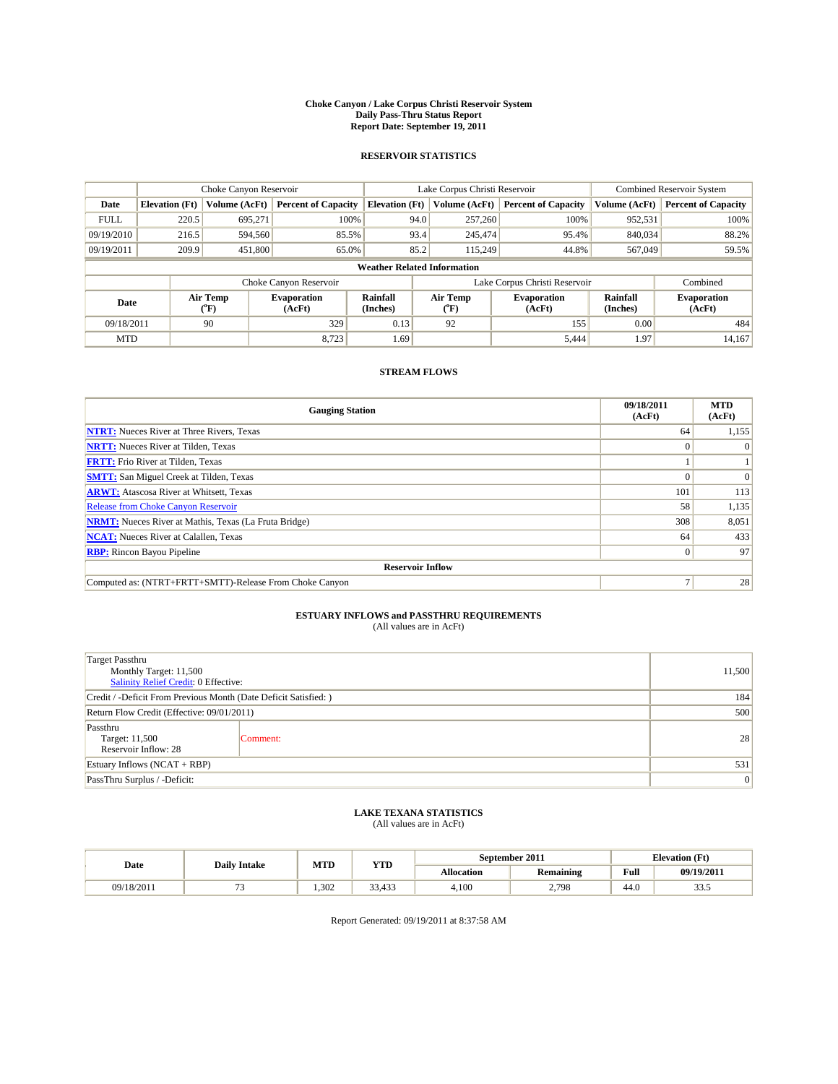#### **Choke Canyon / Lake Corpus Christi Reservoir System Daily Pass-Thru Status Report Report Date: September 19, 2011**

#### **RESERVOIR STATISTICS**

|                                    |                       | Choke Canyon Reservoir                    |                              |                             | Lake Corpus Christi Reservoir | Combined Reservoir System     |                      |                              |
|------------------------------------|-----------------------|-------------------------------------------|------------------------------|-----------------------------|-------------------------------|-------------------------------|----------------------|------------------------------|
| Date                               | <b>Elevation</b> (Ft) | Volume (AcFt)                             | <b>Percent of Capacity</b>   | <b>Elevation</b> (Ft)       | Volume (AcFt)                 | <b>Percent of Capacity</b>    | Volume (AcFt)        | <b>Percent of Capacity</b>   |
| <b>FULL</b>                        | 220.5                 | 695,271                                   | 100%                         | 94.0                        | 257,260                       | 100%                          | 952,531              | 100%                         |
| 09/19/2010                         | 216.5                 | 594,560                                   | 85.5%                        | 93.4                        | 245,474                       | 95.4%                         | 840,034              | 88.2%                        |
| 09/19/2011                         | 209.9                 | 451,800                                   | 65.0%                        | 85.2                        | 115,249                       | 44.8%                         | 567,049              | 59.5%                        |
| <b>Weather Related Information</b> |                       |                                           |                              |                             |                               |                               |                      |                              |
|                                    |                       |                                           | Choke Canyon Reservoir       |                             |                               | Lake Corpus Christi Reservoir |                      | Combined                     |
| Date                               |                       | Air Temp<br>$({}^{\mathrm{o}}\mathrm{F})$ | <b>Evaporation</b><br>(AcFt) | <b>Rainfall</b><br>(Inches) | Air Temp<br>(°F)              | <b>Evaporation</b><br>(AcFt)  | Rainfall<br>(Inches) | <b>Evaporation</b><br>(AcFt) |
| 09/18/2011                         |                       | 90                                        | 329                          | 0.13                        | 92                            | 155                           | 0.00                 | 484                          |
| <b>MTD</b>                         |                       |                                           | 8,723                        | 1.69                        |                               | 5,444                         | 1.97                 | 14,167                       |

### **STREAM FLOWS**

| <b>Gauging Station</b>                                       | 09/18/2011<br>(AcFt) | <b>MTD</b><br>(AcFt) |  |  |  |  |
|--------------------------------------------------------------|----------------------|----------------------|--|--|--|--|
| <b>NTRT:</b> Nueces River at Three Rivers, Texas             | 64                   | 1,155                |  |  |  |  |
| <b>NRTT:</b> Nueces River at Tilden, Texas                   | $\Omega$             |                      |  |  |  |  |
| <b>FRTT:</b> Frio River at Tilden, Texas                     |                      |                      |  |  |  |  |
| <b>SMTT:</b> San Miguel Creek at Tilden, Texas               |                      | $\Omega$             |  |  |  |  |
| <b>ARWT:</b> Atascosa River at Whitsett, Texas               | 101                  | 113                  |  |  |  |  |
| <b>Release from Choke Canyon Reservoir</b>                   | 58                   | 1,135                |  |  |  |  |
| <b>NRMT:</b> Nueces River at Mathis, Texas (La Fruta Bridge) | 308                  | 8,051                |  |  |  |  |
| <b>NCAT:</b> Nueces River at Calallen, Texas                 | 64                   | 433                  |  |  |  |  |
| <b>RBP:</b> Rincon Bayou Pipeline                            | $\overline{0}$       | 97                   |  |  |  |  |
| <b>Reservoir Inflow</b>                                      |                      |                      |  |  |  |  |
| Computed as: (NTRT+FRTT+SMTT)-Release From Choke Canyon      |                      | 28                   |  |  |  |  |

# **ESTUARY INFLOWS and PASSTHRU REQUIREMENTS**<br>(All values are in AcFt)

| Target Passthru<br>Monthly Target: 11,500<br>Salinity Relief Credit: 0 Effective: | 11,500          |    |
|-----------------------------------------------------------------------------------|-----------------|----|
| Credit / -Deficit From Previous Month (Date Deficit Satisfied: )                  | 184             |    |
| Return Flow Credit (Effective: 09/01/2011)                                        | 500             |    |
| Passthru<br>Target: 11,500<br>Reservoir Inflow: 28                                | Comment:        | 28 |
| Estuary Inflows $(NCAT + RBP)$                                                    | 531             |    |
| PassThru Surplus / -Deficit:                                                      | $\vert 0 \vert$ |    |

# **LAKE TEXANA STATISTICS** (All values are in AcFt)

|            | <b>Daily Intake</b> | MTD  | YTD    | September 2011<br><b>Elevation</b> (Ft) |                  |                                             |            |
|------------|---------------------|------|--------|-----------------------------------------|------------------|---------------------------------------------|------------|
| Date       |                     |      |        | <b>Allocation</b>                       | <b>Remaining</b> | Full<br>the contract of the contract of the | 09/19/201* |
| 09/18/2011 |                     | .302 | 33.433 | 4.100                                   | .798<br><u>.</u> | 44.0                                        | ن. ر. ر    |

Report Generated: 09/19/2011 at 8:37:58 AM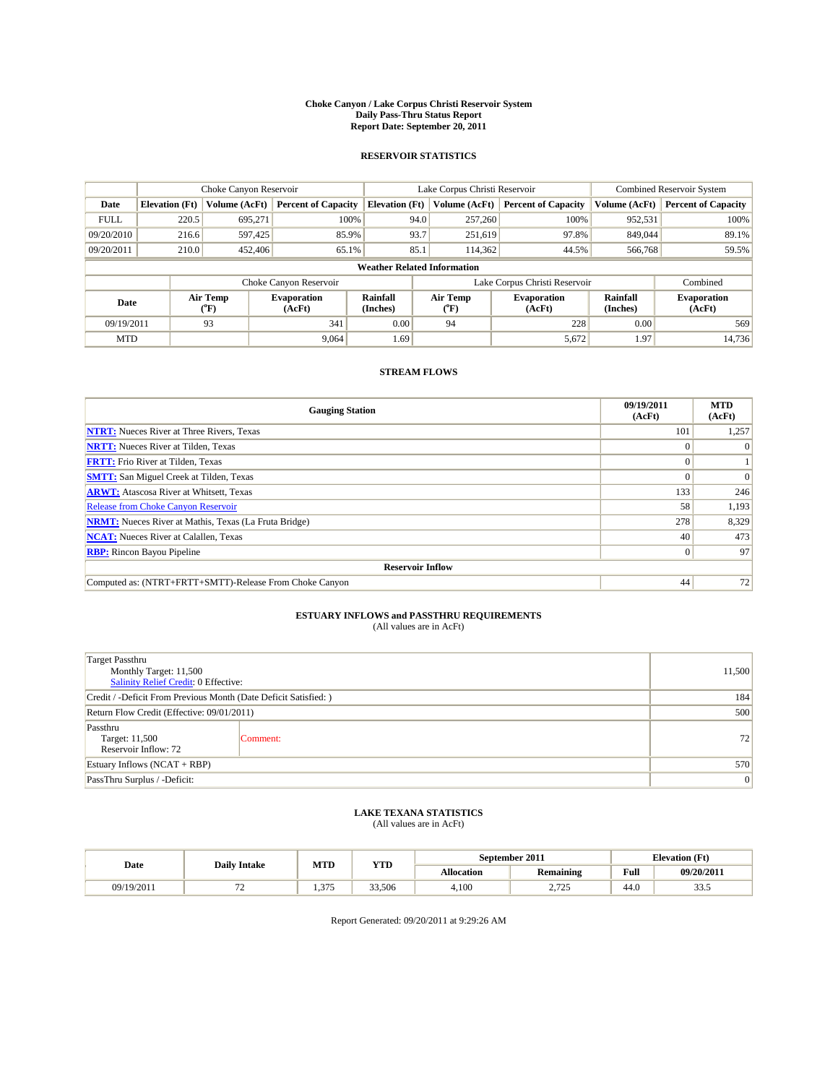#### **Choke Canyon / Lake Corpus Christi Reservoir System Daily Pass-Thru Status Report Report Date: September 20, 2011**

#### **RESERVOIR STATISTICS**

|             |                                    | Choke Canyon Reservoir                    |                              |                             | Lake Corpus Christi Reservoir             | <b>Combined Reservoir System</b> |                      |                              |  |
|-------------|------------------------------------|-------------------------------------------|------------------------------|-----------------------------|-------------------------------------------|----------------------------------|----------------------|------------------------------|--|
| Date        | <b>Elevation</b> (Ft)              | Volume (AcFt)                             | <b>Percent of Capacity</b>   | <b>Elevation</b> (Ft)       | Volume (AcFt)                             | <b>Percent of Capacity</b>       | Volume (AcFt)        | <b>Percent of Capacity</b>   |  |
| <b>FULL</b> | 220.5                              | 695,271                                   | 100%                         | 94.0                        | 257,260                                   | 100%                             | 952,531              | 100%                         |  |
| 09/20/2010  | 216.6                              | 597,425                                   | 85.9%                        | 93.7                        | 251,619                                   | 97.8%                            | 849,044              | 89.1%                        |  |
| 09/20/2011  | 210.0                              | 452,406                                   | 65.1%                        | 85.1                        | 114,362                                   | 44.5%                            | 566,768              | 59.5%                        |  |
|             | <b>Weather Related Information</b> |                                           |                              |                             |                                           |                                  |                      |                              |  |
|             |                                    |                                           | Choke Canyon Reservoir       |                             |                                           | Lake Corpus Christi Reservoir    |                      | Combined                     |  |
| Date        |                                    | Air Temp<br>$({}^{\mathrm{o}}\mathrm{F})$ | <b>Evaporation</b><br>(AcFt) | <b>Rainfall</b><br>(Inches) | Air Temp<br>$({}^{\mathrm{o}}\mathrm{F})$ | <b>Evaporation</b><br>(AcFt)     | Rainfall<br>(Inches) | <b>Evaporation</b><br>(AcFt) |  |
| 09/19/2011  |                                    | 93                                        | 341                          | 0.00                        | 94                                        | 228                              | 0.00                 | 569                          |  |
| <b>MTD</b>  |                                    |                                           | 9,064                        | 1.69                        |                                           | 5,672                            | 1.97                 | 14,736                       |  |

### **STREAM FLOWS**

| <b>Gauging Station</b>                                       | 09/19/2011<br>(AcFt) | <b>MTD</b><br>(AcFt) |  |  |  |  |
|--------------------------------------------------------------|----------------------|----------------------|--|--|--|--|
| <b>NTRT:</b> Nueces River at Three Rivers, Texas             | 101                  | 1,257                |  |  |  |  |
| <b>NRTT:</b> Nueces River at Tilden, Texas                   | $\theta$             |                      |  |  |  |  |
| <b>FRTT:</b> Frio River at Tilden, Texas                     |                      |                      |  |  |  |  |
| <b>SMTT:</b> San Miguel Creek at Tilden, Texas               |                      | $\Omega$             |  |  |  |  |
| <b>ARWT:</b> Atascosa River at Whitsett, Texas               | 133                  | 246                  |  |  |  |  |
| <b>Release from Choke Canyon Reservoir</b>                   | 58                   | 1,193                |  |  |  |  |
| <b>NRMT:</b> Nueces River at Mathis, Texas (La Fruta Bridge) | 278                  | 8,329                |  |  |  |  |
| <b>NCAT:</b> Nueces River at Calallen, Texas                 | 40                   | 473                  |  |  |  |  |
| <b>RBP:</b> Rincon Bayou Pipeline                            | $\overline{0}$       | 97                   |  |  |  |  |
| <b>Reservoir Inflow</b>                                      |                      |                      |  |  |  |  |
| Computed as: (NTRT+FRTT+SMTT)-Release From Choke Canyon      | 44                   | 72                   |  |  |  |  |

# **ESTUARY INFLOWS and PASSTHRU REQUIREMENTS**

|  | (All values are in AcFt) |
|--|--------------------------|
|--|--------------------------|

| <b>Target Passthru</b><br>Monthly Target: 11,500<br><b>Salinity Relief Credit: 0 Effective:</b> | 11,500   |    |  |  |  |
|-------------------------------------------------------------------------------------------------|----------|----|--|--|--|
| Credit / -Deficit From Previous Month (Date Deficit Satisfied: )                                |          |    |  |  |  |
| Return Flow Credit (Effective: 09/01/2011)                                                      | 500      |    |  |  |  |
| Passthru<br>Target: 11,500<br>Reservoir Inflow: 72                                              | Comment: | 72 |  |  |  |
| Estuary Inflows (NCAT + RBP)                                                                    |          |    |  |  |  |
| PassThru Surplus / -Deficit:                                                                    |          | 0  |  |  |  |

## **LAKE TEXANA STATISTICS** (All values are in AcFt)

|            | <b>Daily Intake</b>            | MTD                    | <b>YTD</b> |                   | September 2011   | <b>Elevation</b> (Ft) |                |
|------------|--------------------------------|------------------------|------------|-------------------|------------------|-----------------------|----------------|
| Date       |                                |                        |            | <b>Allocation</b> | <b>Remaining</b> | Full                  | 09/20/2011     |
| 09/19/2011 | --<br>$\overline{\phantom{0}}$ | 275<br>$\sim$ $\prime$ | 33,506     | 4,100             | 725<br>رے ، ۔ ۔  | 44.0                  | $\sim$<br>د.دد |

Report Generated: 09/20/2011 at 9:29:26 AM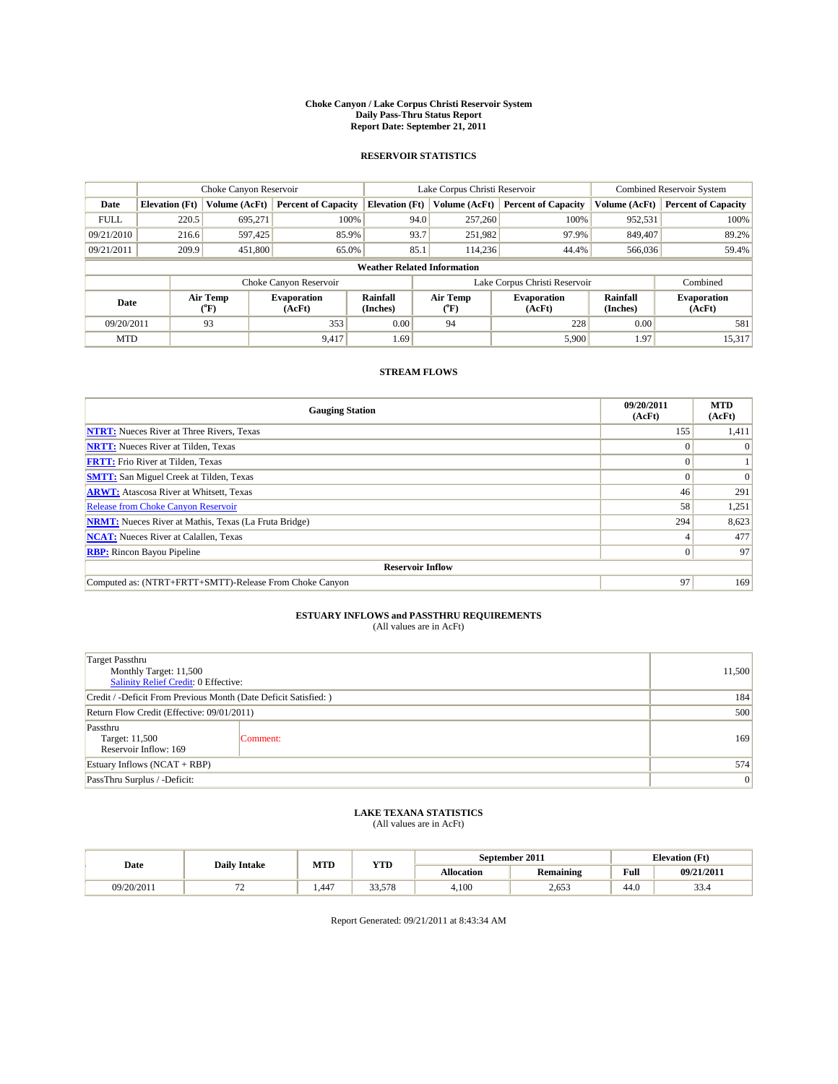#### **Choke Canyon / Lake Corpus Christi Reservoir System Daily Pass-Thru Status Report Report Date: September 21, 2011**

#### **RESERVOIR STATISTICS**

|             | Choke Canyon Reservoir |                             | Lake Corpus Christi Reservoir |                                    |                                                  |         | Combined Reservoir System  |                              |                            |
|-------------|------------------------|-----------------------------|-------------------------------|------------------------------------|--------------------------------------------------|---------|----------------------------|------------------------------|----------------------------|
| Date        | <b>Elevation</b> (Ft)  | Volume (AcFt)               | <b>Percent of Capacity</b>    | <b>Elevation</b> (Ft)              | Volume (AcFt)                                    |         | <b>Percent of Capacity</b> | Volume (AcFt)                | <b>Percent of Capacity</b> |
| <b>FULL</b> | 220.5                  | 695,271                     | 100%                          |                                    | 94.0                                             | 257,260 | 100%                       | 952,531                      | 100%                       |
| 09/21/2010  | 216.6                  | 597,425                     | 85.9%                         |                                    | 93.7                                             | 251,982 | 97.9%                      | 849,407                      | 89.2%                      |
| 09/21/2011  | 209.9                  | 451,800                     | 65.0%                         |                                    | 85.1                                             | 114.236 | 44.4%                      | 566,036                      | 59.4%                      |
|             |                        |                             |                               | <b>Weather Related Information</b> |                                                  |         |                            |                              |                            |
|             |                        |                             | Choke Canyon Reservoir        |                                    | Lake Corpus Christi Reservoir                    |         |                            | Combined                     |                            |
| Date        |                        | Air Temp<br>${}^{\circ}$ F) | <b>Evaporation</b><br>(AcFt)  | <b>Rainfall</b><br>(Inches)        | Air Temp<br><b>Evaporation</b><br>(°F)<br>(AcFt) |         | Rainfall<br>(Inches)       | <b>Evaporation</b><br>(AcFt) |                            |
| 09/20/2011  |                        | 93                          | 353                           | 0.00                               | 94                                               |         | 228                        | 0.00                         | 581                        |
| <b>MTD</b>  |                        |                             | 9,417                         | 1.69                               |                                                  |         | 5,900                      | 1.97                         | 15,317                     |

### **STREAM FLOWS**

| <b>Gauging Station</b>                                       | 09/20/2011<br>(AcFt) | <b>MTD</b><br>(AcFt) |
|--------------------------------------------------------------|----------------------|----------------------|
| <b>NTRT:</b> Nueces River at Three Rivers, Texas             | 155                  | 1,411                |
| <b>NRTT:</b> Nueces River at Tilden, Texas                   | $\theta$             |                      |
| <b>FRTT:</b> Frio River at Tilden, Texas                     |                      |                      |
| <b>SMTT:</b> San Miguel Creek at Tilden, Texas               |                      | $\Omega$             |
| <b>ARWT:</b> Atascosa River at Whitsett, Texas               | 46                   | 291                  |
| <b>Release from Choke Canyon Reservoir</b>                   | 58                   | 1,251                |
| <b>NRMT:</b> Nueces River at Mathis, Texas (La Fruta Bridge) | 294                  | 8,623                |
| <b>NCAT:</b> Nueces River at Calallen, Texas                 |                      | 477                  |
| <b>RBP:</b> Rincon Bayou Pipeline                            | $\Omega$             | 97                   |
| <b>Reservoir Inflow</b>                                      |                      |                      |
| Computed as: (NTRT+FRTT+SMTT)-Release From Choke Canyon      | 97                   | 169                  |

# **ESTUARY INFLOWS and PASSTHRU REQUIREMENTS**<br>(All values are in AcFt)

| Target Passthru<br>Monthly Target: 11,500<br>Salinity Relief Credit: 0 Effective: | 11,500   |                 |  |  |  |
|-----------------------------------------------------------------------------------|----------|-----------------|--|--|--|
| Credit / -Deficit From Previous Month (Date Deficit Satisfied: )                  |          |                 |  |  |  |
| Return Flow Credit (Effective: 09/01/2011)                                        | 500      |                 |  |  |  |
| Passthru<br>Target: 11,500<br>Reservoir Inflow: 169                               | Comment: | 169             |  |  |  |
| Estuary Inflows $(NCAT + RBP)$                                                    |          |                 |  |  |  |
| PassThru Surplus / -Deficit:                                                      |          | $\vert 0 \vert$ |  |  |  |

# **LAKE TEXANA STATISTICS** (All values are in AcFt)

|            | <b>Daily Intake</b>      | MTD  | YTD    |                   | September 2011   | <b>Elevation</b> (Ft)                       |                |
|------------|--------------------------|------|--------|-------------------|------------------|---------------------------------------------|----------------|
| Date       |                          |      |        | <b>Allocation</b> | <b>Remaining</b> | Full<br>the contract of the contract of the | 09/21/2011     |
| 09/20/2011 | $\overline{\phantom{0}}$ | .447 | 33,578 | 4.100             | 2,653            | 44.0                                        | $\sim$<br>33.4 |

Report Generated: 09/21/2011 at 8:43:34 AM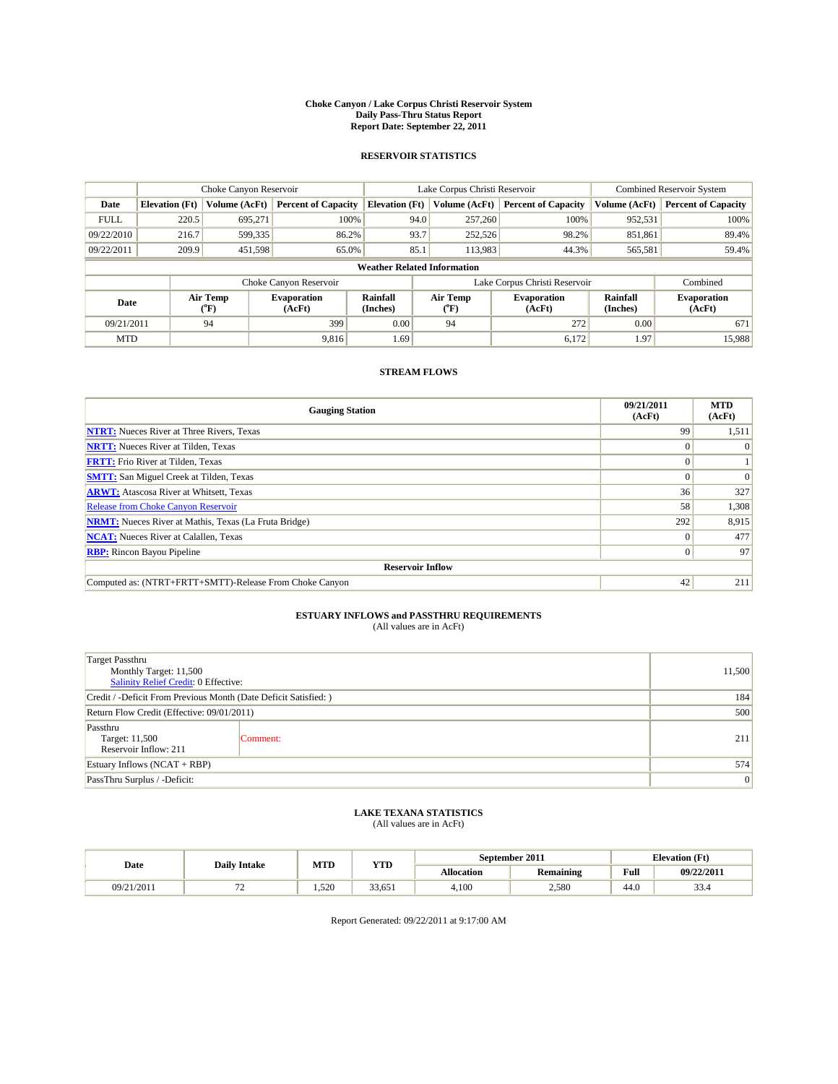#### **Choke Canyon / Lake Corpus Christi Reservoir System Daily Pass-Thru Status Report Report Date: September 22, 2011**

#### **RESERVOIR STATISTICS**

|             | Choke Canyon Reservoir |                                                                                                                                     | Lake Corpus Christi Reservoir |                                    |                               |         | Combined Reservoir System  |               |                            |
|-------------|------------------------|-------------------------------------------------------------------------------------------------------------------------------------|-------------------------------|------------------------------------|-------------------------------|---------|----------------------------|---------------|----------------------------|
| Date        | <b>Elevation</b> (Ft)  | Volume (AcFt)                                                                                                                       | <b>Percent of Capacity</b>    | <b>Elevation</b> (Ft)              | Volume (AcFt)                 |         | <b>Percent of Capacity</b> | Volume (AcFt) | <b>Percent of Capacity</b> |
| <b>FULL</b> | 220.5                  | 695,271                                                                                                                             | 100%                          |                                    | 94.0                          | 257,260 | 100%                       | 952,531       | 100%                       |
| 09/22/2010  | 216.7                  | 599,335                                                                                                                             | 86.2%                         |                                    | 93.7                          | 252,526 | 98.2%                      | 851,861       | 89.4%                      |
| 09/22/2011  | 209.9                  | 451,598                                                                                                                             | 65.0%                         |                                    | 85.1                          | 113,983 | 44.3%                      | 565,581       | 59.4%                      |
|             |                        |                                                                                                                                     |                               | <b>Weather Related Information</b> |                               |         |                            |               |                            |
|             |                        |                                                                                                                                     | Choke Canyon Reservoir        |                                    | Lake Corpus Christi Reservoir |         |                            |               | Combined                   |
| Date        |                        | Air Temp<br><b>Rainfall</b><br>Air Temp<br><b>Evaporation</b><br><b>Evaporation</b><br>(Inches)<br>(AcFt)<br>(°F)<br>(AcFt)<br>(°F) |                               | Rainfall<br>(Inches)               | <b>Evaporation</b><br>(AcFt)  |         |                            |               |                            |
| 09/21/2011  |                        | 94                                                                                                                                  | 399                           | 0.00                               | 94                            |         | 272                        | 0.00          | 671                        |
| <b>MTD</b>  |                        |                                                                                                                                     | 9.816                         | 1.69                               |                               |         | 6,172                      | 1.97          | 15,988                     |

### **STREAM FLOWS**

| <b>Gauging Station</b>                                       | 09/21/2011<br>(AcFt) | <b>MTD</b><br>(AcFt) |
|--------------------------------------------------------------|----------------------|----------------------|
| <b>NTRT:</b> Nueces River at Three Rivers, Texas             | 99                   | 1,511                |
| <b>NRTT:</b> Nueces River at Tilden, Texas                   |                      |                      |
| <b>FRTT:</b> Frio River at Tilden, Texas                     | $\Omega$             |                      |
| <b>SMTT:</b> San Miguel Creek at Tilden, Texas               | $\Omega$             | $\Omega$             |
| <b>ARWT:</b> Atascosa River at Whitsett, Texas               | 36                   | 327                  |
| <b>Release from Choke Canyon Reservoir</b>                   | 58                   | 1,308                |
| <b>NRMT:</b> Nueces River at Mathis, Texas (La Fruta Bridge) | 292                  | 8,915                |
| <b>NCAT:</b> Nueces River at Calallen, Texas                 | $\Omega$             | 477                  |
| <b>RBP:</b> Rincon Bayou Pipeline                            | $\overline{0}$       | 97                   |
| <b>Reservoir Inflow</b>                                      |                      |                      |
| Computed as: (NTRT+FRTT+SMTT)-Release From Choke Canyon      | 42                   | 211                  |

# **ESTUARY INFLOWS and PASSTHRU REQUIREMENTS**

|  | (All values are in AcFt) |
|--|--------------------------|
|--|--------------------------|

| <b>Target Passthru</b><br>Monthly Target: 11,500<br><b>Salinity Relief Credit: 0 Effective:</b> | 11,500   |     |  |  |  |
|-------------------------------------------------------------------------------------------------|----------|-----|--|--|--|
| Credit / -Deficit From Previous Month (Date Deficit Satisfied: )                                |          |     |  |  |  |
| Return Flow Credit (Effective: 09/01/2011)                                                      | 500      |     |  |  |  |
| Passthru<br>Target: 11,500<br>Reservoir Inflow: 211                                             | Comment: | 211 |  |  |  |
| Estuary Inflows (NCAT + RBP)                                                                    | 574      |     |  |  |  |
| PassThru Surplus / -Deficit:                                                                    |          | 0   |  |  |  |

## **LAKE TEXANA STATISTICS** (All values are in AcFt)

|            |                      | MTD   | YTD    | September 2011 |                  |      | <b>Elevation</b> (Ft) |  |
|------------|----------------------|-------|--------|----------------|------------------|------|-----------------------|--|
| Date       | <b>Daily Intake</b>  |       |        | Allocation     | <b>Remaining</b> | Full | 09/22/2011            |  |
| 09/21/2011 | --<br>$\overline{1}$ | 1.520 | 33.651 | 4.100          | 2.580            | 44.0 | $\sim$<br>33.4        |  |

Report Generated: 09/22/2011 at 9:17:00 AM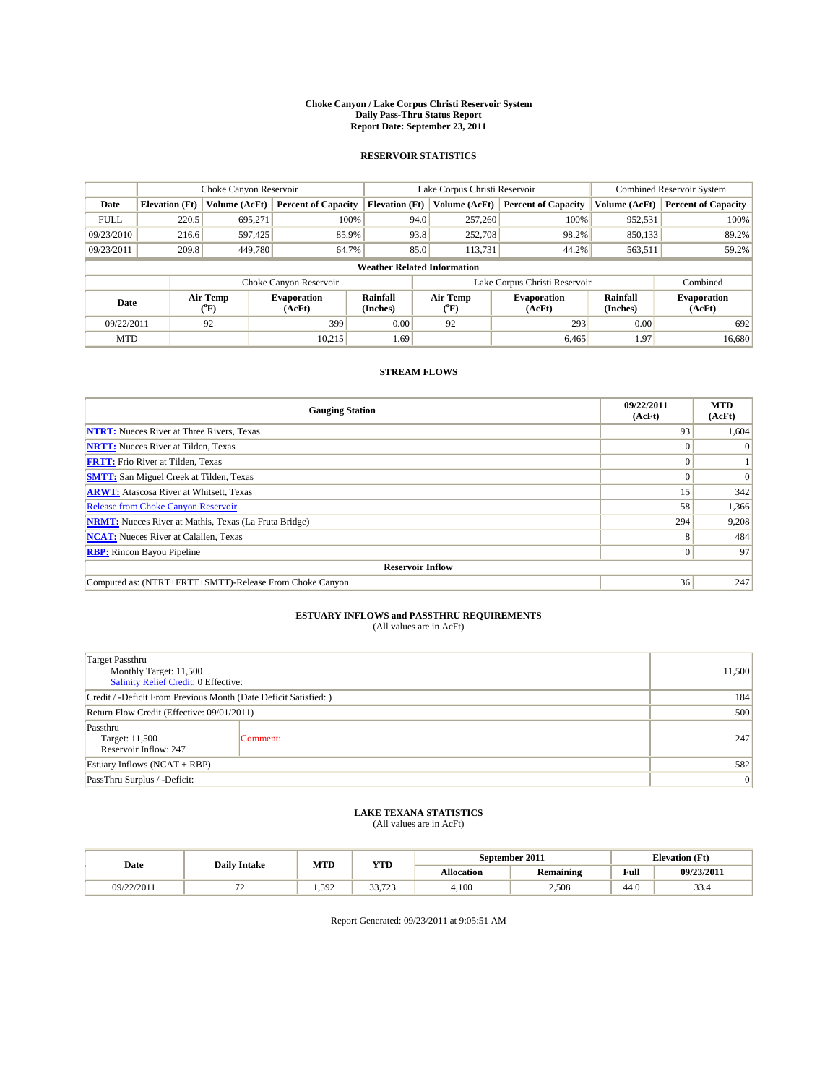#### **Choke Canyon / Lake Corpus Christi Reservoir System Daily Pass-Thru Status Report Report Date: September 23, 2011**

#### **RESERVOIR STATISTICS**

|             |                       | Choke Canyon Reservoir |                              |                                    | Lake Corpus Christi Reservoir                    | <b>Combined Reservoir System</b> |                      |                              |
|-------------|-----------------------|------------------------|------------------------------|------------------------------------|--------------------------------------------------|----------------------------------|----------------------|------------------------------|
| Date        | <b>Elevation</b> (Ft) | Volume (AcFt)          | <b>Percent of Capacity</b>   | <b>Elevation</b> (Ft)              | Volume (AcFt)                                    | <b>Percent of Capacity</b>       | Volume (AcFt)        | <b>Percent of Capacity</b>   |
| <b>FULL</b> | 220.5                 | 695,271                | 100%                         | 94.0                               | 257,260                                          | 100%                             | 952,531              | 100%                         |
| 09/23/2010  | 216.6                 | 597,425                | 85.9%                        | 93.8                               | 252,708                                          | 98.2%                            | 850,133              | 89.2%                        |
| 09/23/2011  | 209.8                 | 449,780                | 64.7%                        | 85.0                               | 113,731                                          | 44.2%                            | 563,511              | 59.2%                        |
|             |                       |                        |                              | <b>Weather Related Information</b> |                                                  |                                  |                      |                              |
|             |                       |                        | Choke Canyon Reservoir       |                                    | Lake Corpus Christi Reservoir                    |                                  |                      | Combined                     |
| Date        |                       | Air Temp<br>(°F)       | <b>Evaporation</b><br>(AcFt) | Rainfall<br>(Inches)               | Air Temp<br><b>Evaporation</b><br>(AcFt)<br>("F) |                                  | Rainfall<br>(Inches) | <b>Evaporation</b><br>(AcFt) |
| 09/22/2011  |                       | 92                     | 399                          | 0.00                               | 92                                               | 293                              | 0.00                 | 692                          |
| <b>MTD</b>  |                       |                        | 10.215                       | 1.69                               |                                                  | 6,465                            | 1.97                 | 16.680                       |

### **STREAM FLOWS**

| <b>Gauging Station</b>                                       | 09/22/2011<br>(AcFt) | <b>MTD</b><br>(AcFt) |
|--------------------------------------------------------------|----------------------|----------------------|
| <b>NTRT:</b> Nueces River at Three Rivers, Texas             | 93                   | 1,604                |
| <b>NRTT:</b> Nueces River at Tilden, Texas                   |                      |                      |
| <b>FRTT:</b> Frio River at Tilden, Texas                     | $\Omega$             |                      |
| <b>SMTT:</b> San Miguel Creek at Tilden, Texas               | $\Omega$             | $\Omega$             |
| <b>ARWT:</b> Atascosa River at Whitsett, Texas               | 15                   | 342                  |
| <b>Release from Choke Canyon Reservoir</b>                   | 58                   | 1,366                |
| <b>NRMT:</b> Nueces River at Mathis, Texas (La Fruta Bridge) | 294                  | 9,208                |
| <b>NCAT:</b> Nueces River at Calallen, Texas                 | 8                    | 484                  |
| <b>RBP:</b> Rincon Bayou Pipeline                            | $\overline{0}$       | 97                   |
| <b>Reservoir Inflow</b>                                      |                      |                      |
| Computed as: (NTRT+FRTT+SMTT)-Release From Choke Canyon      | 36                   | 247                  |

# **ESTUARY INFLOWS and PASSTHRU REQUIREMENTS**<br>(All values are in AcFt)

| <b>Target Passthru</b><br>Monthly Target: 11,500<br>Salinity Relief Credit: 0 Effective: |                                                                  |     |  |  |  |  |
|------------------------------------------------------------------------------------------|------------------------------------------------------------------|-----|--|--|--|--|
|                                                                                          | Credit / -Deficit From Previous Month (Date Deficit Satisfied: ) |     |  |  |  |  |
| Return Flow Credit (Effective: 09/01/2011)                                               |                                                                  |     |  |  |  |  |
| Passthru<br>Target: 11,500<br>Reservoir Inflow: 247                                      | Comment:                                                         | 247 |  |  |  |  |
| Estuary Inflows $(NCAT + RBP)$                                                           |                                                                  |     |  |  |  |  |
| PassThru Surplus / -Deficit:                                                             |                                                                  | 0   |  |  |  |  |

## **LAKE TEXANA STATISTICS** (All values are in AcFt)

|            |                                | MTD<br>YTD |                 | September 2011    |                  | <b>Elevation</b> (Ft) |                |
|------------|--------------------------------|------------|-----------------|-------------------|------------------|-----------------------|----------------|
| Date       | <b>Daily Intake</b>            |            |                 | <b>Allocation</b> | <b>Remaining</b> | Full                  | 09/23/2011     |
| 09/22/2011 | --<br>$\overline{\phantom{0}}$ | .592       | 2272<br>رے ہے ر | 4,100             | 2.508            | 44.0                  | $\sim$<br>33.4 |

Report Generated: 09/23/2011 at 9:05:51 AM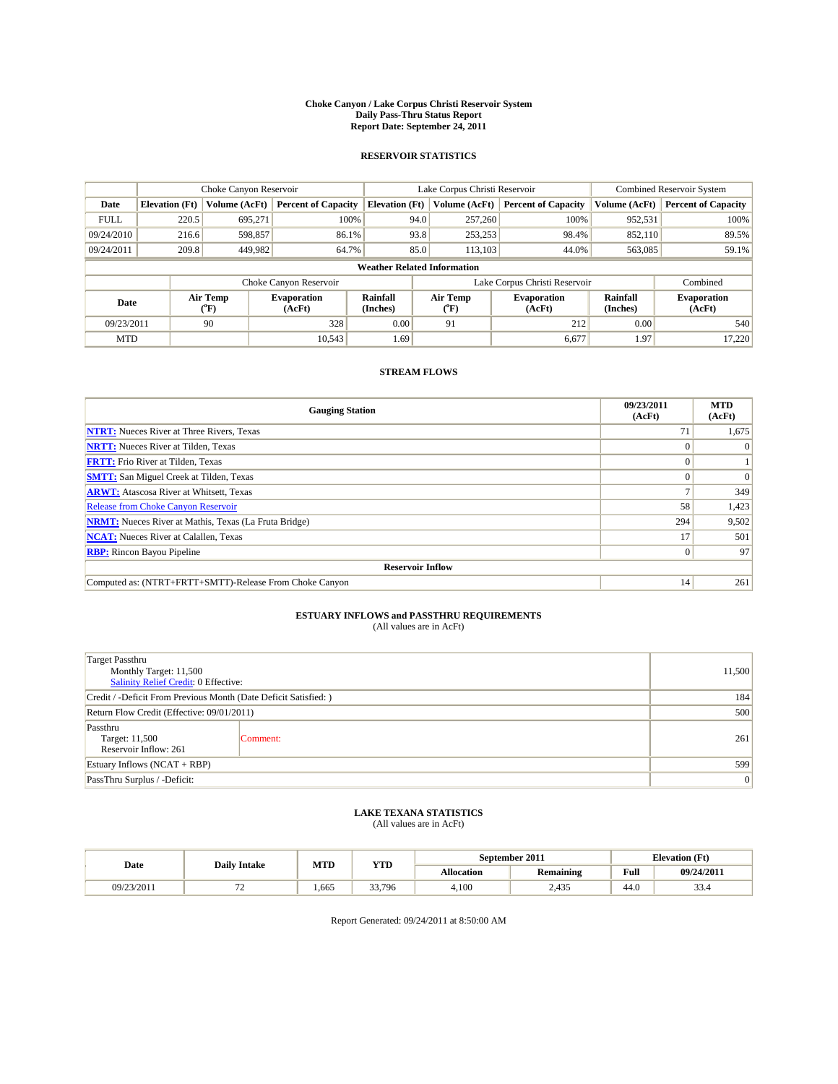#### **Choke Canyon / Lake Corpus Christi Reservoir System Daily Pass-Thru Status Report Report Date: September 24, 2011**

#### **RESERVOIR STATISTICS**

|             |                       | Choke Canyon Reservoir |                              |                                    | Lake Corpus Christi Reservoir |                              |                      | <b>Combined Reservoir System</b> |  |  |
|-------------|-----------------------|------------------------|------------------------------|------------------------------------|-------------------------------|------------------------------|----------------------|----------------------------------|--|--|
| Date        | <b>Elevation</b> (Ft) | Volume (AcFt)          | <b>Percent of Capacity</b>   | <b>Elevation (Ft)</b>              | Volume (AcFt)                 | <b>Percent of Capacity</b>   | Volume (AcFt)        | <b>Percent of Capacity</b>       |  |  |
| <b>FULL</b> | 220.5                 | 695,271                | 100%                         | 94.0                               | 257,260                       | 100%                         | 952,531              | 100%                             |  |  |
| 09/24/2010  | 216.6                 | 598,857                | 86.1%                        |                                    | 93.8<br>253,253               | 98.4%                        | 852,110              | 89.5%                            |  |  |
| 09/24/2011  | 209.8                 | 449,982                | 64.7%                        |                                    | 85.0<br>113.103               | 44.0%                        | 563,085              | 59.1%                            |  |  |
|             |                       |                        |                              | <b>Weather Related Information</b> |                               |                              |                      |                                  |  |  |
|             |                       |                        | Choke Canyon Reservoir       |                                    | Lake Corpus Christi Reservoir |                              |                      | Combined                         |  |  |
| Date        |                       | Air Temp<br>(°F)       | <b>Evaporation</b><br>(AcFt) | Rainfall<br>(Inches)               | Air Temp<br>("F)              | <b>Evaporation</b><br>(AcFt) | Rainfall<br>(Inches) | <b>Evaporation</b><br>(AcFt)     |  |  |
| 09/23/2011  |                       | 90                     | 328                          | 0.00                               | 91                            | 212                          | 0.00                 | 540                              |  |  |
| <b>MTD</b>  |                       |                        | 10,543                       | 1.69                               |                               | 6,677                        | 1.97                 | 17,220                           |  |  |

### **STREAM FLOWS**

| <b>Gauging Station</b>                                       | 09/23/2011<br>(AcFt) | <b>MTD</b><br>(AcFt) |
|--------------------------------------------------------------|----------------------|----------------------|
| <b>NTRT:</b> Nueces River at Three Rivers, Texas             | 71                   | 1,675                |
| <b>NRTT:</b> Nueces River at Tilden, Texas                   |                      |                      |
| <b>FRTT:</b> Frio River at Tilden, Texas                     |                      |                      |
| <b>SMTT:</b> San Miguel Creek at Tilden, Texas               |                      | $\Omega$             |
| <b>ARWT:</b> Atascosa River at Whitsett, Texas               |                      | 349                  |
| <b>Release from Choke Canyon Reservoir</b>                   | 58                   | 1,423                |
| <b>NRMT:</b> Nueces River at Mathis, Texas (La Fruta Bridge) | 294                  | 9,502                |
| <b>NCAT:</b> Nueces River at Calallen, Texas                 | 17                   | 501                  |
| <b>RBP:</b> Rincon Bayou Pipeline                            | $\vert 0 \vert$      | 97                   |
| <b>Reservoir Inflow</b>                                      |                      |                      |
| Computed as: (NTRT+FRTT+SMTT)-Release From Choke Canyon      | 14                   | 261                  |

# **ESTUARY INFLOWS and PASSTHRU REQUIREMENTS**<br>(All values are in AcFt)

| <b>Target Passthru</b><br>Monthly Target: 11,500<br>Salinity Relief Credit: 0 Effective: | 11,500   |     |
|------------------------------------------------------------------------------------------|----------|-----|
| Credit / -Deficit From Previous Month (Date Deficit Satisfied: )                         |          | 184 |
| Return Flow Credit (Effective: 09/01/2011)                                               | 500      |     |
| Passthru<br>Target: 11,500<br>Reservoir Inflow: 261                                      | Comment: | 261 |
| Estuary Inflows $(NCAT + RBP)$                                                           | 599      |     |
| PassThru Surplus / -Deficit:                                                             |          | 0   |

## **LAKE TEXANA STATISTICS** (All values are in AcFt)

| <b>Daily Intake</b> |     | MTD  | YTD         | September 2011    |                  | <b>Elevation</b> (Ft) |                |
|---------------------|-----|------|-------------|-------------------|------------------|-----------------------|----------------|
| Date                |     |      |             | <b>Allocation</b> | <b>Remaining</b> | Full                  | 09/24/2011     |
| 09/23/2011          | . . | .665 | 33.<br>.796 | 4.100             | 2.435            | 44.0                  | $\sim$<br>33.4 |

Report Generated: 09/24/2011 at 8:50:00 AM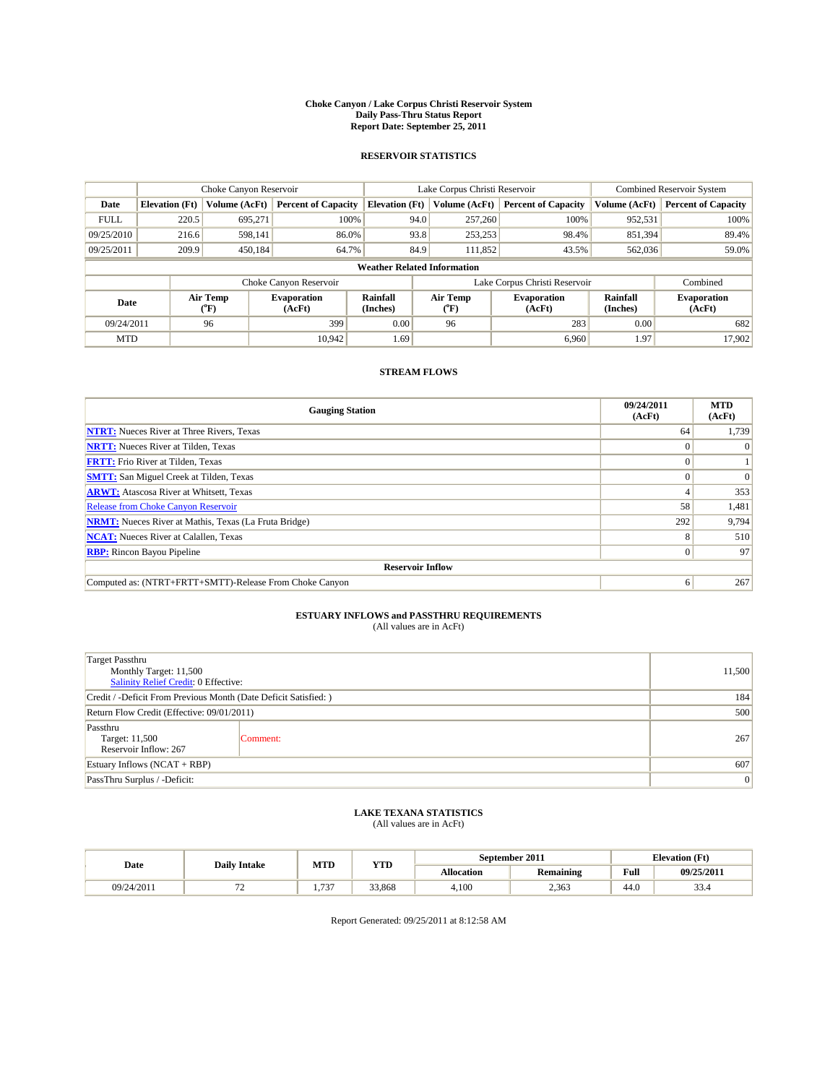#### **Choke Canyon / Lake Corpus Christi Reservoir System Daily Pass-Thru Status Report Report Date: September 25, 2011**

#### **RESERVOIR STATISTICS**

|             | Choke Canyon Reservoir |                             |                              |                             | Lake Corpus Christi Reservoir      |                              |                      | <b>Combined Reservoir System</b> |  |
|-------------|------------------------|-----------------------------|------------------------------|-----------------------------|------------------------------------|------------------------------|----------------------|----------------------------------|--|
| Date        | <b>Elevation</b> (Ft)  | Volume (AcFt)               | <b>Percent of Capacity</b>   | <b>Elevation</b> (Ft)       | Volume (AcFt)                      | <b>Percent of Capacity</b>   | Volume (AcFt)        | <b>Percent of Capacity</b>       |  |
| <b>FULL</b> | 220.5                  | 695,271                     | 100%                         |                             | 257,260<br>94.0                    | 100%                         | 952,531              | 100%                             |  |
| 09/25/2010  | 216.6                  | 598.141                     | 86.0%                        |                             | 93.8<br>253,253                    | 98.4%                        | 851,394              | 89.4%                            |  |
| 09/25/2011  | 209.9                  | 450,184                     | 64.7%                        |                             | 84.9<br>111.852                    | 43.5%                        | 562,036              | 59.0%                            |  |
|             |                        |                             |                              |                             | <b>Weather Related Information</b> |                              |                      |                                  |  |
|             |                        |                             | Choke Canyon Reservoir       |                             | Lake Corpus Christi Reservoir      |                              |                      | Combined                         |  |
| Date        |                        | Air Temp<br>${}^{\circ}$ F) | <b>Evaporation</b><br>(AcFt) | <b>Rainfall</b><br>(Inches) | Air Temp<br>(°F)                   | <b>Evaporation</b><br>(AcFt) | Rainfall<br>(Inches) | <b>Evaporation</b><br>(AcFt)     |  |
| 09/24/2011  |                        | 96                          | 399                          | 0.00                        | 96                                 | 283                          | 0.00                 | 682                              |  |
| <b>MTD</b>  |                        |                             | 10.942                       | 1.69                        |                                    | 6,960                        | 1.97                 | 17,902                           |  |

### **STREAM FLOWS**

| <b>Gauging Station</b>                                       | 09/24/2011<br>(AcFt) | <b>MTD</b><br>(AcFt) |
|--------------------------------------------------------------|----------------------|----------------------|
| <b>NTRT:</b> Nueces River at Three Rivers, Texas             | 64                   | 1,739                |
| <b>NRTT:</b> Nueces River at Tilden, Texas                   | $\Omega$             |                      |
| <b>FRTT:</b> Frio River at Tilden, Texas                     |                      |                      |
| <b>SMTT:</b> San Miguel Creek at Tilden, Texas               |                      | $\Omega$             |
| <b>ARWT:</b> Atascosa River at Whitsett, Texas               |                      | 353                  |
| <b>Release from Choke Canyon Reservoir</b>                   | 58                   | 1,481                |
| <b>NRMT:</b> Nueces River at Mathis, Texas (La Fruta Bridge) | 292                  | 9,794                |
| <b>NCAT:</b> Nueces River at Calallen, Texas                 | 8                    | 510                  |
| <b>RBP:</b> Rincon Bayou Pipeline                            | $\overline{0}$       | 97                   |
| <b>Reservoir Inflow</b>                                      |                      |                      |
| Computed as: (NTRT+FRTT+SMTT)-Release From Choke Canyon      | 6                    | 267                  |

# **ESTUARY INFLOWS and PASSTHRU REQUIREMENTS**<br>(All values are in AcFt)

| <b>Target Passthru</b><br>Monthly Target: 11,500<br>Salinity Relief Credit: 0 Effective: | 11,500   |     |
|------------------------------------------------------------------------------------------|----------|-----|
| Credit / -Deficit From Previous Month (Date Deficit Satisfied: )                         |          | 184 |
| Return Flow Credit (Effective: 09/01/2011)                                               | 500      |     |
| Passthru<br>Target: 11,500<br>Reservoir Inflow: 267                                      | Comment: | 267 |
| Estuary Inflows $(NCAT + RBP)$                                                           | 607      |     |
| PassThru Surplus / -Deficit:                                                             |          | 0   |

## **LAKE TEXANA STATISTICS** (All values are in AcFt)

|            | MTD<br><b>YTD</b><br><b>Daily Intake</b> |                                |        | September 2011    | <b>Elevation</b> (Ft) |      |                |
|------------|------------------------------------------|--------------------------------|--------|-------------------|-----------------------|------|----------------|
| Date       |                                          |                                |        | <b>Allocation</b> | <b>Remaining</b>      | Full | 09/25/2011     |
| 09/24/2011 |                                          | $\sim$ $\sim$<br>1, <i>I J</i> | 33,868 | 4,100             | 2,363                 | 44.0 | $\sim$<br>55.4 |

Report Generated: 09/25/2011 at 8:12:58 AM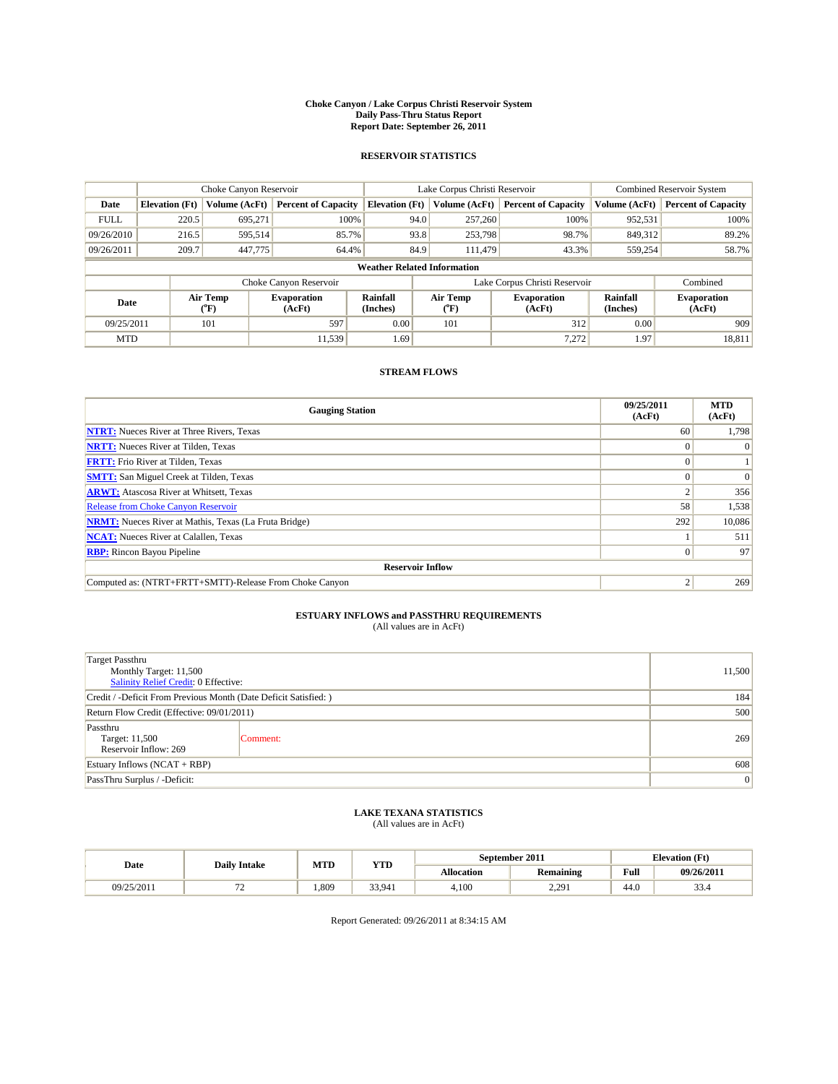#### **Choke Canyon / Lake Corpus Christi Reservoir System Daily Pass-Thru Status Report Report Date: September 26, 2011**

#### **RESERVOIR STATISTICS**

|             | Choke Canyon Reservoir |                                           |                              |                                    | Lake Corpus Christi Reservoir |                               |                      | <b>Combined Reservoir System</b> |  |
|-------------|------------------------|-------------------------------------------|------------------------------|------------------------------------|-------------------------------|-------------------------------|----------------------|----------------------------------|--|
| Date        | <b>Elevation</b> (Ft)  | Volume (AcFt)                             | <b>Percent of Capacity</b>   | <b>Elevation</b> (Ft)              | Volume (AcFt)                 | <b>Percent of Capacity</b>    | Volume (AcFt)        | <b>Percent of Capacity</b>       |  |
| <b>FULL</b> | 220.5                  | 695,271                                   | 100%                         | 94.0                               | 257,260                       | 100%                          | 952,531              | 100%                             |  |
| 09/26/2010  | 216.5                  | 595,514                                   | 85.7%                        | 93.8                               | 253,798                       | 98.7%                         | 849,312              | 89.2%                            |  |
| 09/26/2011  | 209.7                  | 447,775                                   | 64.4%                        | 84.9                               | 111.479                       | 43.3%                         | 559,254              | 58.7%                            |  |
|             |                        |                                           |                              | <b>Weather Related Information</b> |                               |                               |                      |                                  |  |
|             |                        |                                           | Choke Canyon Reservoir       |                                    |                               | Lake Corpus Christi Reservoir |                      | Combined                         |  |
| Date        |                        | Air Temp<br>$({}^{\mathrm{o}}\mathrm{F})$ | <b>Evaporation</b><br>(AcFt) | <b>Rainfall</b><br>(Inches)        | Air Temp<br>("F)              | <b>Evaporation</b><br>(AcFt)  | Rainfall<br>(Inches) | <b>Evaporation</b><br>(AcFt)     |  |
| 09/25/2011  |                        | 101                                       | 597                          | 0.00                               | 101                           | 312                           | 0.00                 | 909                              |  |
| <b>MTD</b>  |                        |                                           | 11.539                       | 1.69                               |                               | 7.272                         | 1.97                 | 18,811                           |  |

### **STREAM FLOWS**

| <b>Gauging Station</b>                                       | 09/25/2011<br>(AcFt) | <b>MTD</b><br>(AcFt) |
|--------------------------------------------------------------|----------------------|----------------------|
| <b>NTRT:</b> Nueces River at Three Rivers, Texas             | 60                   | 1,798                |
| <b>NRTT:</b> Nueces River at Tilden, Texas                   | $\Omega$             |                      |
| <b>FRTT:</b> Frio River at Tilden, Texas                     |                      |                      |
| <b>SMTT:</b> San Miguel Creek at Tilden, Texas               |                      | $\Omega$             |
| <b>ARWT:</b> Atascosa River at Whitsett, Texas               |                      | 356                  |
| <b>Release from Choke Canyon Reservoir</b>                   | 58                   | 1,538                |
| <b>NRMT:</b> Nueces River at Mathis, Texas (La Fruta Bridge) | 292                  | 10,086               |
| <b>NCAT:</b> Nueces River at Calallen, Texas                 |                      | 511                  |
| <b>RBP:</b> Rincon Bayou Pipeline                            | $\Omega$             | 97                   |
| <b>Reservoir Inflow</b>                                      |                      |                      |
| Computed as: (NTRT+FRTT+SMTT)-Release From Choke Canyon      | c                    | 269                  |

# **ESTUARY INFLOWS and PASSTHRU REQUIREMENTS**<br>(All values are in AcFt)

| Target Passthru<br>Monthly Target: 11,500<br>Salinity Relief Credit: 0 Effective: | 11,500   |     |  |  |  |
|-----------------------------------------------------------------------------------|----------|-----|--|--|--|
| Credit / -Deficit From Previous Month (Date Deficit Satisfied: )                  |          |     |  |  |  |
| Return Flow Credit (Effective: 09/01/2011)                                        | 500      |     |  |  |  |
| Passthru<br>Target: 11,500<br>Reservoir Inflow: 269                               | Comment: | 269 |  |  |  |
| Estuary Inflows $(NCAT + RBP)$                                                    |          |     |  |  |  |
| PassThru Surplus / -Deficit:                                                      |          | 0   |  |  |  |

# **LAKE TEXANA STATISTICS** (All values are in AcFt)

|            | <b>Daily Intake</b> | MTD  | YTD    | September 2011    |                         |      | <b>Elevation</b> (Ft) |
|------------|---------------------|------|--------|-------------------|-------------------------|------|-----------------------|
| Date       |                     |      |        | <b>Allocation</b> | <b>Remaining</b>        | Full | 09/26/2011            |
| 09/25/2011 | $\epsilon$          | .809 | 33,941 | 4.100             | , 20,<br>$\sim\sim\sim$ | 44.0 | $\sim$<br>33.4        |

Report Generated: 09/26/2011 at 8:34:15 AM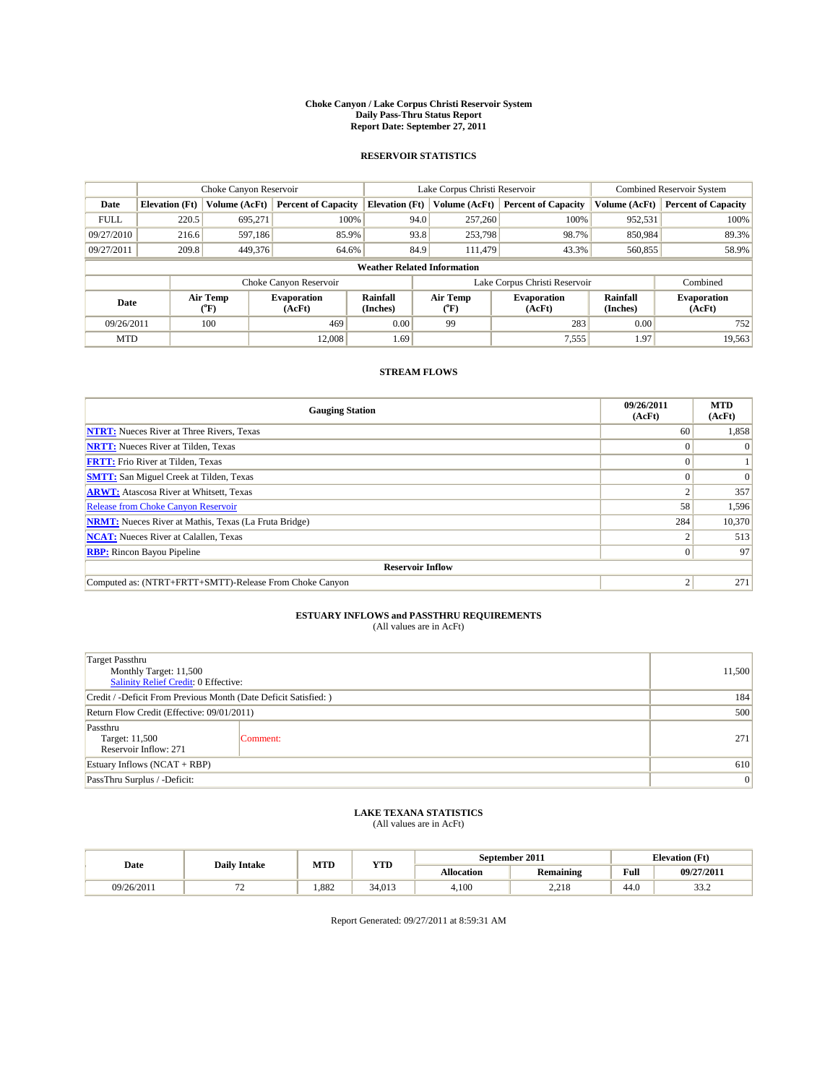#### **Choke Canyon / Lake Corpus Christi Reservoir System Daily Pass-Thru Status Report Report Date: September 27, 2011**

#### **RESERVOIR STATISTICS**

|             | Choke Canyon Reservoir |                                           |                              |                                    | Lake Corpus Christi Reservoir |                               |                      | <b>Combined Reservoir System</b> |  |
|-------------|------------------------|-------------------------------------------|------------------------------|------------------------------------|-------------------------------|-------------------------------|----------------------|----------------------------------|--|
| Date        | <b>Elevation</b> (Ft)  | Volume (AcFt)                             | <b>Percent of Capacity</b>   | <b>Elevation</b> (Ft)              | Volume (AcFt)                 | <b>Percent of Capacity</b>    | Volume (AcFt)        | <b>Percent of Capacity</b>       |  |
| <b>FULL</b> | 220.5                  | 695,271                                   | 100%                         | 94.0                               | 257,260                       | 100%                          | 952,531              | 100%                             |  |
| 09/27/2010  | 216.6                  | 597,186                                   | 85.9%                        | 93.8                               | 253,798                       | 98.7%                         | 850.984              | 89.3%                            |  |
| 09/27/2011  | 209.8                  | 449,376                                   | 64.6%                        | 84.9                               | 111.479                       | 43.3%                         | 560,855              | 58.9%                            |  |
|             |                        |                                           |                              | <b>Weather Related Information</b> |                               |                               |                      |                                  |  |
|             |                        |                                           | Choke Canyon Reservoir       |                                    |                               | Lake Corpus Christi Reservoir |                      | Combined                         |  |
| Date        |                        | Air Temp<br>$({}^{\mathrm{o}}\mathrm{F})$ | <b>Evaporation</b><br>(AcFt) | <b>Rainfall</b><br>(Inches)        | Air Temp<br>(°F)              | <b>Evaporation</b><br>(AcFt)  | Rainfall<br>(Inches) | <b>Evaporation</b><br>(AcFt)     |  |
| 09/26/2011  |                        | 100                                       | 469                          | 0.00                               | 99                            | 283                           | 0.00                 | 752                              |  |
| <b>MTD</b>  |                        |                                           | 12,008                       | 1.69                               |                               | 7,555                         | 1.97                 | 19,563                           |  |

### **STREAM FLOWS**

| <b>Gauging Station</b>                                       | 09/26/2011<br>(AcFt) | <b>MTD</b><br>(AcFt) |
|--------------------------------------------------------------|----------------------|----------------------|
| <b>NTRT:</b> Nueces River at Three Rivers, Texas             | 60                   | 1,858                |
| <b>NRTT:</b> Nueces River at Tilden, Texas                   |                      | $\Omega$             |
| <b>FRTT:</b> Frio River at Tilden, Texas                     |                      |                      |
| <b>SMTT:</b> San Miguel Creek at Tilden, Texas               |                      | $\Omega$             |
| <b>ARWT:</b> Atascosa River at Whitsett, Texas               |                      | 357                  |
| <b>Release from Choke Canyon Reservoir</b>                   | 58                   | 1,596                |
| <b>NRMT:</b> Nueces River at Mathis, Texas (La Fruta Bridge) | 284                  | 10,370               |
| <b>NCAT:</b> Nueces River at Calallen, Texas                 |                      | 513                  |
| <b>RBP:</b> Rincon Bayou Pipeline                            | $\Omega$             | 97                   |
| <b>Reservoir Inflow</b>                                      |                      |                      |
| Computed as: (NTRT+FRTT+SMTT)-Release From Choke Canyon      |                      | 271                  |

# **ESTUARY INFLOWS and PASSTHRU REQUIREMENTS**<br>(All values are in AcFt)

| <b>Target Passthru</b><br>Monthly Target: 11,500<br>Salinity Relief Credit: 0 Effective: |          |     |  |  |  |
|------------------------------------------------------------------------------------------|----------|-----|--|--|--|
| Credit / -Deficit From Previous Month (Date Deficit Satisfied: )                         |          |     |  |  |  |
| Return Flow Credit (Effective: 09/01/2011)                                               |          |     |  |  |  |
| Passthru<br>Target: 11,500<br>Reservoir Inflow: 271                                      | Comment: | 271 |  |  |  |
| Estuary Inflows $(NCAT + RBP)$                                                           |          |     |  |  |  |
| PassThru Surplus / -Deficit:                                                             |          | 0   |  |  |  |

# **LAKE TEXANA STATISTICS** (All values are in AcFt)

|            | <b>Daily Intake</b> | MTD  | YTD    | September 2011 |           |                                             | <b>Elevation</b> (Ft) |
|------------|---------------------|------|--------|----------------|-----------|---------------------------------------------|-----------------------|
| Date       |                     |      |        | Allocation     | Remaining | Full<br>the contract of the contract of the | 09/27/2011            |
| 09/26/2011 | . .                 | .882 | 34.013 | 4.100          | 2.218     | 44.0                                        | 222<br>ے. ر ر         |

Report Generated: 09/27/2011 at 8:59:31 AM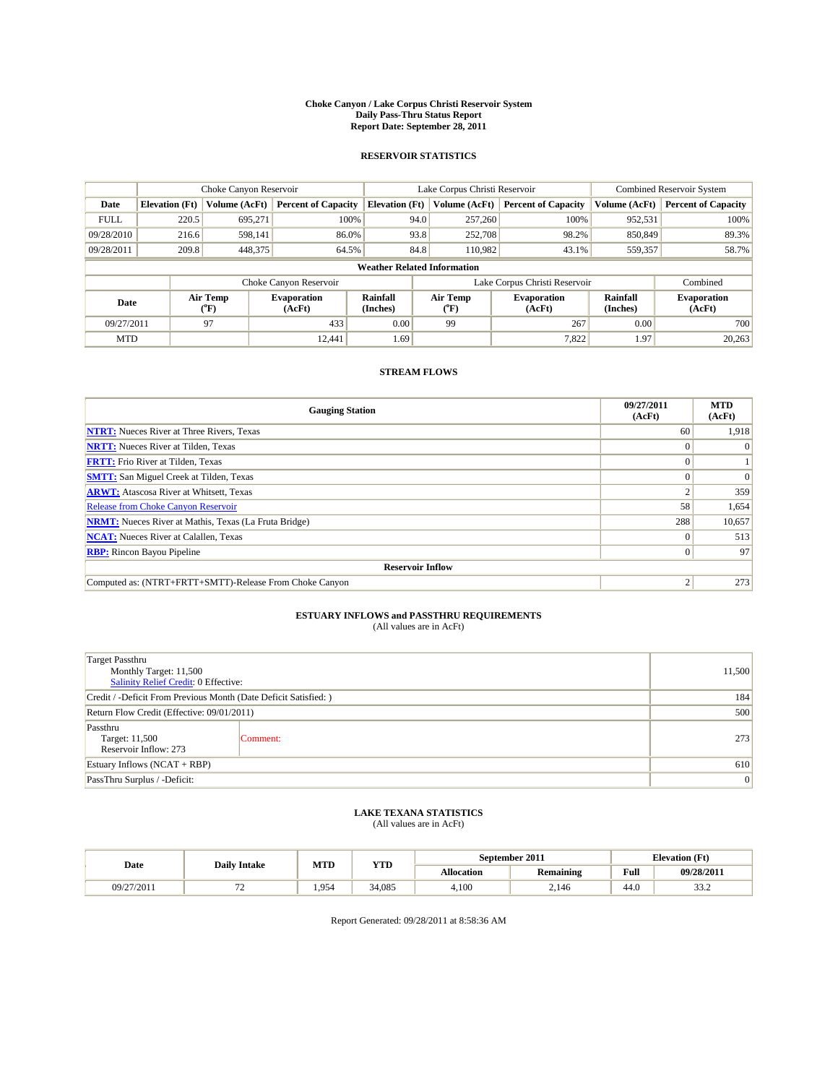#### **Choke Canyon / Lake Corpus Christi Reservoir System Daily Pass-Thru Status Report Report Date: September 28, 2011**

#### **RESERVOIR STATISTICS**

|             | Choke Canyon Reservoir |                             |                              |                                    | Lake Corpus Christi Reservoir |                              |                      | <b>Combined Reservoir System</b> |  |
|-------------|------------------------|-----------------------------|------------------------------|------------------------------------|-------------------------------|------------------------------|----------------------|----------------------------------|--|
| Date        | <b>Elevation</b> (Ft)  | Volume (AcFt)               | <b>Percent of Capacity</b>   | <b>Elevation</b> (Ft)              | Volume (AcFt)                 | <b>Percent of Capacity</b>   | Volume (AcFt)        | <b>Percent of Capacity</b>       |  |
| <b>FULL</b> | 220.5                  | 695,271                     | 100%                         | 94.0                               | 257,260                       | 100%                         | 952,531              | 100%                             |  |
| 09/28/2010  | 216.6                  | 598.141                     | 86.0%                        | 93.8                               | 252,708                       | 98.2%                        | 850,849              | 89.3%                            |  |
| 09/28/2011  | 209.8                  | 448,375                     | 64.5%                        | 84.8                               | 110.982                       | 43.1%                        | 559,357              | 58.7%                            |  |
|             |                        |                             |                              | <b>Weather Related Information</b> |                               |                              |                      |                                  |  |
|             |                        |                             | Choke Canyon Reservoir       |                                    | Lake Corpus Christi Reservoir |                              |                      | Combined                         |  |
| Date        |                        | Air Temp<br>${}^{\circ}$ F) | <b>Evaporation</b><br>(AcFt) | <b>Rainfall</b><br>(Inches)        | Air Temp<br>(°F)              | <b>Evaporation</b><br>(AcFt) | Rainfall<br>(Inches) | <b>Evaporation</b><br>(AcFt)     |  |
| 09/27/2011  |                        | 97                          | 433                          | 0.00                               | 99                            | 267                          | 0.00                 | 700                              |  |
| <b>MTD</b>  |                        |                             | 12,441                       | 1.69                               |                               | 7,822                        | 1.97                 | 20,263                           |  |

### **STREAM FLOWS**

| <b>Gauging Station</b>                                       | 09/27/2011<br>(AcFt) | <b>MTD</b><br>(AcFt) |
|--------------------------------------------------------------|----------------------|----------------------|
| <b>NTRT:</b> Nueces River at Three Rivers, Texas             | 60                   | 1,918                |
| <b>NRTT:</b> Nueces River at Tilden, Texas                   | $\Omega$             |                      |
| <b>FRTT:</b> Frio River at Tilden, Texas                     |                      |                      |
| <b>SMTT:</b> San Miguel Creek at Tilden, Texas               |                      | $\Omega$             |
| <b>ARWT:</b> Atascosa River at Whitsett, Texas               |                      | 359                  |
| <b>Release from Choke Canyon Reservoir</b>                   | 58                   | 1,654                |
| <b>NRMT:</b> Nueces River at Mathis, Texas (La Fruta Bridge) | 288                  | 10,657               |
| <b>NCAT:</b> Nueces River at Calallen, Texas                 | $\theta$             | 513                  |
| <b>RBP:</b> Rincon Bayou Pipeline                            | $\overline{0}$       | 97                   |
| <b>Reservoir Inflow</b>                                      |                      |                      |
| Computed as: (NTRT+FRTT+SMTT)-Release From Choke Canyon      | ◠                    | 273                  |

# **ESTUARY INFLOWS and PASSTHRU REQUIREMENTS**<br>(All values are in AcFt)

| Target Passthru<br>Monthly Target: 11,500<br>Salinity Relief Credit: 0 Effective: | 11,500   |     |  |  |  |
|-----------------------------------------------------------------------------------|----------|-----|--|--|--|
| Credit / -Deficit From Previous Month (Date Deficit Satisfied: )                  |          |     |  |  |  |
| Return Flow Credit (Effective: 09/01/2011)                                        | 500      |     |  |  |  |
| Passthru<br>Target: 11,500<br>Reservoir Inflow: 273                               | Comment: | 273 |  |  |  |
| Estuary Inflows $(NCAT + RBP)$                                                    | 610      |     |  |  |  |
| PassThru Surplus / -Deficit:                                                      |          | 0   |  |  |  |

# **LAKE TEXANA STATISTICS** (All values are in AcFt)

|            | <b>Daily Intake</b> | MTD   | YTD    | September 2011    |                  |      | <b>Elevation</b> (Ft)  |
|------------|---------------------|-------|--------|-------------------|------------------|------|------------------------|
| Date       |                     |       |        | <b>Allocation</b> | <b>Remaining</b> | Full | 09/28/2011             |
| 09/27/2011 | . .                 | 1.954 | 34,085 | 4.100             | 2.146            | 44.0 | $\sim$ $\sim$<br>ے ۔ ب |

Report Generated: 09/28/2011 at 8:58:36 AM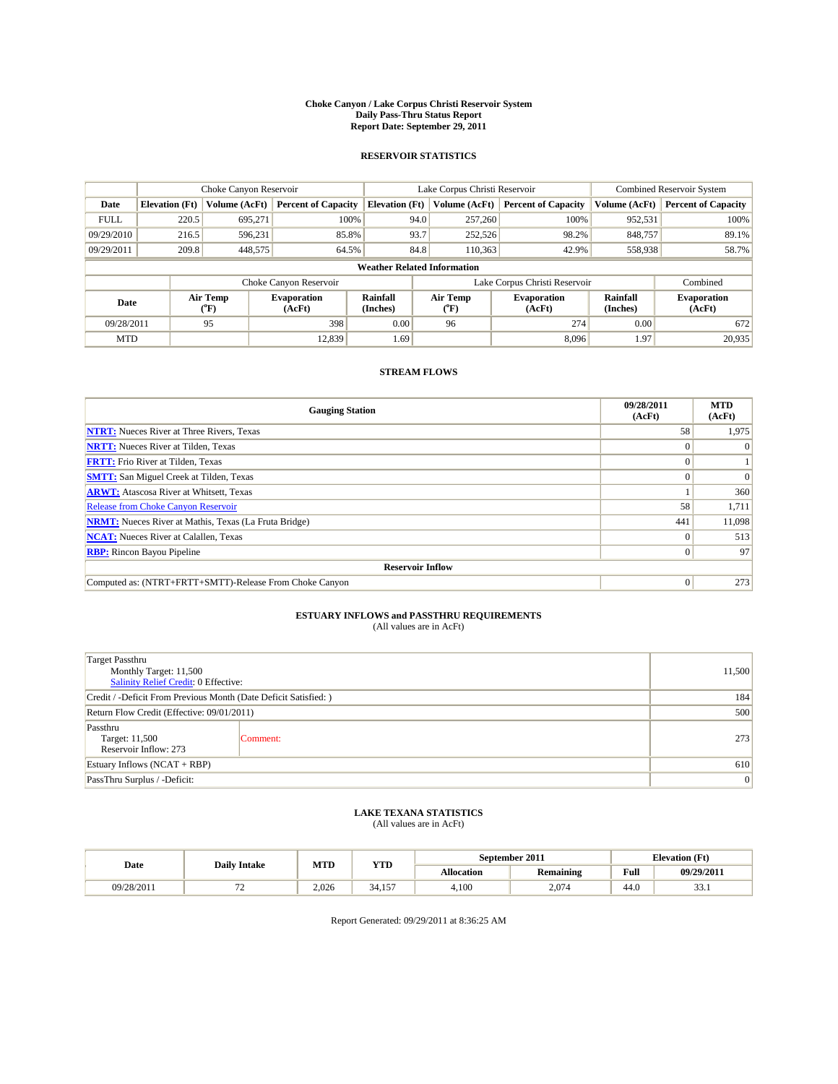#### **Choke Canyon / Lake Corpus Christi Reservoir System Daily Pass-Thru Status Report Report Date: September 29, 2011**

#### **RESERVOIR STATISTICS**

|             | Choke Canyon Reservoir |                  |                              |                                    | Lake Corpus Christi Reservoir |                              |                      | Combined Reservoir System    |  |  |
|-------------|------------------------|------------------|------------------------------|------------------------------------|-------------------------------|------------------------------|----------------------|------------------------------|--|--|
| Date        | <b>Elevation</b> (Ft)  | Volume (AcFt)    | <b>Percent of Capacity</b>   | <b>Elevation</b> (Ft)              | Volume (AcFt)                 | <b>Percent of Capacity</b>   | Volume (AcFt)        | <b>Percent of Capacity</b>   |  |  |
| <b>FULL</b> | 220.5                  | 695,271          | 100%                         | 94.0                               | 257,260                       | 100%                         | 952,531              | 100%                         |  |  |
| 09/29/2010  | 216.5                  | 596,231          | 85.8%                        | 93.7                               | 252,526                       | 98.2%                        | 848,757              | 89.1%                        |  |  |
| 09/29/2011  | 209.8                  | 448,575          | 64.5%                        | 84.8                               | 110,363                       | 42.9%                        | 558,938              | 58.7%                        |  |  |
|             |                        |                  |                              | <b>Weather Related Information</b> |                               |                              |                      |                              |  |  |
|             |                        |                  | Choke Canyon Reservoir       |                                    | Lake Corpus Christi Reservoir |                              |                      | Combined                     |  |  |
| Date        |                        | Air Temp<br>(°F) | <b>Evaporation</b><br>(AcFt) | <b>Rainfall</b><br>(Inches)        | Air Temp<br>("F)              | <b>Evaporation</b><br>(AcFt) | Rainfall<br>(Inches) | <b>Evaporation</b><br>(AcFt) |  |  |
| 09/28/2011  |                        | 95               | 398                          | 0.00                               | 96                            | 274                          | 0.00                 | 672                          |  |  |
| <b>MTD</b>  |                        |                  | 12.839                       | 1.69                               |                               | 8.096                        | 1.97                 | 20,935                       |  |  |

### **STREAM FLOWS**

| <b>Gauging Station</b>                                       | 09/28/2011<br>(AcFt) | <b>MTD</b><br>(AcFt) |  |  |  |  |
|--------------------------------------------------------------|----------------------|----------------------|--|--|--|--|
| <b>NTRT:</b> Nueces River at Three Rivers, Texas             | 58                   | 1,975                |  |  |  |  |
| <b>NRTT:</b> Nueces River at Tilden, Texas                   | $\Omega$             |                      |  |  |  |  |
| <b>FRTT:</b> Frio River at Tilden, Texas                     | $\Omega$             |                      |  |  |  |  |
| <b>SMTT:</b> San Miguel Creek at Tilden, Texas               |                      | $\Omega$             |  |  |  |  |
| <b>ARWT:</b> Atascosa River at Whitsett, Texas               |                      | 360                  |  |  |  |  |
| <b>Release from Choke Canyon Reservoir</b>                   | 58                   | 1,711                |  |  |  |  |
| <b>NRMT:</b> Nueces River at Mathis, Texas (La Fruta Bridge) | 441                  | 11,098               |  |  |  |  |
| <b>NCAT:</b> Nueces River at Calallen, Texas                 | $\Omega$             | 513                  |  |  |  |  |
| <b>RBP:</b> Rincon Bayou Pipeline                            | $\overline{0}$       | 97                   |  |  |  |  |
| <b>Reservoir Inflow</b>                                      |                      |                      |  |  |  |  |
| Computed as: (NTRT+FRTT+SMTT)-Release From Choke Canyon      | $\overline{0}$       | 273                  |  |  |  |  |

# **ESTUARY INFLOWS and PASSTHRU REQUIREMENTS**<br>(All values are in AcFt)

| Target Passthru<br>Monthly Target: 11,500<br>Salinity Relief Credit: 0 Effective: | 11,500   |     |
|-----------------------------------------------------------------------------------|----------|-----|
| Credit / -Deficit From Previous Month (Date Deficit Satisfied: )                  |          | 184 |
| Return Flow Credit (Effective: 09/01/2011)                                        |          | 500 |
| Passthru<br>Target: 11,500<br>Reservoir Inflow: 273                               | Comment: | 273 |
| Estuary Inflows $(NCAT + RBP)$                                                    |          | 610 |
| PassThru Surplus / -Deficit:                                                      |          | 0   |

## **LAKE TEXANA STATISTICS** (All values are in AcFt)

|            | <b>Daily Intake</b>      | MTD   | YTD          |                   | September 2011   |      | <b>Elevation</b> (Ft) |
|------------|--------------------------|-------|--------------|-------------------|------------------|------|-----------------------|
| Date       |                          |       |              | <b>Allocation</b> | <b>Remaining</b> | Full | 09/29/2011            |
| 09/28/2011 | $\overline{\phantom{0}}$ | 2.026 | 157<br>34.15 | 4.100             | 2.074            | 44.0 | $\sim$<br>JJ.1        |

Report Generated: 09/29/2011 at 8:36:25 AM